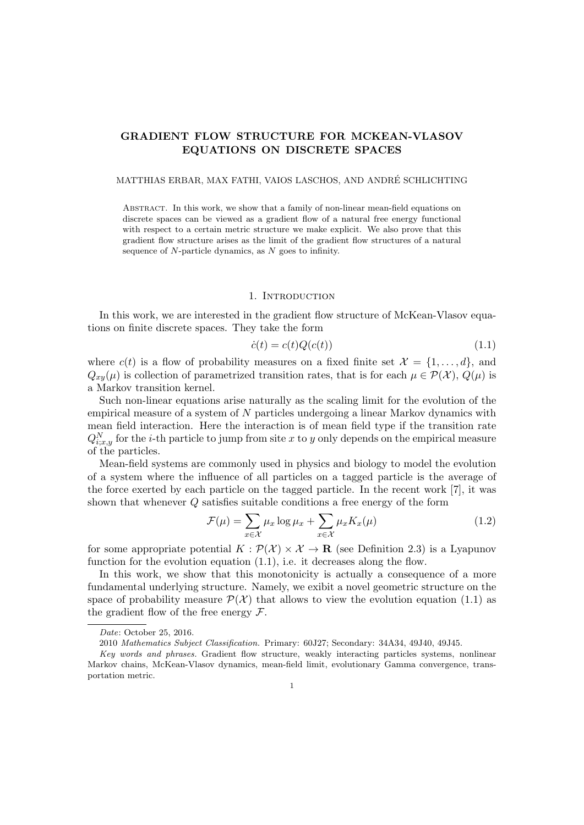# GRADIENT FLOW STRUCTURE FOR MCKEAN-VLASOV EQUATIONS ON DISCRETE SPACES

#### MATTHIAS ERBAR, MAX FATHI, VAIOS LASCHOS, AND ANDRE SCHLICHTING ´

ABSTRACT. In this work, we show that a family of non-linear mean-field equations on discrete spaces can be viewed as a gradient flow of a natural free energy functional with respect to a certain metric structure we make explicit. We also prove that this gradient flow structure arises as the limit of the gradient flow structures of a natural sequence of  $N$ -particle dynamics, as  $N$  goes to infinity.

## 1. INTRODUCTION

In this work, we are interested in the gradient flow structure of McKean-Vlasov equations on finite discrete spaces. They take the form

<span id="page-0-0"></span>
$$
\dot{c}(t) = c(t)Q(c(t))\tag{1.1}
$$

where  $c(t)$  is a flow of probability measures on a fixed finite set  $\mathcal{X} = \{1, \ldots, d\}$ , and  $Q_{xy}(\mu)$  is collection of parametrized transition rates, that is for each  $\mu \in \mathcal{P}(\mathcal{X}), Q(\mu)$  is a Markov transition kernel.

Such non-linear equations arise naturally as the scaling limit for the evolution of the empirical measure of a system of N particles undergoing a linear Markov dynamics with mean field interaction. Here the interaction is of mean field type if the transition rate  $Q_{i;x,y}^{N}$  for the *i*-th particle to jump from site x to y only depends on the empirical measure of the particles.

Mean-field systems are commonly used in physics and biology to model the evolution of a system where the influence of all particles on a tagged particle is the average of the force exerted by each particle on the tagged particle. In the recent work [\[7\]](#page-35-0), it was shown that whenever Q satisfies suitable conditions a free energy of the form

<span id="page-0-1"></span>
$$
\mathcal{F}(\mu) = \sum_{x \in \mathcal{X}} \mu_x \log \mu_x + \sum_{x \in \mathcal{X}} \mu_x K_x(\mu) \tag{1.2}
$$

for some appropriate potential  $K : \mathcal{P}(\mathcal{X}) \times \mathcal{X} \to \mathbf{R}$  (see Definition [2.3\)](#page-5-0) is a Lyapunov function for the evolution equation  $(1.1)$ , i.e. it decreases along the flow.

In this work, we show that this monotonicity is actually a consequence of a more fundamental underlying structure. Namely, we exibit a novel geometric structure on the space of probability measure  $\mathcal{P}(\mathcal{X})$  that allows to view the evolution equation [\(1.1\)](#page-0-0) as the gradient flow of the free energy  $\mathcal{F}$ .

Date: October 25, 2016.

<sup>2010</sup> Mathematics Subject Classification. Primary: 60J27; Secondary: 34A34, 49J40, 49J45.

Key words and phrases. Gradient flow structure, weakly interacting particles systems, nonlinear Markov chains, McKean-Vlasov dynamics, mean-field limit, evolutionary Gamma convergence, transportation metric.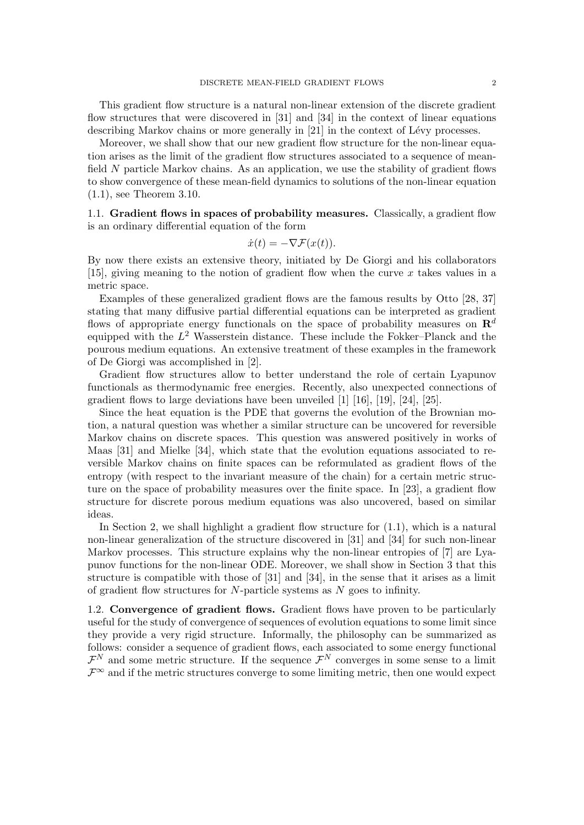This gradient flow structure is a natural non-linear extension of the discrete gradient flow structures that were discovered in [\[31\]](#page-36-0) and [\[34\]](#page-36-1) in the context of linear equations describing Markov chains or more generally in  $[21]$  in the context of Lévy processes.

Moreover, we shall show that our new gradient flow structure for the non-linear equation arises as the limit of the gradient flow structures associated to a sequence of meanfield N particle Markov chains. As an application, we use the stability of gradient flows to show convergence of these mean-field dynamics to solutions of the non-linear equation [\(1.1\)](#page-0-0), see Theorem [3.10.](#page-27-0)

1.1. Gradient flows in spaces of probability measures. Classically, a gradient flow is an ordinary differential equation of the form

$$
\dot{x}(t) = -\nabla \mathcal{F}(x(t)).
$$

By now there exists an extensive theory, initiated by De Giorgi and his collaborators [\[15\]](#page-35-2), giving meaning to the notion of gradient flow when the curve  $x$  takes values in a metric space.

Examples of these generalized gradient flows are the famous results by Otto [\[28,](#page-36-2) [37\]](#page-36-3) stating that many diffusive partial differential equations can be interpreted as gradient flows of appropriate energy functionals on the space of probability measures on  $\mathbb{R}^d$ equipped with the  $L^2$  Wasserstein distance. These include the Fokker–Planck and the pourous medium equations. An extensive treatment of these examples in the framework of De Giorgi was accomplished in [\[2\]](#page-35-3).

Gradient flow structures allow to better understand the role of certain Lyapunov functionals as thermodynamic free energies. Recently, also unexpected connections of gradient flows to large deviations have been unveiled [\[1\]](#page-35-4) [\[16\]](#page-35-5), [\[19\]](#page-35-6), [\[24\]](#page-36-4), [\[25\]](#page-36-5).

Since the heat equation is the PDE that governs the evolution of the Brownian motion, a natural question was whether a similar structure can be uncovered for reversible Markov chains on discrete spaces. This question was answered positively in works of Maas [\[31\]](#page-36-0) and Mielke [\[34\]](#page-36-1), which state that the evolution equations associated to reversible Markov chains on finite spaces can be reformulated as gradient flows of the entropy (with respect to the invariant measure of the chain) for a certain metric structure on the space of probability measures over the finite space. In [\[23\]](#page-36-6), a gradient flow structure for discrete porous medium equations was also uncovered, based on similar ideas.

In Section 2, we shall highlight a gradient flow structure for  $(1.1)$ , which is a natural non-linear generalization of the structure discovered in [\[31\]](#page-36-0) and [\[34\]](#page-36-1) for such non-linear Markov processes. This structure explains why the non-linear entropies of [\[7\]](#page-35-0) are Lyapunov functions for the non-linear ODE. Moreover, we shall show in Section 3 that this structure is compatible with those of [\[31\]](#page-36-0) and [\[34\]](#page-36-1), in the sense that it arises as a limit of gradient flow structures for  $N$ -particle systems as  $N$  goes to infinity.

1.2. Convergence of gradient flows. Gradient flows have proven to be particularly useful for the study of convergence of sequences of evolution equations to some limit since they provide a very rigid structure. Informally, the philosophy can be summarized as follows: consider a sequence of gradient flows, each associated to some energy functional  $\mathcal{F}^N$  and some metric structure. If the sequence  $\mathcal{F}^N$  converges in some sense to a limit  $\mathcal{F}^{\infty}$  and if the metric structures converge to some limiting metric, then one would expect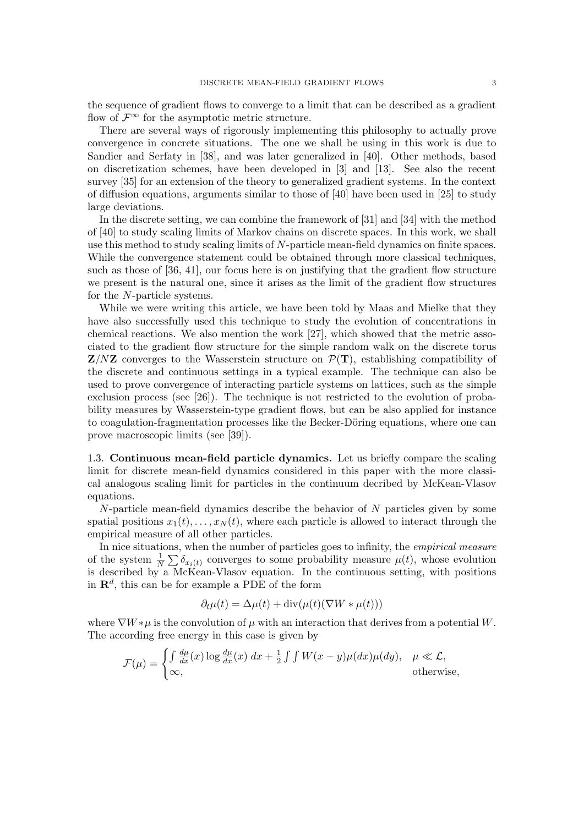the sequence of gradient flows to converge to a limit that can be described as a gradient flow of  $\mathcal{F}^{\infty}$  for the asymptotic metric structure.

There are several ways of rigorously implementing this philosophy to actually prove convergence in concrete situations. The one we shall be using in this work is due to Sandier and Serfaty in [\[38\]](#page-36-7), and was later generalized in [\[40\]](#page-36-8). Other methods, based on discretization schemes, have been developed in [\[3\]](#page-35-7) and [\[13\]](#page-35-8). See also the recent survey [\[35\]](#page-36-9) for an extension of the theory to generalized gradient systems. In the context of diffusion equations, arguments similar to those of [\[40\]](#page-36-8) have been used in [\[25\]](#page-36-5) to study large deviations.

In the discrete setting, we can combine the framework of [\[31\]](#page-36-0) and [\[34\]](#page-36-1) with the method of [\[40\]](#page-36-8) to study scaling limits of Markov chains on discrete spaces. In this work, we shall use this method to study scaling limits of N-particle mean-field dynamics on finite spaces. While the convergence statement could be obtained through more classical techniques, such as those of [\[36,](#page-36-10) [41\]](#page-36-11), our focus here is on justifying that the gradient flow structure we present is the natural one, since it arises as the limit of the gradient flow structures for the N-particle systems.

While we were writing this article, we have been told by Maas and Mielke that they have also successfully used this technique to study the evolution of concentrations in chemical reactions. We also mention the work [\[27\]](#page-36-12), which showed that the metric associated to the gradient flow structure for the simple random walk on the discrete torus  $\mathbf{Z}/N\mathbf{Z}$  converges to the Wasserstein structure on  $\mathcal{P}(\mathbf{T})$ , establishing compatibility of the discrete and continuous settings in a typical example. The technique can also be used to prove convergence of interacting particle systems on lattices, such as the simple exclusion process (see [\[26\]](#page-36-13)). The technique is not restricted to the evolution of probability measures by Wasserstein-type gradient flows, but can be also applied for instance to coagulation-fragmentation processes like the Becker-Döring equations, where one can prove macroscopic limits (see [\[39\]](#page-36-14)).

1.3. Continuous mean-field particle dynamics. Let us briefly compare the scaling limit for discrete mean-field dynamics considered in this paper with the more classical analogous scaling limit for particles in the continuum decribed by McKean-Vlasov equations.

 $N$ -particle mean-field dynamics describe the behavior of  $N$  particles given by some spatial positions  $x_1(t), \ldots, x_N(t)$ , where each particle is allowed to interact through the empirical measure of all other particles.

In nice situations, when the number of particles goes to infinity, the *empirical measure* of the system  $\frac{1}{N} \sum \delta_{x_i(t)}$  converges to some probability measure  $\mu(t)$ , whose evolution is described by a McKean-Vlasov equation. In the continuous setting, with positions in  $\mathbb{R}^d$ , this can be for example a PDE of the form

$$
\partial_t \mu(t) = \Delta \mu(t) + \text{div}(\mu(t)(\nabla W * \mu(t)))
$$

where  $\nabla W * \mu$  is the convolution of  $\mu$  with an interaction that derives from a potential W. The according free energy in this case is given by

$$
\mathcal{F}(\mu) = \begin{cases} \int \frac{d\mu}{dx}(x) \log \frac{d\mu}{dx}(x) dx + \frac{1}{2} \int \int W(x - y) \mu(dx) \mu(dy), & \mu \ll \mathcal{L}, \\ \infty, & \text{otherwise}, \end{cases}
$$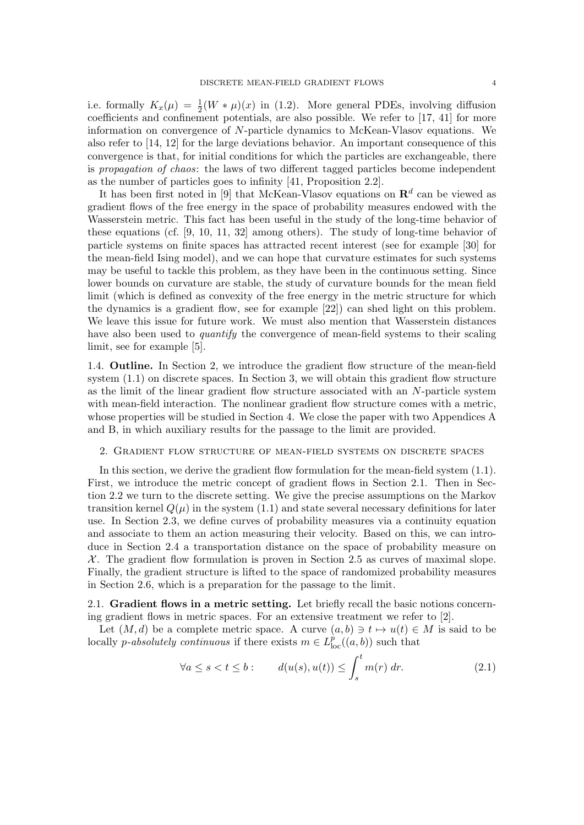i.e. formally  $K_x(\mu) = \frac{1}{2}(W * \mu)(x)$  in [\(1.2\)](#page-0-1). More general PDEs, involving diffusion coefficients and confinement potentials, are also possible. We refer to [\[17,](#page-35-9) [41\]](#page-36-11) for more information on convergence of N-particle dynamics to McKean-Vlasov equations. We also refer to [\[14,](#page-35-10) [12\]](#page-35-11) for the large deviations behavior. An important consequence of this convergence is that, for initial conditions for which the particles are exchangeable, there is propagation of chaos: the laws of two different tagged particles become independent as the number of particles goes to infinity [\[41,](#page-36-11) Proposition 2.2].

It has been first noted in [\[9\]](#page-35-12) that McKean-Vlasov equations on  $\mathbb{R}^d$  can be viewed as gradient flows of the free energy in the space of probability measures endowed with the Wasserstein metric. This fact has been useful in the study of the long-time behavior of these equations (cf. [\[9,](#page-35-12) [10,](#page-35-13) [11,](#page-35-14) [32\]](#page-36-15) among others). The study of long-time behavior of particle systems on finite spaces has attracted recent interest (see for example [\[30\]](#page-36-16) for the mean-field Ising model), and we can hope that curvature estimates for such systems may be useful to tackle this problem, as they have been in the continuous setting. Since lower bounds on curvature are stable, the study of curvature bounds for the mean field limit (which is defined as convexity of the free energy in the metric structure for which the dynamics is a gradient flow, see for example [\[22\]](#page-35-15)) can shed light on this problem. We leave this issue for future work. We must also mention that Wasserstein distances have also been used to *quantify* the convergence of mean-field systems to their scaling limit, see for example [\[5\]](#page-35-16).

1.4. Outline. In Section [2,](#page-3-0) we introduce the gradient flow structure of the mean-field system  $(1.1)$  on discrete spaces. In Section [3,](#page-17-0) we will obtain this gradient flow structure as the limit of the linear gradient flow structure associated with an N-particle system with mean-field interaction. The nonlinear gradient flow structure comes with a metric, whose properties will be studied in Section [4.](#page-28-0) We close the paper with two Appendices [A](#page-33-0) and [B,](#page-34-0) in which auxiliary results for the passage to the limit are provided.

#### <span id="page-3-0"></span>2. Gradient flow structure of mean-field systems on discrete spaces

In this section, we derive the gradient flow formulation for the mean-field system [\(1.1\)](#page-0-0). First, we introduce the metric concept of gradient flows in Section [2.1.](#page-3-1) Then in Section [2.2](#page-4-0) we turn to the discrete setting. We give the precise assumptions on the Markov transition kernel  $Q(\mu)$  in the system [\(1.1\)](#page-0-0) and state several necessary definitions for later use. In Section [2.3,](#page-7-0) we define curves of probability measures via a continuity equation and associate to them an action measuring their velocity. Based on this, we can introduce in Section [2.4](#page-8-0) a transportation distance on the space of probability measure on  $\mathcal{X}$ . The gradient flow formulation is proven in Section [2.5](#page-9-0) as curves of maximal slope. Finally, the gradient structure is lifted to the space of randomized probability measures in Section [2.6,](#page-12-0) which is a preparation for the passage to the limit.

<span id="page-3-1"></span>2.1. Gradient flows in a metric setting. Let briefly recall the basic notions concerning gradient flows in metric spaces. For an extensive treatment we refer to [\[2\]](#page-35-3).

Let  $(M, d)$  be a complete metric space. A curve  $(a, b) \ni t \mapsto u(t) \in M$  is said to be locally *p-absolutely continuous* if there exists  $m \in L^p_{loc}((a, b))$  such that

<span id="page-3-2"></span>
$$
\forall a \le s < t \le b: \qquad d(u(s), u(t)) \le \int_s^t m(r) \, dr. \tag{2.1}
$$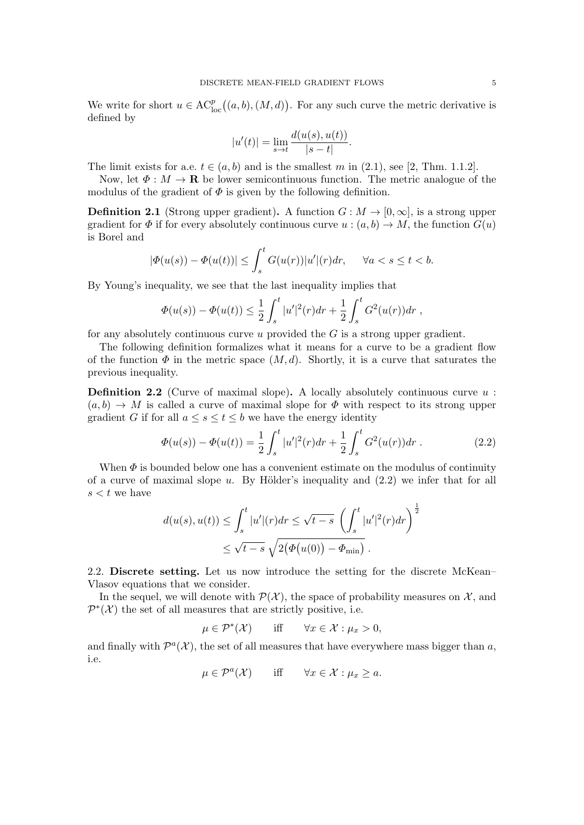We write for short  $u \in \mathrm{AC}_{\mathrm{loc}}^p((a, b), (M, d))$ . For any such curve the metric derivative is defined by

$$
|u'(t)| = \lim_{s \to t} \frac{d(u(s), u(t))}{|s - t|}.
$$

The limit exists for a.e.  $t \in (a, b)$  and is the smallest m in [\(2.1\)](#page-3-2), see [\[2,](#page-35-3) Thm. 1.1.2].

Now, let  $\Phi : M \to \mathbf{R}$  be lower semicontinuous function. The metric analogue of the modulus of the gradient of  $\Phi$  is given by the following definition.

**Definition 2.1** (Strong upper gradient). A function  $G : M \to [0, \infty]$ , is a strong upper gradient for  $\Phi$  if for every absolutely continuous curve  $u : (a, b) \to M$ , the function  $G(u)$ is Borel and

$$
|\Phi(u(s)) - \Phi(u(t))| \le \int_s^t G(u(r))|u'|(r)dr, \quad \forall a < s \le t < b.
$$

By Young's inequality, we see that the last inequality implies that

$$
\Phi(u(s)) - \Phi(u(t)) \leq \frac{1}{2} \int_s^t |u'|^2(r) dr + \frac{1}{2} \int_s^t G^2(u(r)) dr,
$$

for any absolutely continuous curve  $u$  provided the  $G$  is a strong upper gradient.

The following definition formalizes what it means for a curve to be a gradient flow of the function  $\Phi$  in the metric space  $(M, d)$ . Shortly, it is a curve that saturates the previous inequality.

**Definition 2.2** (Curve of maximal slope). A locally absolutely continuous curve  $u$ :  $(a, b) \rightarrow M$  is called a curve of maximal slope for  $\Phi$  with respect to its strong upper gradient G if for all  $a \leq s \leq t \leq b$  we have the energy identity

<span id="page-4-1"></span>
$$
\Phi(u(s)) - \Phi(u(t)) = \frac{1}{2} \int_s^t |u'|^2(r) dr + \frac{1}{2} \int_s^t G^2(u(r)) dr . \tag{2.2}
$$

When  $\Phi$  is bounded below one has a convenient estimate on the modulus of continuity of a curve of maximal slope u. By Hölder's inequality and  $(2.2)$  we infer that for all  $s < t$  we have

$$
d(u(s), u(t)) \le \int_s^t |u'|(r)dr \le \sqrt{t-s} \left(\int_s^t |u'|^2(r)dr\right)^{\frac{1}{2}}
$$
  

$$
\le \sqrt{t-s} \sqrt{2(\Phi(u(0)) - \Phi_{\min})}.
$$

<span id="page-4-0"></span>2.2. Discrete setting. Let us now introduce the setting for the discrete McKean– Vlasov equations that we consider.

In the sequel, we will denote with  $\mathcal{P}(\mathcal{X})$ , the space of probability measures on  $\mathcal{X}$ , and  $\mathcal{P}^*(\mathcal{X})$  the set of all measures that are strictly positive, i.e.

$$
\mu \in \mathcal{P}^*(\mathcal{X}) \qquad \text{iff} \qquad \forall x \in \mathcal{X} : \mu_x > 0,
$$

and finally with  $\mathcal{P}^{a}(\mathcal{X})$ , the set of all measures that have everywhere mass bigger than a, i.e.

$$
\mu \in \mathcal{P}^a(\mathcal{X}) \qquad \text{iff} \qquad \forall x \in \mathcal{X} : \mu_x \ge a.
$$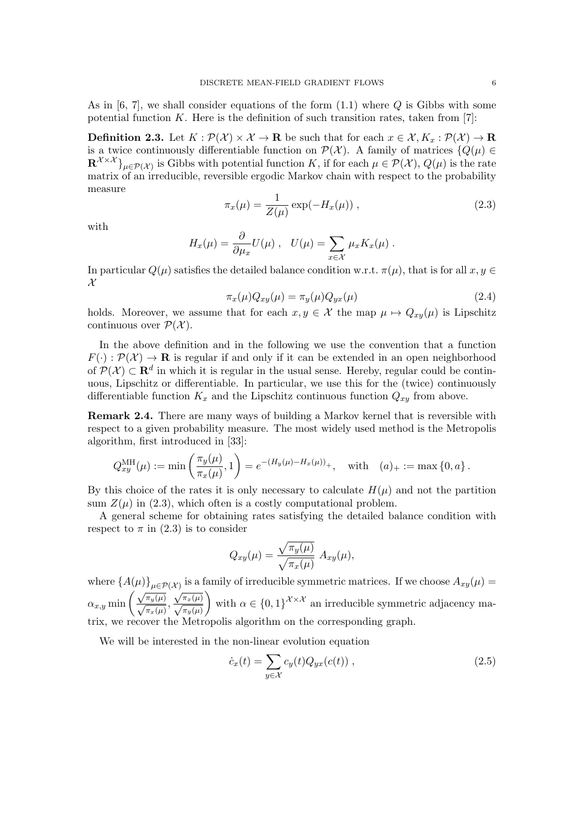As in  $[6, 7]$  $[6, 7]$ , we shall consider equations of the form  $(1.1)$  where Q is Gibbs with some potential function  $K$ . Here is the definition of such transition rates, taken from [\[7\]](#page-35-0):

<span id="page-5-0"></span>**Definition 2.3.** Let  $K : \mathcal{P}(\mathcal{X}) \times \mathcal{X} \to \mathbf{R}$  be such that for each  $x \in \mathcal{X}, K_x : \mathcal{P}(\mathcal{X}) \to \mathbf{R}$ is a twice continuously differentiable function on  $\mathcal{P}(\mathcal{X})$ . A family of matrices  $\{Q(\mu) \in$  $\mathbf{R}^{\mathcal{X}\times\mathcal{X}}\}_{\mu\in\mathcal{P}(\mathcal{X})}$  is Gibbs with potential function K, if for each  $\mu\in\mathcal{P}(\mathcal{X}), Q(\mu)$  is the rate matrix of an irreducible, reversible ergodic Markov chain with respect to the probability measure

<span id="page-5-1"></span>
$$
\pi_x(\mu) = \frac{1}{Z(\mu)} \exp(-H_x(\mu)), \qquad (2.3)
$$

with

<span id="page-5-3"></span>
$$
H_x(\mu) = \frac{\partial}{\partial \mu_x} U(\mu) , \quad U(\mu) = \sum_{x \in \mathcal{X}} \mu_x K_x(\mu) .
$$

In particular  $Q(\mu)$  satisfies the detailed balance condition w.r.t.  $\pi(\mu)$ , that is for all  $x, y \in$  $\mathcal{X}$ 

$$
\pi_x(\mu)Q_{xy}(\mu) = \pi_y(\mu)Q_{yx}(\mu) \tag{2.4}
$$

holds. Moreover, we assume that for each  $x, y \in \mathcal{X}$  the map  $\mu \mapsto Q_{xy}(\mu)$  is Lipschitz continuous over  $\mathcal{P}(\mathcal{X})$ .

In the above definition and in the following we use the convention that a function  $F(\cdot): \mathcal{P}(\mathcal{X}) \to \mathbf{R}$  is regular if and only if it can be extended in an open neighborhood of  $\mathcal{P}(\mathcal{X}) \subset \mathbf{R}^d$  in which it is regular in the usual sense. Hereby, regular could be continuous, Lipschitz or differentiable. In particular, we use this for the (twice) continuously differentiable function  $K_x$  and the Lipschitz continuous function  $Q_{xy}$  from above.

<span id="page-5-4"></span>Remark 2.4. There are many ways of building a Markov kernel that is reversible with respect to a given probability measure. The most widely used method is the Metropolis algorithm, first introduced in [\[33\]](#page-36-17):

$$
Q_{xy}^{\text{MH}}(\mu) := \min\left(\frac{\pi_y(\mu)}{\pi_x(\mu)}, 1\right) = e^{-(H_y(\mu) - H_x(\mu))_+}, \text{ with } (a)_+ := \max\{0, a\}.
$$

By this choice of the rates it is only necessary to calculate  $H(\mu)$  and not the partition sum  $Z(\mu)$  in [\(2.3\)](#page-5-1), which often is a costly computational problem.

A general scheme for obtaining rates satisfying the detailed balance condition with respect to  $\pi$  in [\(2.3\)](#page-5-1) is to consider

$$
Q_{xy}(\mu) = \frac{\sqrt{\pi_y(\mu)}}{\sqrt{\pi_x(\mu)}} A_{xy}(\mu),
$$

where  ${A(\mu)}_{\mu\in\mathcal{P}(\mathcal{X})}$  is a family of irreducible symmetric matrices. If we choose  $A_{xy}(\mu)$  $\alpha_{x,y}$  min  $\left(\frac{\sqrt{\pi_y(\mu)}}{\sqrt{\pi_x(\mu)}},\right)$  $\sqrt{\pi_x(\mu)}$ <br> $\sqrt{\pi_y(\mu)}$ with  $\alpha \in \{0,1\}^{\mathcal{X}\times\mathcal{X}}$  an irreducible symmetric adjacency matrix, we recover the Metropolis algorithm on the corresponding graph.

We will be interested in the non-linear evolution equation

<span id="page-5-2"></span>
$$
\dot{c}_x(t) = \sum_{y \in \mathcal{X}} c_y(t) Q_{yx}(c(t)), \qquad (2.5)
$$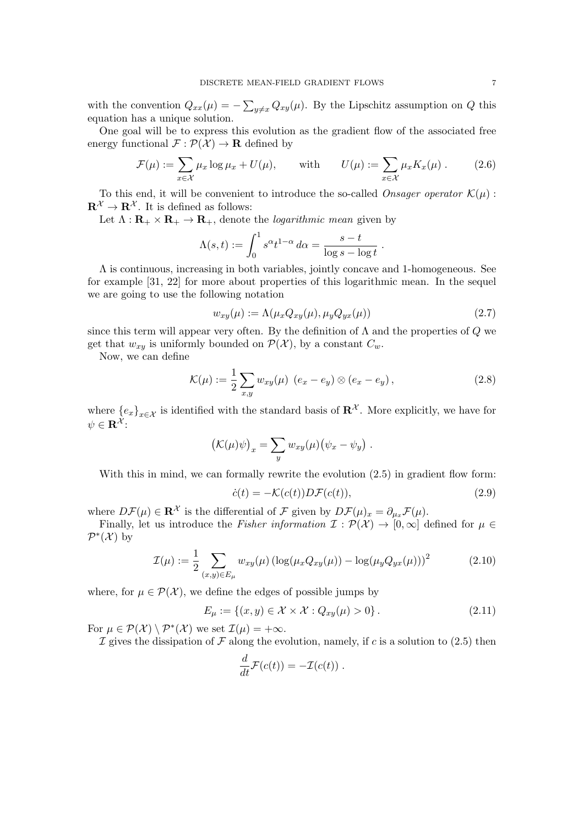with the convention  $Q_{xx}(\mu) = -\sum_{y\neq x} Q_{xy}(\mu)$ . By the Lipschitz assumption on Q this equation has a unique solution.

One goal will be to express this evolution as the gradient flow of the associated free energy functional  $\mathcal{F} : \mathcal{P}(\mathcal{X}) \to \mathbf{R}$  defined by

<span id="page-6-1"></span>
$$
\mathcal{F}(\mu) := \sum_{x \in \mathcal{X}} \mu_x \log \mu_x + U(\mu), \quad \text{with} \quad U(\mu) := \sum_{x \in \mathcal{X}} \mu_x K_x(\mu). \quad (2.6)
$$

To this end, it will be convenient to introduce the so-called *Onsager operator*  $\mathcal{K}(\mu)$ :  $\mathbf{R}^{\mathcal{X}} \to \mathbf{R}^{\mathcal{X}}$ . It is defined as follows:

Let  $\Lambda : \mathbf{R}_{+} \times \mathbf{R}_{+} \to \mathbf{R}_{+}$ , denote the *logarithmic mean* given by

$$
\Lambda(s,t) := \int_0^1 s^{\alpha} t^{1-\alpha} d\alpha = \frac{s-t}{\log s - \log t}.
$$

 $\Lambda$  is continuous, increasing in both variables, jointly concave and 1-homogeneous. See for example [\[31,](#page-36-0) [22\]](#page-35-15) for more about properties of this logarithmic mean. In the sequel we are going to use the following notation

<span id="page-6-4"></span>
$$
w_{xy}(\mu) := \Lambda(\mu_x Q_{xy}(\mu), \mu_y Q_{yx}(\mu)) \tag{2.7}
$$

since this term will appear very often. By the definition of  $\Lambda$  and the properties of  $Q$  we get that  $w_{xy}$  is uniformly bounded on  $\mathcal{P}(\mathcal{X})$ , by a constant  $C_w$ .

Now, we can define

<span id="page-6-2"></span>
$$
\mathcal{K}(\mu) := \frac{1}{2} \sum_{x,y} w_{xy}(\mu) \ (e_x - e_y) \otimes (e_x - e_y) \,, \tag{2.8}
$$

where  ${e_x}_{x \in \mathcal{X}}$  is identified with the standard basis of  $\mathbb{R}^{\mathcal{X}}$ . More explicitly, we have for  $\psi \in \mathbf{R}^{\mathcal{X}}$ :

$$
(\mathcal{K}(\mu)\psi)_x = \sum_y w_{xy}(\mu)(\psi_x - \psi_y).
$$

With this in mind, we can formally rewrite the evolution  $(2.5)$  in gradient flow form:

<span id="page-6-3"></span>
$$
\dot{c}(t) = -\mathcal{K}(c(t))D\mathcal{F}(c(t)),\tag{2.9}
$$

where  $D\mathcal{F}(\mu) \in \mathbb{R}^{\mathcal{X}}$  is the differential of  $\mathcal{F}$  given by  $D\mathcal{F}(\mu)_x = \partial_{\mu_x} \mathcal{F}(\mu)$ .

Finally, let us introduce the Fisher information  $\mathcal{I}: \mathcal{P}(\mathcal{X}) \to [0,\infty]$  defined for  $\mu \in$  $\mathcal{P}^*(\mathcal{X})$  by

<span id="page-6-0"></span>
$$
\mathcal{I}(\mu) := \frac{1}{2} \sum_{(x,y)\in E_{\mu}} w_{xy}(\mu) \left( \log(\mu_x Q_{xy}(\mu)) - \log(\mu_y Q_{yx}(\mu)) \right)^2 \tag{2.10}
$$

where, for  $\mu \in \mathcal{P}(\mathcal{X})$ , we define the edges of possible jumps by

<span id="page-6-5"></span>
$$
E_{\mu} := \{(x, y) \in \mathcal{X} \times \mathcal{X} : Q_{xy}(\mu) > 0\}.
$$
 (2.11)

For  $\mu \in \mathcal{P}(\mathcal{X}) \setminus \mathcal{P}^*(\mathcal{X})$  we set  $\mathcal{I}(\mu) = +\infty$ .

I gives the dissipation of F along the evolution, namely, if c is a solution to [\(2.5\)](#page-5-2) then

$$
\frac{d}{dt}\mathcal{F}(c(t)) = -\mathcal{I}(c(t)) \; .
$$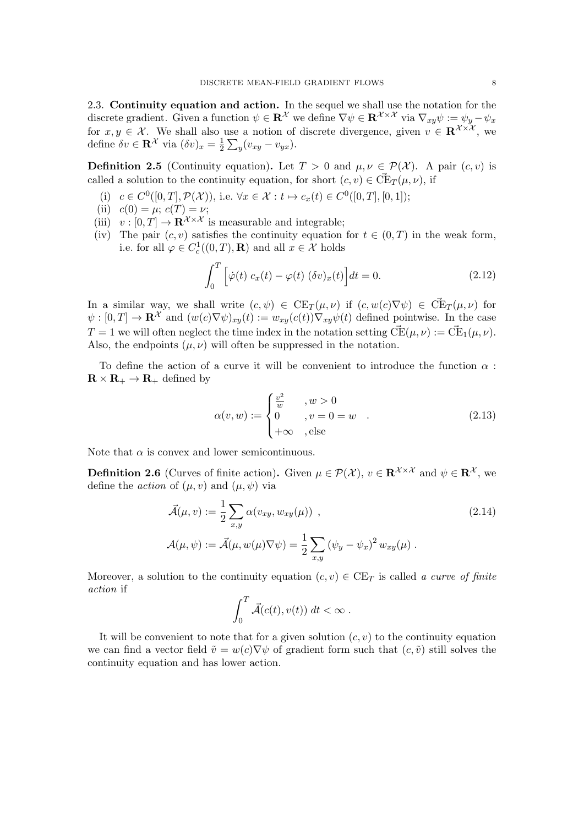<span id="page-7-0"></span>2.3. Continuity equation and action. In the sequel we shall use the notation for the discrete gradient. Given a function  $\psi \in \mathbf{R}^{\mathcal{X}}$  we define  $\nabla \psi \in \mathbf{R}^{\mathcal{X} \times \mathcal{X}}$  via  $\nabla_{xy} \psi := \psi_y - \psi_x$ for  $x, y \in \mathcal{X}$ . We shall also use a notion of discrete divergence, given  $v \in \mathbb{R}^{\mathcal{X} \times \mathcal{X}}$ , we define  $\delta v \in \mathbf{R}^{\mathcal{X}}$  via  $(\delta v)_x = \frac{1}{2}$  $\frac{1}{2}\sum_{y}(v_{xy}-v_{yx}).$ 

<span id="page-7-3"></span>**Definition 2.5** (Continuity equation). Let  $T > 0$  and  $\mu, \nu \in \mathcal{P}(\mathcal{X})$ . A pair  $(c, v)$  is called a solution to the continuity equation, for short  $(c, v) \in \vec{\mathrm{CE}}_T(\mu, \nu)$ , if

- (i)  $c \in C^0([0, T], \mathcal{P}(\mathcal{X}))$ , i.e.  $\forall x \in \mathcal{X} : t \mapsto c_x(t) \in C^0([0, T], [0, 1])$ ;
- (ii)  $c(0) = \mu$ ;  $c(T) = \nu$ ;
- (iii)  $v : [0, T] \to \mathbf{R}^{\mathcal{X} \times \mathcal{X}}$  is measurable and integrable;
- (iv) The pair  $(c, v)$  satisfies the continuity equation for  $t \in (0, T)$  in the weak form, i.e. for all  $\varphi \in C_c^1((0,T), \mathbf{R})$  and all  $x \in \mathcal{X}$  holds

$$
\int_0^T \left[ \dot{\varphi}(t) \ c_x(t) - \varphi(t) \ (\delta v)_x(t) \right] dt = 0. \tag{2.12}
$$

<span id="page-7-2"></span>In a similar way, we shall write  $(c, \psi) \in \text{CE}_T(\mu, \nu)$  if  $(c, w(c) \nabla \psi) \in \vec{\text{CE}}_T(\mu, \nu)$  for  $\psi : [0, T] \to \mathbf{R}^{\mathcal{X}}$  and  $(w(c) \nabla \psi)_{xv}(t) := w_{xy}(c(t)) \nabla_{xy} \psi(t)$  defined pointwise. In the case  $T = 1$  we will often neglect the time index in the notation setting  $\vec{CE}(\mu, \nu) := \vec{CE}_1(\mu, \nu)$ . Also, the endpoints  $(\mu, \nu)$  will often be suppressed in the notation.

To define the action of a curve it will be convenient to introduce the function  $\alpha$ :  $\mathbf{R} \times \mathbf{R}_{+} \to \mathbf{R}_{+}$  defined by

<span id="page-7-1"></span>
$$
\alpha(v, w) := \begin{cases} \frac{v^2}{w} & , w > 0 \\ 0 & , v = 0 = w \\ +\infty & , \text{else} \end{cases}
$$
 (2.13)

Note that  $\alpha$  is convex and lower semicontinuous.

**Definition 2.6** (Curves of finite action). Given  $\mu \in \mathcal{P}(\mathcal{X})$ ,  $v \in \mathbb{R}^{\mathcal{X} \times \mathcal{X}}$  and  $\psi \in \mathbb{R}^{\mathcal{X}}$ , we define the *action* of  $(\mu, v)$  and  $(\mu, \psi)$  via

$$
\vec{\mathcal{A}}(\mu, v) := \frac{1}{2} \sum_{x,y} \alpha(v_{xy}, w_{xy}(\mu)),
$$
\n
$$
\mathcal{A}(\mu, \psi) := \vec{\mathcal{A}}(\mu, w(\mu)\nabla\psi) = \frac{1}{2} \sum_{x,y} (\psi_y - \psi_x)^2 w_{xy}(\mu).
$$
\n(2.14)

Moreover, a solution to the continuity equation  $(c, v) \in \mathrm{CE}_T$  is called a curve of finite action if

<span id="page-7-4"></span>
$$
\int_0^T \vec{\mathcal{A}}(c(t), v(t)) dt < \infty.
$$

It will be convenient to note that for a given solution  $(c, v)$  to the continuity equation we can find a vector field  $\tilde{v} = w(c)\nabla \psi$  of gradient form such that  $(c, \tilde{v})$  still solves the continuity equation and has lower action.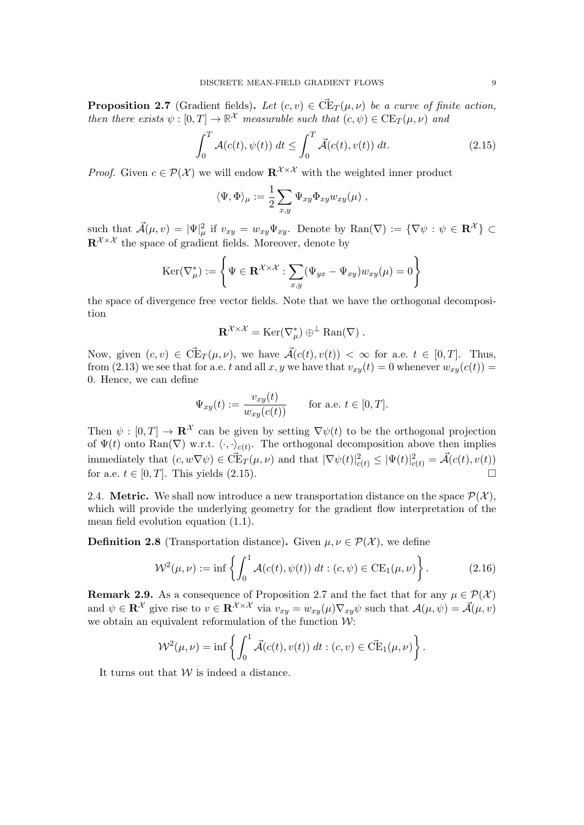<span id="page-8-2"></span>**Proposition 2.7** (Gradient fields). Let  $(c, v) \in \vec{\mathrm{CE}}_T(\mu, \nu)$  be a curve of finite action, then there exists  $\psi : [0, T] \to \mathbb{R}^{\mathcal{X}}$  measurable such that  $(c, \psi) \in \mathrm{CE}_T(\mu, \nu)$  and

<span id="page-8-1"></span>
$$
\int_0^T \mathcal{A}(c(t), \psi(t)) dt \le \int_0^T \vec{\mathcal{A}}(c(t), v(t)) dt.
$$
\n(2.15)

*Proof.* Given  $c \in \mathcal{P}(\mathcal{X})$  we will endow  $\mathbb{R}^{\mathcal{X} \times \mathcal{X}}$  with the weighted inner product

$$
\langle \Psi, \Phi \rangle_{\mu} := \frac{1}{2} \sum_{x,y} \Psi_{xy} \Phi_{xy} w_{xy}(\mu) ,
$$

such that  $\vec{\mathcal{A}}(\mu, v) = |\Psi|^2_{\mu}$  if  $v_{xy} = w_{xy}\Psi_{xy}$ . Denote by  $\text{Ran}(\nabla) := {\nabla \psi : \psi \in \mathbf{R}^{\mathcal{X}}} {\nabla \psi}$  $\mathbf{R}^{\mathcal{X}\times\mathcal{X}}$  the space of gradient fields. Moreover, denote by

$$
\text{Ker}(\nabla^*_{\mu}) := \left\{ \Psi \in \mathbf{R}^{\mathcal{X} \times \mathcal{X}} : \sum_{x,y} (\Psi_{yx} - \Psi_{xy}) w_{xy}(\mu) = 0 \right\}
$$

the space of divergence free vector fields. Note that we have the orthogonal decomposition

$$
\mathbf{R}^{\mathcal{X}\times\mathcal{X}}=\mathrm{Ker}(\nabla_{\mu}^*)\oplus^{\perp}\mathrm{Ran}(\nabla)\ .
$$

Now, given  $(c, v) \in \vec{\mathrm{CE}}_T(\mu, \nu)$ , we have  $\vec{\mathcal{A}}(c(t), v(t)) < \infty$  for a.e.  $t \in [0, T]$ . Thus, from [\(2.13\)](#page-7-1) we see that for a.e. t and all x, y we have that  $v_{xy}(t) = 0$  whenever  $w_{xy}(c(t)) = 0$ 0. Hence, we can define

$$
\Psi_{xy}(t) := \frac{v_{xy}(t)}{w_{xy}(c(t))}
$$
 for a.e.  $t \in [0, T]$ .

Then  $\psi : [0, T] \to \mathbb{R}^{\mathcal{X}}$  can be given by setting  $\nabla \psi(t)$  to be the orthogonal projection of  $\Psi(t)$  onto Ran( $\nabla$ ) w.r.t.  $\langle \cdot, \cdot \rangle_{c(t)}$ . The orthogonal decomposition above then implies immediately that  $(c, w \nabla \psi) \in \vec{\mathrm{CE}}_T(\mu, \nu)$  and that  $|\nabla \psi(t)|^2_{c(t)} \leq |\Psi(t)|^2_{c(t)} = \vec{\mathcal{A}}(c(t), v(t))$ for a.e.  $t \in [0, T]$ . This yields  $(2.15)$ .

<span id="page-8-0"></span>2.4. Metric. We shall now introduce a new transportation distance on the space  $\mathcal{P}(\mathcal{X})$ , which will provide the underlying geometry for the gradient flow interpretation of the mean field evolution equation [\(1.1\)](#page-0-0).

<span id="page-8-3"></span>**Definition 2.8** (Transportation distance). Given  $\mu, \nu \in \mathcal{P}(\mathcal{X})$ , we define

<span id="page-8-5"></span>
$$
\mathcal{W}^2(\mu, \nu) := \inf \left\{ \int_0^1 \mathcal{A}(c(t), \psi(t)) \, dt : (c, \psi) \in \text{CE}_1(\mu, \nu) \right\}.
$$
 (2.16)

<span id="page-8-4"></span>**Remark 2.9.** As a consequence of Proposition [2.7](#page-8-2) and the fact that for any  $\mu \in \mathcal{P}(\mathcal{X})$ and  $\psi \in \mathbf{R}^{\mathcal{X}}$  give rise to  $v \in \mathbf{R}^{\mathcal{X} \times \mathcal{X}}$  via  $v_{xy} = w_{xy}(\mu) \nabla_{xy} \psi$  such that  $\mathcal{A}(\mu, \psi) = \mathcal{A}(\mu, v)$ we obtain an equivalent reformulation of the function  $W$ :

$$
\mathcal{W}^2(\mu,\nu) = \inf \left\{ \int_0^1 \vec{\mathcal{A}}(c(t),v(t)) dt : (c,v) \in \vec{\mathrm{CE}}_1(\mu,\nu) \right\}.
$$

It turns out that  $W$  is indeed a distance.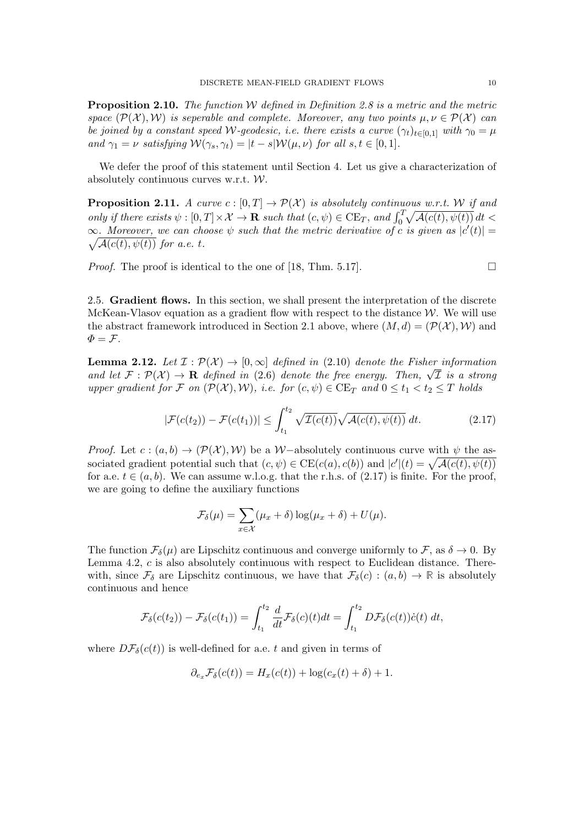<span id="page-9-2"></span>**Proposition 2.10.** The function  $W$  defined in Definition [2.8](#page-8-3) is a metric and the metric space  $(\mathcal{P}(\mathcal{X}), \mathcal{W})$  is seperable and complete. Moreover, any two points  $\mu, \nu \in \mathcal{P}(\mathcal{X})$  can be joined by a constant speed W-geodesic, i.e. there exists a curve  $(\gamma_t)_{t\in[0,1]}$  with  $\gamma_0 = \mu$ and  $\gamma_1 = \nu$  satisfying  $\mathcal{W}(\gamma_s, \gamma_t) = |t - s| \mathcal{W}(\mu, \nu)$  for all  $s, t \in [0, 1]$ .

We defer the proof of this statement until Section [4.](#page-28-0) Let us give a characterization of absolutely continuous curves w.r.t. W.

<span id="page-9-3"></span>**Proposition 2.11.** A curve  $c : [0, T] \to \mathcal{P}(\mathcal{X})$  is absolutely continuous w.r.t. W if and only if there exists  $\psi : [0, T] \times \mathcal{X} \to \mathbf{R}$  such that  $(c, \psi) \in \mathrm{CE}_T$ , and  $\int_0^T \sqrt{\mathcal{A}(c(t), \psi(t))} dt$  $\infty$ . Moreover, we can choose  $\psi$  such that the metric derivative of c is given as  $|c'(t)| =$  $\sqrt{\mathcal{A}(c(t), \psi(t))}$  for a.e. t.

*Proof.* The proof is identical to the one of [\[18,](#page-35-18) Thm. 5.17].

<span id="page-9-0"></span>2.5. Gradient flows. In this section, we shall present the interpretation of the discrete McKean-Vlasov equation as a gradient flow with respect to the distance  $W$ . We will use the abstract framework introduced in Section [2.1](#page-3-1) above, where  $(M, d) = (\mathcal{P}(\mathcal{X}), \mathcal{W})$  and  $\Phi = \mathcal{F}.$ 

**Lemma 2.12.** Let  $\mathcal{I}: \mathcal{P}(\mathcal{X}) \to [0, \infty]$  defined in [\(2.10\)](#page-6-0) denote the Fisher information **Lemma 2.12.** Let  $L : \mathcal{P}(\mathcal{X}) \to [0, \infty]$  defined in (2.10) denote the risher information and let  $\mathcal{F} : \mathcal{P}(\mathcal{X}) \to \mathbf{R}$  defined in [\(2.6\)](#page-6-1) denote the free energy. Then,  $\sqrt{\mathcal{I}}$  is a strong upper gradient for F on  $(\mathcal{P}(\mathcal{X}), \mathcal{W})$ , i.e. for  $(c, \psi) \in \mathrm{CE}_T$  and  $0 \le t_1 < t_2 \le T$  holds

<span id="page-9-1"></span>
$$
|\mathcal{F}(c(t_2)) - \mathcal{F}(c(t_1))| \le \int_{t_1}^{t_2} \sqrt{\mathcal{I}(c(t))} \sqrt{\mathcal{A}(c(t), \psi(t))} dt.
$$
 (2.17)

*Proof.* Let  $c : (a, b) \rightarrow (\mathcal{P}(\mathcal{X}), \mathcal{W})$  be a W-absolutely continuous curve with  $\psi$  the associated gradient potential such that  $(c, \psi) \in \mathrm{CE}(c(a), c(b))$  and  $|c'|(t) = \sqrt{\mathcal{A}(c(t), \psi(t))}$ for a.e.  $t \in (a, b)$ . We can assume w.l.o.g. that the r.h.s. of  $(2.17)$  is finite. For the proof, we are going to define the auxiliary functions

$$
\mathcal{F}_{\delta}(\mu) = \sum_{x \in \mathcal{X}} (\mu_x + \delta) \log(\mu_x + \delta) + U(\mu).
$$

The function  $\mathcal{F}_{\delta}(\mu)$  are Lipschitz continuous and converge uniformly to  $\mathcal{F}$ , as  $\delta \to 0$ . By Lemma [4.2,](#page-28-1) c is also absolutely continuous with respect to Euclidean distance. Therewith, since  $\mathcal{F}_{\delta}$  are Lipschitz continuous, we have that  $\mathcal{F}_{\delta}(c) : (a, b) \to \mathbb{R}$  is absolutely continuous and hence

$$
\mathcal{F}_{\delta}(c(t_2)) - \mathcal{F}_{\delta}(c(t_1)) = \int_{t_1}^{t_2} \frac{d}{dt} \mathcal{F}_{\delta}(c)(t)dt = \int_{t_1}^{t_2} D\mathcal{F}_{\delta}(c(t))\dot{c}(t) dt,
$$

where  $D\mathcal{F}_{\delta}(c(t))$  is well-defined for a.e. t and given in terms of

$$
\partial_{e_x} \mathcal{F}_{\delta}(c(t)) = H_x(c(t)) + \log(c_x(t) + \delta) + 1.
$$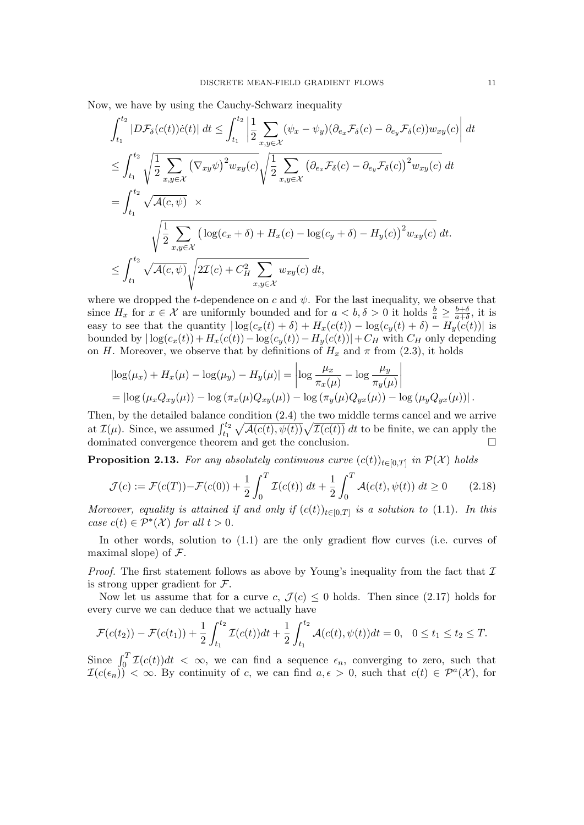Now, we have by using the Cauchy-Schwarz inequality

$$
\int_{t_1}^{t_2} |D\mathcal{F}_{\delta}(c(t))\dot{c}(t)| dt \leq \int_{t_1}^{t_2} \left| \frac{1}{2} \sum_{x,y \in \mathcal{X}} (\psi_x - \psi_y)(\partial_{e_x} \mathcal{F}_{\delta}(c) - \partial_{e_y} \mathcal{F}_{\delta}(c)) w_{xy}(c) \right| dt
$$
  
\n
$$
\leq \int_{t_1}^{t_2} \sqrt{\frac{1}{2} \sum_{x,y \in \mathcal{X}} (\nabla_{xy} \psi)^2 w_{xy}(c)} \sqrt{\frac{1}{2} \sum_{x,y \in \mathcal{X}} (\partial_{e_x} \mathcal{F}_{\delta}(c) - \partial_{e_y} \mathcal{F}_{\delta}(c))^2 w_{xy}(c)} dt
$$
  
\n
$$
= \int_{t_1}^{t_2} \sqrt{\mathcal{A}(c, \psi)} \times \sqrt{\frac{1}{2} \sum_{x,y \in \mathcal{X}} (\log(c_x + \delta) + H_x(c) - \log(c_y + \delta) - H_y(c))^2 w_{xy}(c)} dt.
$$
  
\n
$$
\leq \int_{t_1}^{t_2} \sqrt{\mathcal{A}(c, \psi)} \sqrt{2\mathcal{I}(c) + C_H^2 \sum_{x,y \in \mathcal{X}} w_{xy}(c)} dt,
$$

where we dropped the t-dependence on c and  $\psi$ . For the last inequality, we observe that since  $H_x$  for  $x \in \mathcal{X}$  are uniformly bounded and for  $a < b, \delta > 0$  it holds  $\frac{b}{a} \geq \frac{b+\delta}{a+\delta}$  $\frac{b+\delta}{a+\delta}$ , it is easy to see that the quantity  $|\log(c_x(t) + \delta) + H_x(c(t)) - \log(c_y(t) + \delta) - H_y(c(t))|$  is bounded by  $|\log(c_x(t)) + H_x(c(t)) - \log(c_y(t)) - H_y(c(t))| + C_H$  with  $C_H$  only depending on H. Moreover, we observe that by definitions of  $H_x$  and  $\pi$  from [\(2.3\)](#page-5-1), it holds

$$
|\log(\mu_x) + H_x(\mu) - \log(\mu_y) - H_y(\mu)| = \left| \log \frac{\mu_x}{\pi_x(\mu)} - \log \frac{\mu_y}{\pi_y(\mu)} \right|
$$
  
=  $|\log (\mu_x Q_{xy}(\mu)) - \log (\pi_x(\mu) Q_{xy}(\mu)) - \log (\pi_y(\mu) Q_{yx}(\mu)) - \log (\mu_y Q_{yx}(\mu))|.$ 

Then, by the detailed balance condition [\(2.4\)](#page-5-3) the two middle terms cancel and we arrive at  $\mathcal{I}(\mu)$ . Since, we assumed  $\int_{t_1}^{t_2} \sqrt{\mathcal{A}(c(t), \psi(t))} \sqrt{\mathcal{I}(c(t))} dt$  to be finite, we can apply the dominated convergence theorem and get the conclusion.

<span id="page-10-1"></span>**Proposition 2.13.** For any absolutely continuous curve  $(c(t))_{t\in[0,T]}$  in  $\mathcal{P}(\mathcal{X})$  holds

<span id="page-10-0"></span>
$$
\mathcal{J}(c) := \mathcal{F}(c(T)) - \mathcal{F}(c(0)) + \frac{1}{2} \int_0^T \mathcal{I}(c(t)) \, dt + \frac{1}{2} \int_0^T \mathcal{A}(c(t), \psi(t)) \, dt \ge 0 \tag{2.18}
$$

Moreover, equality is attained if and only if  $(c(t))_{t\in[0,T]}$  is a solution to [\(1.1\)](#page-0-0). In this case  $c(t) \in \mathcal{P}^*(\mathcal{X})$  for all  $t > 0$ .

In other words, solution to [\(1.1\)](#page-0-0) are the only gradient flow curves (i.e. curves of maximal slope) of  $\mathcal{F}$ .

*Proof.* The first statement follows as above by Young's inequality from the fact that  $\mathcal I$ is strong upper gradient for  $\mathcal{F}$ .

Now let us assume that for a curve c,  $\mathcal{J}(c) \leq 0$  holds. Then since [\(2.17\)](#page-9-1) holds for every curve we can deduce that we actually have

$$
\mathcal{F}(c(t_2)) - \mathcal{F}(c(t_1)) + \frac{1}{2} \int_{t_1}^{t_2} \mathcal{I}(c(t))dt + \frac{1}{2} \int_{t_1}^{t_2} \mathcal{A}(c(t), \psi(t))dt = 0, \quad 0 \le t_1 \le t_2 \le T.
$$

Since  $\int_0^T \mathcal{I}(c(t))dt < \infty$ , we can find a sequence  $\epsilon_n$ , converging to zero, such that  $\mathcal{I}(c(\epsilon_n))$  <  $\infty$ . By continuity of c, we can find  $a, \epsilon > 0$ , such that  $c(t) \in \mathcal{P}^a(\mathcal{X})$ , for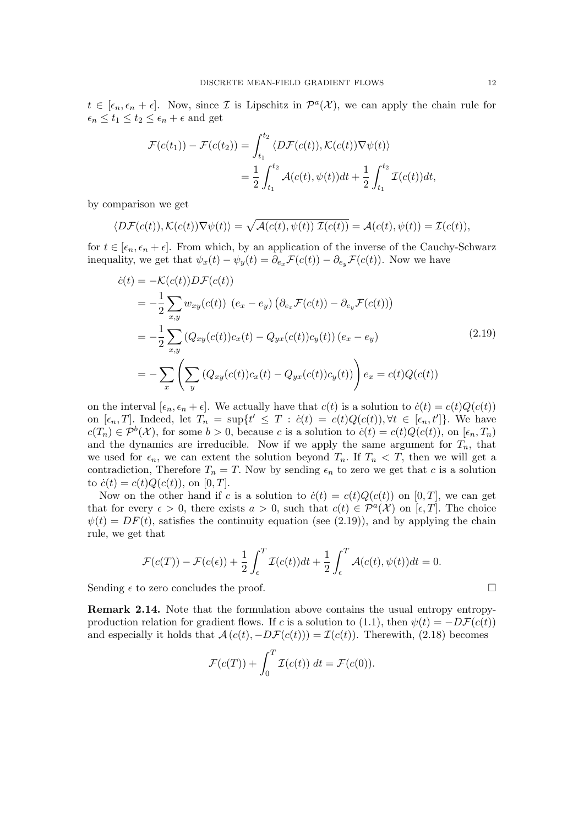$t \in [\epsilon_n, \epsilon_n + \epsilon]$ . Now, since *I* is Lipschitz in  $\mathcal{P}^a(\mathcal{X})$ , we can apply the chain rule for  $\epsilon_n \leq t_1 \leq t_2 \leq \epsilon_n + \epsilon$  and get

$$
\mathcal{F}(c(t_1)) - \mathcal{F}(c(t_2)) = \int_{t_1}^{t_2} \langle D\mathcal{F}(c(t)), \mathcal{K}(c(t))\nabla\psi(t) \rangle
$$
  
= 
$$
\frac{1}{2} \int_{t_1}^{t_2} \mathcal{A}(c(t), \psi(t))dt + \frac{1}{2} \int_{t_1}^{t_2} \mathcal{I}(c(t))dt,
$$

by comparison we get

$$
\langle D\mathcal{F}(c(t)), \mathcal{K}(c(t))\nabla\psi(t)\rangle = \sqrt{\mathcal{A}(c(t), \psi(t)) \mathcal{I}(c(t))} = \mathcal{A}(c(t), \psi(t)) = \mathcal{I}(c(t)),
$$

for  $t \in [\epsilon_n, \epsilon_n + \epsilon]$ . From which, by an application of the inverse of the Cauchy-Schwarz inequality, we get that  $\psi_x(t) - \psi_y(t) = \partial_{e_x} \mathcal{F}(c(t)) - \partial_{e_y} \mathcal{F}(c(t))$ . Now we have

<span id="page-11-0"></span>
$$
\dot{c}(t) = -\mathcal{K}(c(t))D\mathcal{F}(c(t))
$$
\n
$$
= -\frac{1}{2} \sum_{x,y} w_{xy}(c(t)) \left( e_x - e_y \right) \left( \partial_{e_x} \mathcal{F}(c(t)) - \partial_{e_y} \mathcal{F}(c(t)) \right)
$$
\n
$$
= -\frac{1}{2} \sum_{x,y} \left( Q_{xy}(c(t))c_x(t) - Q_{yx}(c(t))c_y(t) \right) \left( e_x - e_y \right)
$$
\n
$$
= -\sum_x \left( \sum_y \left( Q_{xy}(c(t))c_x(t) - Q_{yx}(c(t))c_y(t) \right) \right) e_x = c(t)Q(c(t))
$$
\n(2.19)

on the interval  $[\epsilon_n, \epsilon_n + \epsilon]$ . We actually have that  $c(t)$  is a solution to  $\dot{c}(t) = c(t)Q(c(t))$ on  $[\epsilon_n, T]$ . Indeed, let  $T_n = \sup\{t' \leq T : c(t) = c(t)Q(c(t)), \forall t \in [\epsilon_n, t']\}$ . We have  $c(T_n) \in \mathcal{P}^b(\mathcal{X})$ , for some  $b > 0$ , because c is a solution to  $\dot{c}(t) = c(t)Q(c(t))$ , on  $[\epsilon_n, T_n)$ and the dynamics are irreducible. Now if we apply the same argument for  $T_n$ , that we used for  $\epsilon_n$ , we can extent the solution beyond  $T_n$ . If  $T_n < T$ , then we will get a contradiction, Therefore  $T_n = T$ . Now by sending  $\epsilon_n$  to zero we get that c is a solution to  $\dot{c}(t) = c(t)Q(c(t))$ , on [0, T].

Now on the other hand if c is a solution to  $\dot{c}(t) = c(t)Q(c(t))$  on [0, T], we can get that for every  $\epsilon > 0$ , there exists  $a > 0$ , such that  $c(t) \in \mathcal{P}^{a}(\mathcal{X})$  on  $[\epsilon, T]$ . The choice  $\psi(t) = DF(t)$ , satisfies the continuity equation (see [\(2.19\)](#page-11-0)), and by applying the chain rule, we get that

$$
\mathcal{F}(c(T)) - \mathcal{F}(c(\epsilon)) + \frac{1}{2} \int_{\epsilon}^{T} \mathcal{I}(c(t))dt + \frac{1}{2} \int_{\epsilon}^{T} \mathcal{A}(c(t), \psi(t))dt = 0.
$$

Sending  $\epsilon$  to zero concludes the proof.

Remark 2.14. Note that the formulation above contains the usual entropy entropy-production relation for gradient flows. If c is a solution to [\(1.1\)](#page-0-0), then  $\psi(t) = -D\mathcal{F}(c(t))$ and especially it holds that  $\mathcal{A}(c(t), -D\mathcal{F}(c(t))) = \mathcal{I}(c(t))$ . Therewith, [\(2.18\)](#page-10-0) becomes

$$
\mathcal{F}(c(T)) + \int_0^T \mathcal{I}(c(t)) dt = \mathcal{F}(c(0)).
$$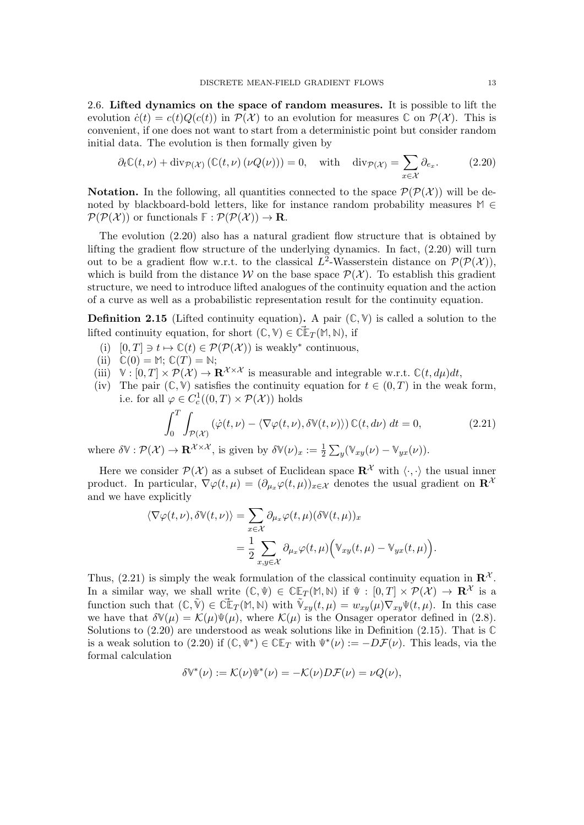<span id="page-12-0"></span>2.6. Lifted dynamics on the space of random measures. It is possible to lift the evolution  $\dot{c}(t) = c(t)Q(c(t))$  in  $\mathcal{P}(\mathcal{X})$  to an evolution for measures  $\mathbb{C}$  on  $\mathcal{P}(\mathcal{X})$ . This is convenient, if one does not want to start from a deterministic point but consider random initial data. The evolution is then formally given by

<span id="page-12-1"></span>
$$
\partial_t \mathbb{C}(t,\nu) + \text{div}_{\mathcal{P}(\mathcal{X})} \left( \mathbb{C}(t,\nu) \left( \nu Q(\nu) \right) \right) = 0, \quad \text{with} \quad \text{div}_{\mathcal{P}(\mathcal{X})} = \sum_{x \in \mathcal{X}} \partial_{e_x}.
$$
 (2.20)

**Notation.** In the following, all quantities connected to the space  $\mathcal{P}(\mathcal{P}(\mathcal{X}))$  will be denoted by blackboard-bold letters, like for instance random probability measures  $M$  ∈  $\mathcal{P}(\mathcal{P}(\mathcal{X}))$  or functionals  $\mathbb{F}: \mathcal{P}(\mathcal{P}(\mathcal{X})) \to \mathbf{R}$ .

The evolution [\(2.20\)](#page-12-1) also has a natural gradient flow structure that is obtained by lifting the gradient flow structure of the underlying dynamics. In fact, [\(2.20\)](#page-12-1) will turn out to be a gradient flow w.r.t. to the classical  $L^2$ -Wasserstein distance on  $\mathcal{P}(\mathcal{P}(\mathcal{X}))$ , which is build from the distance W on the base space  $\mathcal{P}(\mathcal{X})$ . To establish this gradient structure, we need to introduce lifted analogues of the continuity equation and the action of a curve as well as a probabilistic representation result for the continuity equation.

<span id="page-12-3"></span>Definition 2.15 (Lifted continuity equation). A pair (**C**, **V**) is called a solution to the lifted continuity equation, for short  $(\mathbb{C}, \mathbb{V}) \in \tilde{\mathbb{C}}\mathbb{F}_T(\mathbb{M}, \mathbb{N})$ , if

- (i)  $[0, T] \ni t \mapsto \mathbb{C}(t) \in \mathcal{P}(\mathcal{P}(\mathcal{X}))$  is weakly<sup>∗</sup> continuous,
- (ii)  $\mathbb{C}(0) = \mathbb{M}; \mathbb{C}(T) = \mathbb{N};$
- (iii)  $\mathbb{V}: [0, T] \times \mathcal{P}(\mathcal{X}) \to \mathbf{R}^{\mathcal{X} \times \mathcal{X}}$  is measurable and integrable w.r.t.  $\mathbb{C}(t, d\mu)dt$ ,
- (iv) The pair  $(\mathbb{C}, \mathbb{V})$  satisfies the continuity equation for  $t \in (0, T)$  in the weak form, i.e. for all  $\varphi \in C_c^1((0,T) \times \mathcal{P}(\mathcal{X}))$  holds

$$
\int_0^T \int_{\mathcal{P}(\mathcal{X})} (\dot{\varphi}(t,\nu) - \langle \nabla \varphi(t,\nu), \delta \mathbb{V}(t,\nu) \rangle) \mathbb{C}(t, d\nu) dt = 0,
$$
\n(2.21)

<span id="page-12-2"></span>where  $\delta \mathbb{V}: \mathcal{P}(\mathcal{X}) \to \mathbf{R}^{\mathcal{X} \times \mathcal{X}}$ , is given by  $\delta \mathbb{V}(\nu)_x := \frac{1}{2} \sum_y (\mathbb{V}_{xy}(\nu) - \mathbb{V}_{yx}(\nu)).$ 

Here we consider  $\mathcal{P}(\mathcal{X})$  as a subset of Euclidean space  $\mathbf{R}^{\mathcal{X}}$  with  $\langle \cdot, \cdot \rangle$  the usual inner product. In particular,  $\nabla \varphi(t,\mu) = (\partial_{\mu_x}\varphi(t,\mu))_{x \in \mathcal{X}}$  denotes the usual gradient on  $\mathbb{R}^{\mathcal{X}}$ and we have explicitly

$$
\langle \nabla \varphi(t, \nu), \delta \mathbb{V}(t, \nu) \rangle = \sum_{x \in \mathcal{X}} \partial_{\mu_x} \varphi(t, \mu) (\delta \mathbb{V}(t, \mu))_x
$$
  
= 
$$
\frac{1}{2} \sum_{x, y \in \mathcal{X}} \partial_{\mu_x} \varphi(t, \mu) \Big( \mathbb{V}_{xy}(t, \mu) - \mathbb{V}_{yx}(t, \mu) \Big).
$$

Thus, [\(2.21\)](#page-12-2) is simply the weak formulation of the classical continuity equation in  $\mathbb{R}^{\mathcal{X}}$ . In a similar way, we shall write  $(\mathbb{C}, \Psi) \in \mathbb{CE}_T(\mathbb{M}, \mathbb{N})$  if  $\Psi : [0, T] \times \mathcal{P}(\mathcal{X}) \to \mathbb{R}^{\mathcal{X}}$  is a function such that  $(C, \tilde{V}) \in \tilde{\mathbb{C}}\mathbb{F}_T(\mathbb{M}, \mathbb{N})$  with  $\tilde{V}_{xy}(t, \mu) = w_{xy}(\mu) \nabla_{xy} \Psi(t, \mu)$ . In this case we have that  $\delta \mathbb{V}(\mu) = \mathcal{K}(\mu) \mathbb{V}(\mu)$ , where  $\mathcal{K}(\mu)$  is the Onsager operator defined in [\(2.8\)](#page-6-2). Solutions to [\(2.20\)](#page-12-1) are understood as weak solutions like in Definition [\(2.15\)](#page-12-3). That is **C** is a weak solution to [\(2.20\)](#page-12-1) if  $(\mathbb{C}, \mathbb{V}^*) \in \mathbb{CE}_T$  with  $\mathbb{V}^*(\nu) := -D\mathcal{F}(\nu)$ . This leads, via the formal calculation

$$
\delta \mathbb{V}^*(\nu) := \mathcal{K}(\nu)\Psi^*(\nu) = -\mathcal{K}(\nu)D\mathcal{F}(\nu) = \nu Q(\nu),
$$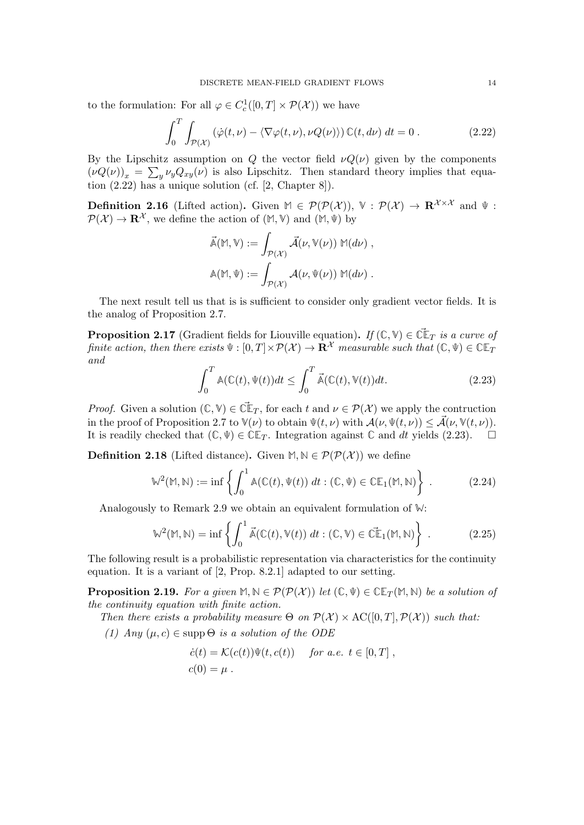to the formulation: For all  $\varphi \in C_c^1([0, T] \times \mathcal{P}(\mathcal{X}))$  we have

<span id="page-13-0"></span>
$$
\int_0^T \int_{\mathcal{P}(\mathcal{X})} (\dot{\varphi}(t,\nu) - \langle \nabla \varphi(t,\nu), \nu Q(\nu) \rangle) \mathbb{C}(t, d\nu) dt = 0.
$$
 (2.22)

By the Lipschitz assumption on Q the vector field  $\nu Q(\nu)$  given by the components  $(\nu Q(\nu))_x = \sum_y \nu_y Q_{xy}(\nu)$  is also Lipschitz. Then standard theory implies that equation [\(2.22\)](#page-13-0) has a unique solution (cf. [\[2,](#page-35-3) Chapter 8]).

**Definition 2.16** (Lifted action). Given  $M \in \mathcal{P}(\mathcal{P}(\mathcal{X}))$ ,  $\mathbb{V}: \mathcal{P}(\mathcal{X}) \to \mathbf{R}^{\mathcal{X} \times \mathcal{X}}$  and  $\mathbb{V}:$  $\mathcal{P}(\mathcal{X}) \to \mathbb{R}^{\mathcal{X}}$ , we define the action of  $(\mathbb{M}, \mathbb{V})$  and  $(\mathbb{M}, \mathbb{V})$  by

$$
\vec{\mathbb{A}}(\mathbb{M}, \mathbb{V}) := \int_{\mathcal{P}(\mathcal{X})} \vec{\mathcal{A}}(\nu, \mathbb{V}(\nu)) \mathbb{M}(d\nu),
$$

$$
\mathbb{A}(\mathbb{M}, \Psi) := \int_{\mathcal{P}(\mathcal{X})} \mathcal{A}(\nu, \Psi(\nu)) \mathbb{M}(d\nu).
$$

The next result tell us that is is sufficient to consider only gradient vector fields. It is the analog of Proposition [2.7.](#page-8-2)

<span id="page-13-5"></span>**Proposition 2.17** (Gradient fields for Liouville equation). If  $(\mathbb{C}, \mathbb{V}) \in \mathbb{C} \mathbb{F}_T$  is a curve of finite action, then there exists  $\Psi : [0, T] \times \mathcal{P}(\mathcal{X}) \to \mathbf{R}^{\mathcal{X}}$  measurable such that  $(\mathbb{C}, \Psi) \in \mathbb{C} \mathbb{E}_T$ and

<span id="page-13-1"></span>
$$
\int_0^T \mathbb{A}(\mathbb{C}(t), \Psi(t))dt \le \int_0^T \vec{\mathbb{A}}(\mathbb{C}(t), \mathbb{V}(t))dt.
$$
\n(2.23)

*Proof.* Given a solution  $(\mathbb{C}, \mathbb{V}) \in \tilde{\mathbb{C}}\mathbb{F}_T$ , for each t and  $\nu \in \mathcal{P}(\mathcal{X})$  we apply the contruction in the proof of Proposition [2.7](#page-8-2) to  $\mathbb{V}(\nu)$  to obtain  $\Psi(t,\nu)$  with  $\mathcal{A}(\nu,\Psi(t,\nu)) \leq \mathcal{A}(\nu,\mathbb{V}(t,\nu)).$ It is readily checked that  $(\mathbb{C}, \Psi) \in \mathbb{CE}_T$ . Integration against  $\mathbb{C}$  and dt yields [\(2.23\)](#page-13-1).  $\square$ 

**Definition 2.18** (Lifted distance). Given  $M, N \in \mathcal{P}(\mathcal{P}(\mathcal{X}))$  we define

<span id="page-13-2"></span>
$$
\mathbb{W}^2(\mathbb{M}, \mathbb{N}) := \inf \left\{ \int_0^1 \mathbb{A}(\mathbb{C}(t), \Psi(t)) \, dt : (\mathbb{C}, \Psi) \in \mathbb{CE}_1(\mathbb{M}, \mathbb{N}) \right\} \,. \tag{2.24}
$$

Analogously to Remark [2.9](#page-8-4) we obtain an equivalent formulation of **W**:

<span id="page-13-3"></span>
$$
\mathbb{W}^2(\mathbb{M}, \mathbb{N}) = \inf \left\{ \int_0^1 \vec{\mathbb{A}}(\mathbb{C}(t), \mathbb{V}(t)) dt : (\mathbb{C}, \mathbb{V}) \in \widetilde{\mathbb{CE}}_1(\mathbb{M}, \mathbb{N}) \right\} .
$$
 (2.25)

The following result is a probabilistic representation via characteristics for the continuity equation. It is a variant of [\[2,](#page-35-3) Prop. 8.2.1] adapted to our setting.

<span id="page-13-4"></span>**Proposition 2.19.** For a given  $M, N \in \mathcal{P}(\mathcal{P}(\mathcal{X}))$  let  $(\mathbb{C}, \Psi) \in \mathbb{CE}_T(M, N)$  be a solution of the continuity equation with finite action.

Then there exists a probability measure  $\Theta$  on  $\mathcal{P}(\mathcal{X}) \times \mathrm{AC}([0,T], \mathcal{P}(\mathcal{X}))$  such that:

(1) Any  $(\mu, c) \in \text{supp}\,\Theta$  is a solution of the ODE

$$
\dot{c}(t) = \mathcal{K}(c(t))\Psi(t, c(t)) \quad \text{for a.e. } t \in [0, T],
$$
  

$$
c(0) = \mu.
$$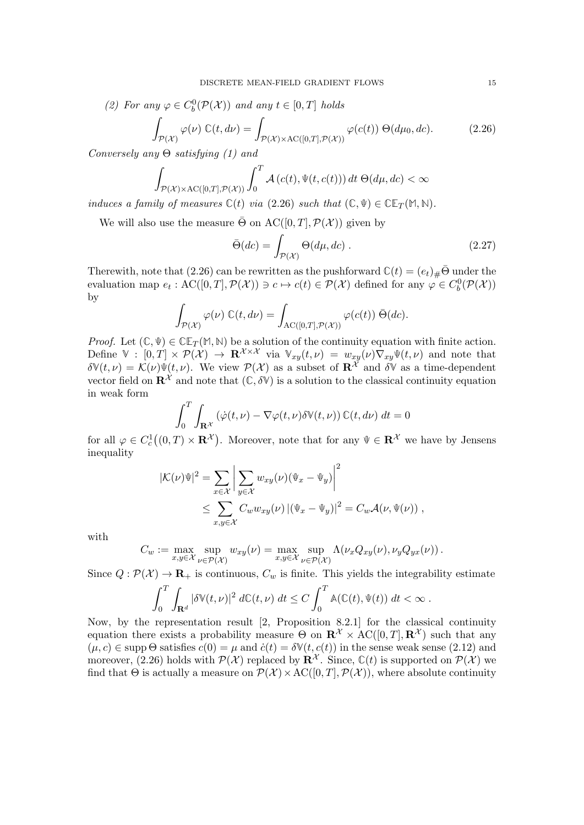(2) For any  $\varphi \in C_b^0(\mathcal{P}(\mathcal{X}))$  and any  $t \in [0, T]$  holds

<span id="page-14-0"></span>
$$
\int_{\mathcal{P}(\mathcal{X})} \varphi(\nu) \mathbb{C}(t, d\nu) = \int_{\mathcal{P}(\mathcal{X}) \times \mathrm{AC}([0, T], \mathcal{P}(\mathcal{X}))} \varphi(c(t)) \Theta(d\mu_0, dc).
$$
\n(2.26)

Conversely any  $\Theta$  satisfying (1) and

$$
\int_{\mathcal{P}(\mathcal{X}) \times \mathrm{AC}([0,T], \mathcal{P}(\mathcal{X}))} \int_0^T \mathcal{A}\left(c(t), \Psi(t, c(t))\right) dt \, \Theta(d\mu, dc) < \infty
$$

induces a family of measures  $\mathbb{C}(t)$  via [\(2.26\)](#page-14-0) such that  $(\mathbb{C}, \Psi) \in \mathbb{CE}_T(\mathbb{M}, \mathbb{N})$ .

We will also use the measure  $\overline{\Theta}$  on  $\mathrm{AC}([0,T], \mathcal{P}(\mathcal{X}))$  given by

<span id="page-14-1"></span>
$$
\bar{\Theta}(dc) = \int_{\mathcal{P}(\mathcal{X})} \Theta(d\mu, dc) . \qquad (2.27)
$$

Therewith, note that [\(2.26\)](#page-14-0) can be rewritten as the pushforward  $\mathbb{C}(t) = (e_t)_\# \bar{\Theta}$  under the evaluation map  $e_t$ :  $\mathrm{AC}([0,T], \mathcal{P}(\mathcal{X})) \ni c \mapsto c(t) \in \mathcal{P}(\mathcal{X})$  defined for any  $\varphi \in C_b^0(\mathcal{P}(\mathcal{X}))$ by

$$
\int_{\mathcal{P}(\mathcal{X})} \varphi(\nu) \ \mathbb{C}(t, d\nu) = \int_{\mathrm{AC}([0,T], \mathcal{P}(\mathcal{X}))} \varphi(c(t)) \ \bar{\Theta}(dc).
$$

*Proof.* Let  $(\mathbb{C}, \Psi) \in \mathbb{CE}_T(\mathbb{M}, \mathbb{N})$  be a solution of the continuity equation with finite action. Define  $\mathbb{V} : [0,T] \times \mathcal{P}(\mathcal{X}) \to \mathbf{R}^{\mathcal{X} \times \mathcal{X}}$  via  $\mathbb{V}_{xy}(t,\nu) = w_{xy}(\nu) \nabla_{xy} \Psi(t,\nu)$  and note that  $\delta \mathbb{V}(t, \nu) = \mathcal{K}(\nu) \mathbb{V}(t, \nu)$ . We view  $\mathcal{P}(\mathcal{X})$  as a subset of  $\mathbb{R}^{\mathcal{X}}$  and  $\delta \mathbb{V}$  as a time-dependent vector field on  $\mathbb{R}^{\mathcal{X}}$  and note that  $(\mathbb{C}, \delta \mathbb{V})$  is a solution to the classical continuity equation in weak form

$$
\int_0^T \int_{\mathbf{R}^{\mathcal{X}}} \left( \dot{\varphi}(t,\nu) - \nabla \varphi(t,\nu) \delta \mathbb{V}(t,\nu) \right) \mathbb{C}(t,d\nu) dt = 0
$$

for all  $\varphi \in C_c^1((0,T) \times \mathbf{R}^{\mathcal{X}})$ . Moreover, note that for any  $\Psi \in \mathbf{R}^{\mathcal{X}}$  we have by Jensens inequality

$$
|\mathcal{K}(\nu)\Psi|^2 = \sum_{x \in \mathcal{X}} \left| \sum_{y \in \mathcal{X}} w_{xy}(\nu) (\Psi_x - \Psi_y) \right|^2
$$
  
 
$$
\leq \sum_{x,y \in \mathcal{X}} C_w w_{xy}(\nu) |(\Psi_x - \Psi_y)|^2 = C_w \mathcal{A}(\nu, \Psi(\nu)),
$$

with

$$
C_w := \max_{x,y \in \mathcal{X}} \sup_{\nu \in \mathcal{P}(\mathcal{X})} w_{xy}(\nu) = \max_{x,y \in \mathcal{X}} \sup_{\nu \in \mathcal{P}(\mathcal{X})} \Lambda(\nu_x Q_{xy}(\nu), \nu_y Q_{yx}(\nu)).
$$

Since  $Q : \mathcal{P}(\mathcal{X}) \to \mathbf{R}_{+}$  is continuous,  $C_w$  is finite. This yields the integrability estimate

$$
\int_0^T \int_{\mathbf{R}^d} |\delta \mathbb{V}(t,\nu)|^2 d\mathbb{C}(t,\nu) dt \leq C \int_0^T \mathbb{A}(\mathbb{C}(t), \Psi(t)) dt < \infty.
$$

Now, by the representation result [\[2,](#page-35-3) Proposition 8.2.1] for the classical continuity equation there exists a probability measure  $\Theta$  on  $\mathbb{R}^{\mathcal{X}} \times \mathrm{AC}([0,T], \mathbb{R}^{\mathcal{X}})$  such that any  $(\mu, c) \in \text{supp } \Theta \text{ satisfies } c(0) = \mu \text{ and } \dot{c}(t) = \delta \mathbb{V}(t, c(t))$  in the sense weak sense [\(2.12\)](#page-7-2) and moreover, [\(2.26\)](#page-14-0) holds with  $\mathcal{P}(\mathcal{X})$  replaced by  $\mathbf{R}^{\mathcal{X}}$ . Since,  $\mathbb{C}(t)$  is supported on  $\mathcal{P}(\mathcal{X})$  we find that  $\Theta$  is actually a measure on  $\mathcal{P}(\mathcal{X}) \times \text{AC}([0,T], \mathcal{P}(\mathcal{X}))$ , where absolute continuity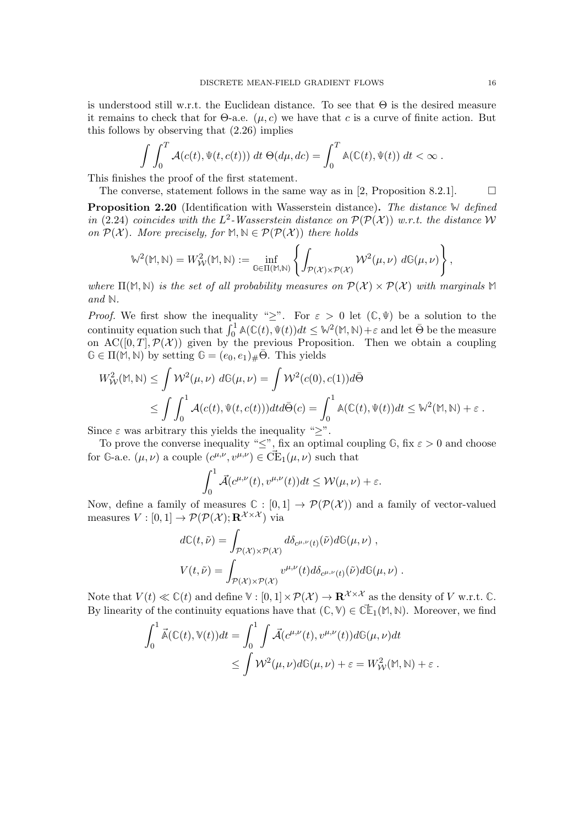is understood still w.r.t. the Euclidean distance. To see that  $\Theta$  is the desired measure it remains to check that for  $\Theta$ -a.e. ( $\mu$ , c) we have that c is a curve of finite action. But this follows by observing that [\(2.26\)](#page-14-0) implies

$$
\int \int_0^T \mathcal{A}(c(t), \Psi(t, c(t))) dt \Theta(d\mu, dc) = \int_0^T \mathbb{A}(\mathbb{C}(t), \Psi(t)) dt < \infty.
$$

This finishes the proof of the first statement.

The converse, statement follows in the same way as in [\[2,](#page-35-3) Proposition 8.2.1].  $\Box$ Proposition 2.20 (Identification with Wasserstein distance). The distance **W** defined in [\(2.24\)](#page-13-2) coincides with the  $L^2$ -Wasserstein distance on  $\mathcal{P}(\mathcal{P}(\mathcal{X}))$  w.r.t. the distance W

on 
$$
\mathcal{P}(\mathcal{X})
$$
. More precisely, for  $M, N \in \mathcal{P}(\mathcal{P}(\mathcal{X}))$  there holds  
\n
$$
\mathbb{W}^2(M, N) = W_W^2(M, N) := \inf_{\mathbb{G} \in \Pi(M, N)} \left\{ \int_{\mathcal{P}(\mathcal{X}) \times \mathcal{P}(\mathcal{X})} \mathcal{W}^2(\mu, \nu) d\mathbb{G}(\mu, \nu) \right\},
$$

where  $\Pi(\mathbb{M}, \mathbb{N})$  is the set of all probability measures on  $\mathcal{P}(\mathcal{X}) \times \mathcal{P}(\mathcal{X})$  with marginals  $\mathbb{M}$ and **N**.

*Proof.* We first show the inequality " $\geq$ ". For  $\varepsilon > 0$  let  $(\mathbb{C}, \Psi)$  be a solution to the continuity equation such that  $\int_0^1 A(\mathbb{C}(t), \Psi(t))dt \leq \mathbb{W}^2(\mathbb{M}, \mathbb{N}) + \varepsilon$  and let  $\bar{\Theta}$  be the measure on  $AC([0,T], \mathcal{P}(\mathcal{X}))$  given by the previous Proposition. Then we obtain a coupling  $\mathbb{G} \in \Pi(\mathbb{M}, \mathbb{N})$  by setting  $\mathbb{G} = (e_0, e_1)_\# \overline{\Theta}$ . This yields

$$
W_{\mathcal{W}}^2(\mathbb{M}, \mathbb{N}) \leq \int \mathcal{W}^2(\mu, \nu) d\mathbb{G}(\mu, \nu) = \int \mathcal{W}^2(c(0), c(1)) d\bar{\Theta}
$$
  
\$\leq \int \int\_0^1 \mathcal{A}(c(t), \Psi(t, c(t))) dt d\bar{\Theta}(c) = \int\_0^1 \mathbb{A}(\mathbb{C}(t), \Psi(t)) dt \leq \mathbb{W}^2(\mathbb{M}, \mathbb{N}) + \varepsilon.

Since  $\varepsilon$  was arbitrary this yields the inequality " $\geq$ ".

To prove the converse inequality " $\leq$ ", fix an optimal coupling  $\mathbb{G}$ , fix  $\varepsilon > 0$  and choose for  $\mathbb{G}$ -a.e.  $(\mu, \nu)$  a couple  $(c^{\mu,\nu}, v^{\mu,\nu}) \in \mathcal{C}\mathcal{E}_1(\mu, \nu)$  such that

$$
\int_0^1 \vec{\mathcal{A}}(c^{\mu,\nu}(t), v^{\mu,\nu}(t))dt \le \mathcal{W}(\mu, \nu) + \varepsilon.
$$

Now, define a family of measures  $\mathbb{C} : [0,1] \to \mathcal{P}(\mathcal{P}(\mathcal{X}))$  and a family of vector-valued measures  $V : [0, 1] \rightarrow \mathcal{P}(\mathcal{P}(\mathcal{X}); \mathbf{R}^{\mathcal{X} \times \mathcal{X}})$  via

$$
d\mathbb{C}(t,\tilde{\nu}) = \int_{\mathcal{P}(\mathcal{X}) \times \mathcal{P}(\mathcal{X})} d\delta_{c^{\mu,\nu}(t)}(\tilde{\nu}) d\mathbb{G}(\mu,\nu) ,
$$
  

$$
V(t,\tilde{\nu}) = \int_{\mathcal{P}(\mathcal{X}) \times \mathcal{P}(\mathcal{X})} v^{\mu,\nu}(t) d\delta_{c^{\mu,\nu}(t)}(\tilde{\nu}) d\mathbb{G}(\mu,\nu) .
$$

Note that  $V(t) \ll \mathbb{C}(t)$  and define  $V : [0, 1] \times \mathcal{P}(\mathcal{X}) \to \mathbb{R}^{\mathcal{X} \times \mathcal{X}}$  as the density of V w.r.t.  $\mathbb{C}$ . By linearity of the continuity equations have that  $(\mathbb{C}, \mathbb{V}) \in \mathbb{C}\mathbb{L}_1(\mathbb{M}, \mathbb{N})$ . Moreover, we find

$$
\int_0^1 \vec{\mathbb{A}}(\mathbb{C}(t), \mathbb{V}(t)) dt = \int_0^1 \int \vec{\mathcal{A}}(c^{\mu,\nu}(t), v^{\mu,\nu}(t)) d\mathbb{G}(\mu, \nu) dt
$$
  
 
$$
\leq \int \mathcal{W}^2(\mu, \nu) d\mathbb{G}(\mu, \nu) + \varepsilon = W_{\mathcal{W}}^2(\mathbb{M}, \mathbb{N}) + \varepsilon.
$$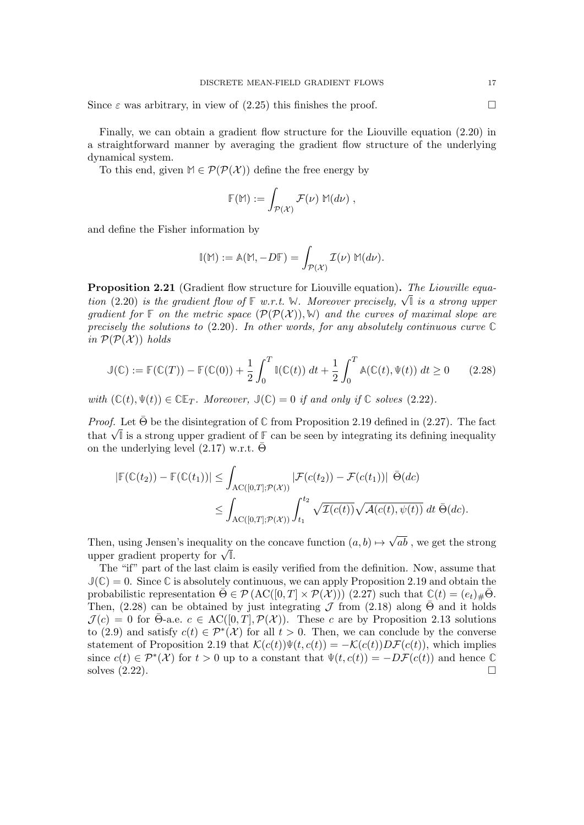Since  $\varepsilon$  was arbitrary, in view of [\(2.25\)](#page-13-3) this finishes the proof.

Finally, we can obtain a gradient flow structure for the Liouville equation [\(2.20\)](#page-12-1) in a straightforward manner by averaging the gradient flow structure of the underlying dynamical system.

To this end, given  $M \in \mathcal{P}(\mathcal{P}(\mathcal{X}))$  define the free energy by

$$
\mathbb{F}(\mathbb{M}) := \int_{\mathcal{P}(\mathcal{X})} \mathcal{F}(\nu) \, \mathbb{M}(d\nu) ,
$$

and define the Fisher information by

$$
\mathbb{I}(\mathbb{M}) := \mathbb{A}(\mathbb{M}, -D\mathbb{F}) = \int_{\mathcal{P}(\mathcal{X})} \mathcal{I}(\nu) \, \mathbb{M}(d\nu).
$$

<span id="page-16-1"></span>**Proposition 2.21** (Gradient flow structure for Liouville equation). The Liouville equa-**Example 1.21** (Gradient flow structure for Liouvine equation). The Liouvine equation [\(2.20\)](#page-12-1) is the gradient flow of  $\mathbb{F}$  w.r.t. W. Moreover precisely,  $\sqrt{\mathbb{I}}$  is a strong upper gradient for  $\mathbb{F}$  on the metric space  $(\mathcal{P}(\mathcal{P}(\mathcal{X})), \mathbb{W})$  and the curves of maximal slope are precisely the solutions to [\(2.20\)](#page-12-1). In other words, for any absolutely continuous curve **C** in  $\mathcal{P}(\mathcal{P}(\mathcal{X}))$  holds

<span id="page-16-0"></span>
$$
\mathbb{J}(\mathbb{C}) := \mathbb{F}(\mathbb{C}(T)) - \mathbb{F}(\mathbb{C}(0)) + \frac{1}{2} \int_0^T \mathbb{I}(\mathbb{C}(t)) dt + \frac{1}{2} \int_0^T \mathbb{A}(\mathbb{C}(t), \Psi(t)) dt \ge 0 \qquad (2.28)
$$

with  $(\mathbb{C}(t), \Psi(t)) \in \mathbb{CE}_T$ . Moreover,  $\mathbb{J}(\mathbb{C}) = 0$  if and only if  $\mathbb{C}$  solves [\(2.22\)](#page-13-0).

*Proof.* Let  $\bar{\Theta}$  be the disintegration of  $\mathbb C$  from Proposition [2.19](#page-13-4) defined in [\(2.27\)](#page-14-1). The fact *Proof.* Let  $\Theta$  be the disintegration of  $\cup$  from Proposition 2.19 defined in (2.27). The fact that  $\sqrt{\mathbb{I}}$  is a strong upper gradient of  $\mathbb{F}$  can be seen by integrating its defining inequality on the underlying level  $(2.17)$  w.r.t.  $\overline{\Theta}$ 

$$
|\mathbb{F}(\mathbb{C}(t_2)) - \mathbb{F}(\mathbb{C}(t_1))| \leq \int_{\mathrm{AC}([0,T];\mathcal{P}(\mathcal{X}))} |\mathcal{F}(c(t_2)) - \mathcal{F}(c(t_1))| \, \bar{\Theta}(dc)
$$
  

$$
\leq \int_{\mathrm{AC}([0,T];\mathcal{P}(\mathcal{X}))} \int_{t_1}^{t_2} \sqrt{\mathcal{I}(c(t))} \sqrt{\mathcal{A}(c(t), \psi(t))} \, dt \, \bar{\Theta}(dc).
$$

Then, using Jensen's inequality on the concave function  $(a, b) \mapsto$ √ ab , we get the strong upper gradient property for <sup>√</sup> **I**.

The "if" part of the last claim is easily verified from the definition. Now, assume that  $J(\mathbb{C}) = 0$ . Since  $\mathbb{C}$  is absolutely continuous, we can apply Proposition [2.19](#page-13-4) and obtain the probabilistic representation  $\bar{\Theta} \in \mathcal{P} (\mathrm{AC}([0,T] \times \mathcal{P}(\mathcal{X})))$  [\(2.27\)](#page-14-1) such that  $\mathbb{C}(t) = (e_t)_\# \bar{\Theta}$ . Then,  $(2.28)$  can be obtained by just integrating J from  $(2.18)$  along  $\overline{\Theta}$  and it holds  $\mathcal{J}(c) = 0$  for Θ-a.e.  $c \in \mathrm{AC}([0,T], \mathcal{P}(\mathcal{X}))$ . These c are by Proposition [2.13](#page-10-1) solutions to [\(2.9\)](#page-6-3) and satisfy  $c(t) \in \mathcal{P}^*(\mathcal{X})$  for all  $t > 0$ . Then, we can conclude by the converse statement of Proposition [2.19](#page-13-4) that  $\mathcal{K}(c(t))\Psi(t, c(t)) = -\mathcal{K}(c(t))D\mathcal{F}(c(t))$ , which implies since  $c(t) \in \mathcal{P}^*(\mathcal{X})$  for  $t > 0$  up to a constant that  $\Psi(t, c(t)) = -D\mathcal{F}(c(t))$  and hence  $\mathbb{C}$ solves  $(2.22)$ .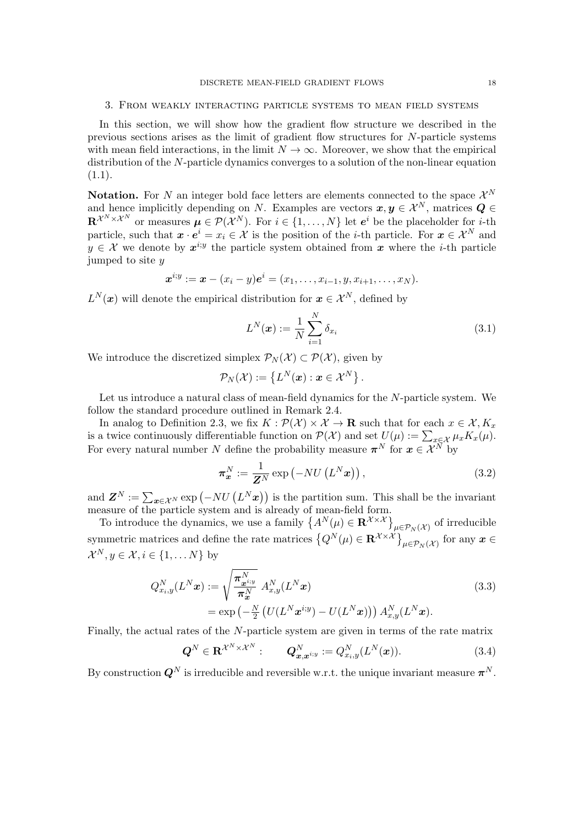### <span id="page-17-0"></span>3. From weakly interacting particle systems to mean field systems

In this section, we will show how the gradient flow structure we described in the previous sections arises as the limit of gradient flow structures for N-particle systems with mean field interactions, in the limit  $N \to \infty$ . Moreover, we show that the empirical distribution of the N-particle dynamics converges to a solution of the non-linear equation  $(1.1).$  $(1.1).$ 

**Notation.** For N an integer bold face letters are elements connected to the space  $\mathcal{X}^N$ and hence implicitly depending on N. Examples are vectors  $x, y \in \mathcal{X}^N$ , matrices  $Q \in$  $\mathbf{R}^{\mathcal{X}^N\times\mathcal{X}^N}$  or measures  $\mu\in\mathcal{P}(\mathcal{X}^N)$ . For  $i\in\{1,\ldots,N\}$  let  $e^i$  be the placeholder for *i*-th particle, such that  $x \cdot e^i = x_i \in \mathcal{X}$  is the position of the *i*-th particle. For  $x \in \mathcal{X}^N$  and  $y \in \mathcal{X}$  we denote by  $x^{i,y}$  the particle system obtained from x where the *i*-th particle jumped to site y

$$
x^{i,y} := x - (x_i - y)e^i = (x_1, \ldots, x_{i-1}, y, x_{i+1}, \ldots, x_N).
$$

 $L^N(\boldsymbol{x})$  will denote the empirical distribution for  $\boldsymbol{x} \in \mathcal{X}^N$ , defined by

<span id="page-17-4"></span>
$$
L^N(\boldsymbol{x}) := \frac{1}{N} \sum_{i=1}^N \delta_{x_i} \tag{3.1}
$$

We introduce the discretized simplex  $\mathcal{P}_N(\mathcal{X}) \subset \mathcal{P}(\mathcal{X})$ , given by

$$
\mathcal{P}_N(\mathcal{X}):=\left\{L^N(\boldsymbol{x}): \boldsymbol{x}\in\mathcal{X}^N\right\}.
$$

Let us introduce a natural class of mean-field dynamics for the N-particle system. We follow the standard procedure outlined in Remark [2.4.](#page-5-4)

In analog to Definition [2.3,](#page-5-0) we fix  $K : \mathcal{P}(\mathcal{X}) \times \mathcal{X} \to \mathbf{R}$  such that for each  $x \in \mathcal{X}, K_x$ is a twice continuously differentiable function on  $\mathcal{P}(\mathcal{X})$  and set  $U(\mu) := \sum_{x \in \mathcal{X}} \mu_x K_x(\mu)$ . For every natural number N define the probability measure  $\pi^N$  for  $x \in \mathcal{X}^N$  by

<span id="page-17-2"></span><span id="page-17-1"></span>
$$
\boldsymbol{\pi}_{\boldsymbol{x}}^N := \frac{1}{\boldsymbol{Z}^N} \exp\left(-NU\left(L^N\boldsymbol{x}\right)\right),\tag{3.2}
$$

and  $\mathbf{Z}^N := \sum_{\mathbf{x} \in \mathcal{X}^N} \exp(-NU(L^N \mathbf{x}))$  is the partition sum. This shall be the invariant measure of the particle system and is already of mean-field form.

To introduce the dynamics, we use a family  $\left\{A^N(\mu) \in \mathbf{R}^{\mathcal{X} \times \mathcal{X}}\right\}_{\mu \in \mathcal{P}_N(\mathcal{X})}$  of irreducible symmetric matrices and define the rate matrices  $\left\{Q^N(\mu) \in \mathbf{R}^{\mathcal{X} \times \mathcal{X}}\right\}_{\mu \in \mathcal{P}_N(\mathcal{X})}$  for any  $\bm{x} \in \mathcal{Y}$  $\mathcal{X}^N, y \in \mathcal{X}, i \in \{1, \dots N\}$  by

$$
Q_{x_i,y}^N(L^N \boldsymbol{x}) := \sqrt{\frac{\pi_{\boldsymbol{x}^{i;y}}^N}{\pi_{\boldsymbol{x}}^N}} A_{x,y}^N(L^N \boldsymbol{x})
$$
  
= 
$$
\exp\left(-\frac{N}{2}\left(U(L^N \boldsymbol{x}^{i;y}) - U(L^N \boldsymbol{x})\right)\right) A_{x,y}^N(L^N \boldsymbol{x}).
$$
 (3.3)

Finally, the actual rates of the N-particle system are given in terms of the rate matrix

<span id="page-17-3"></span>
$$
\mathbf{Q}^N \in \mathbf{R}^{\mathcal{X}^N \times \mathcal{X}^N}: \qquad \mathbf{Q}_{\boldsymbol{x}, \boldsymbol{x}^{i; y}}^N := Q_{x_i, y}^N(L^N(\boldsymbol{x})). \tag{3.4}
$$

By construction  $\mathbf{Q}^N$  is irreducible and reversible w.r.t. the unique invariant measure  $\boldsymbol{\pi}^N$ .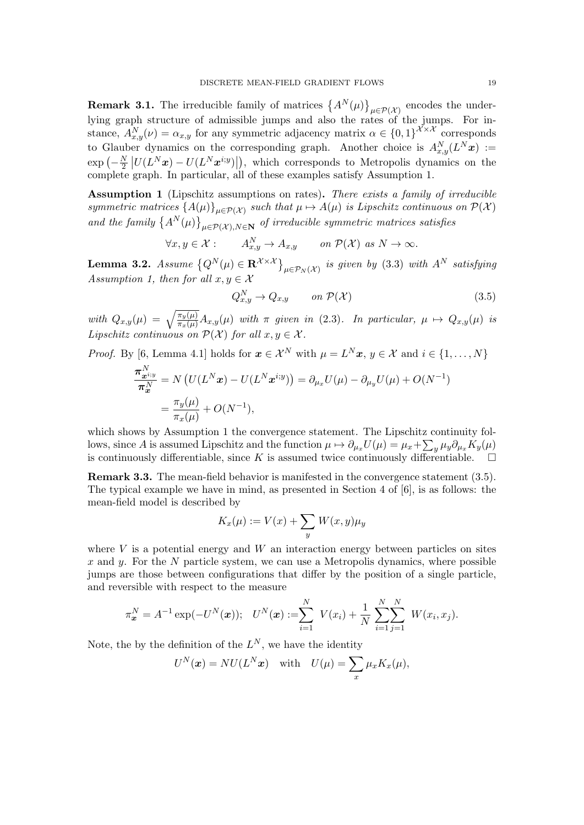**Remark 3.1.** The irreducible family of matrices  $\{A^N(\mu)\}_{\mu \in \mathcal{P}(\mathcal{X})}$  encodes the underlying graph structure of admissible jumps and also the rates of the jumps. For instance,  $A_{x,y}^N(\nu) = \alpha_{x,y}$  for any symmetric adjacency matrix  $\alpha \in \{0,1\}^{\mathcal{X} \times \mathcal{X}}$  corresponds to Glauber dynamics on the corresponding graph. Another choice is  $A_{x,y}^N(L^N x) :=$  $\exp\left(-\frac{N}{2}\right)$  $\frac{N}{2} |U(L^N x) - U(L^N x^{i,y})|$ , which corresponds to Metropolis dynamics on the complete graph. In particular, all of these examples satisfy Assumption [1.](#page-18-0)

<span id="page-18-0"></span>Assumption 1 (Lipschitz assumptions on rates). There exists a family of irreducible symmetric matrices  ${A(\mu)}_{\mu \in \mathcal{P}(\mathcal{X})}$  such that  $\mu \mapsto A(\mu)$  is Lipschitz continuous on  $\mathcal{P}(\mathcal{X})$ and the family  $\{A^N(\mu)\}_{\mu \in \mathcal{P}(\mathcal{X}), N \in \mathbb{N}}$  of irreducible symmetric matrices satisfies

$$
\forall x, y \in \mathcal{X} : A_{x,y}^N \to A_{x,y} \quad on \mathcal{P}(\mathcal{X}) \text{ as } N \to \infty.
$$

<span id="page-18-2"></span>**Lemma 3.2.** Assume  $\{Q^N(\mu) \in \mathbf{R}^{\mathcal{X} \times \mathcal{X}}\}_{\mu \in \mathcal{P}_N(\mathcal{X})}$  is given by [\(3.3\)](#page-17-1) with  $A^N$  satisfying Assumption [1,](#page-18-0) then for all  $x, y \in \mathcal{X}$ 

<span id="page-18-1"></span>
$$
Q_{x,y}^N \to Q_{x,y} \qquad on \ \mathcal{P}(\mathcal{X}) \tag{3.5}
$$

with  $Q_{x,y}(\mu) = \sqrt{\frac{\pi_y(\mu)}{\pi_x(\mu)}} A_{x,y}(\mu)$  with  $\pi$  given in [\(2.3\)](#page-5-1). In particular,  $\mu \mapsto Q_{x,y}(\mu)$  is Lipschitz continuous on  $\mathcal{P}(\mathcal{X})$  for all  $x, y \in \mathcal{X}$ .

*Proof.* By [\[6,](#page-35-17) Lemma 4.1] holds for  $\mathbf{x} \in \mathcal{X}^N$  with  $\mu = L^N \mathbf{x}, y \in \mathcal{X}$  and  $i \in \{1, ..., N\}$ 

$$
\frac{\boldsymbol{\pi}_{\boldsymbol{x}^{i;y}}^{N}}{\boldsymbol{\pi}_{\boldsymbol{x}}^{N}} = N \left( U(L^N \boldsymbol{x}) - U(L^N \boldsymbol{x}^{i;y}) \right) = \partial_{\mu_x} U(\mu) - \partial_{\mu_y} U(\mu) + O(N^{-1})
$$
  
= 
$$
\frac{\pi_y(\mu)}{\pi_x(\mu)} + O(N^{-1}),
$$

which shows by Assumption [1](#page-18-0) the convergence statement. The Lipschitz continuity follows, since A is assumed Lipschitz and the function  $\mu \mapsto \partial_{\mu_x} U(\mu) = \mu_x + \sum_y \mu_y \partial_{\mu_x} K_y(\mu)$ is continuously differentiable, since K is assumed twice continuously differentiable.  $\square$ 

Remark 3.3. The mean-field behavior is manifested in the convergence statement [\(3.5\)](#page-18-1). The typical example we have in mind, as presented in Section 4 of [\[6\]](#page-35-17), is as follows: the mean-field model is described by

$$
K_x(\mu) := V(x) + \sum_y W(x, y)\mu_y
$$

where  $V$  is a potential energy and  $W$  an interaction energy between particles on sites x and y. For the N particle system, we can use a Metropolis dynamics, where possible jumps are those between configurations that differ by the position of a single particle, and reversible with respect to the measure

$$
\pi_{\bm{x}}^N = A^{-1} \exp(-U^N(\bm{x})); \quad U^N(\bm{x}) := \sum_{i=1}^N V(x_i) + \frac{1}{N} \sum_{i=1}^N \sum_{j=1}^N W(x_i, x_j).
$$

Note, the by the definition of the  $L^N$ , we have the identity

$$
U^{N}(\boldsymbol{x}) = NU(L^{N}\boldsymbol{x}) \text{ with } U(\mu) = \sum_{x} \mu_{x} K_{x}(\mu),
$$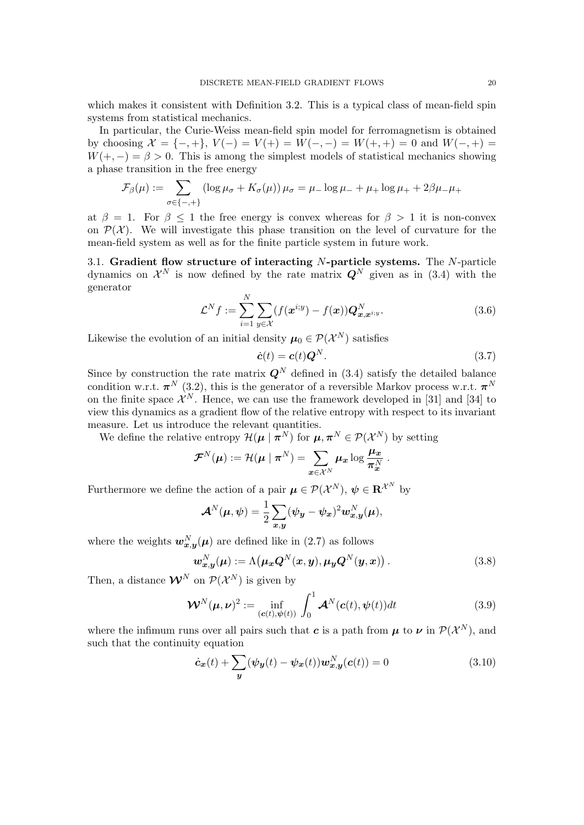which makes it consistent with Definition [3.2.](#page-17-2) This is a typical class of mean-field spin systems from statistical mechanics.

In particular, the Curie-Weiss mean-field spin model for ferromagnetism is obtained by choosing  $\mathcal{X} = \{-, +\}, V(-) = V(+) = W(-, -) = W(+, +) = 0$  and  $W(-, +) =$  $W(+,-) = \beta > 0$ . This is among the simplest models of statistical mechanics showing a phase transition in the free energy

$$
\mathcal{F}_{\beta}(\mu) := \sum_{\sigma \in \{-,+\}} (\log \mu_{\sigma} + K_{\sigma}(\mu)) \mu_{\sigma} = \mu_{-} \log \mu_{-} + \mu_{+} \log \mu_{+} + 2\beta\mu_{-}\mu_{+}
$$

at  $\beta = 1$ . For  $\beta \leq 1$  the free energy is convex whereas for  $\beta > 1$  it is non-convex on  $\mathcal{P}(\mathcal{X})$ . We will investigate this phase transition on the level of curvature for the mean-field system as well as for the finite particle system in future work.

3.1. Gradient flow structure of interacting  $N$ -particle systems. The  $N$ -particle dynamics on  $\mathcal{X}^N$  is now defined by the rate matrix  $\mathbf{Q}^N$  given as in [\(3.4\)](#page-17-3) with the generator

<span id="page-19-4"></span>
$$
\mathcal{L}^N f := \sum_{i=1}^N \sum_{y \in \mathcal{X}} (f(\boldsymbol{x}^{i; y}) - f(\boldsymbol{x})) \boldsymbol{Q}_{\boldsymbol{x}, \boldsymbol{x}^{i; y}}^N.
$$
 (3.6)

Likewise the evolution of an initial density  $\mu_0 \in \mathcal{P}(\mathcal{X}^N)$  satisfies

<span id="page-19-1"></span>
$$
\dot{\mathbf{c}}(t) = \mathbf{c}(t)\mathbf{Q}^N. \tag{3.7}
$$

Since by construction the rate matrix  $\mathbf{Q}^{N}$  defined in [\(3.4\)](#page-17-3) satisfy the detailed balance condition w.r.t.  $\pi^{N}$  [\(3.2\)](#page-17-2), this is the generator of a reversible Markov process w.r.t.  $\pi^{N}$ on the finite space  $\mathcal{X}^N$ . Hence, we can use the framework developed in [\[31\]](#page-36-0) and [\[34\]](#page-36-1) to view this dynamics as a gradient flow of the relative entropy with respect to its invariant measure. Let us introduce the relevant quantities.

We define the relative entropy  $\mathcal{H}(\mu \mid \boldsymbol{\pi}^N)$  for  $\mu, \boldsymbol{\pi}^N \in \mathcal{P}(\mathcal{X}^N)$  by setting

$$
\mathcal{F}^N(\boldsymbol{\mu}) := \mathcal{H}(\boldsymbol{\mu} \mid \boldsymbol{\pi}^N) = \sum_{\boldsymbol{x} \in \mathcal{X}^N} \boldsymbol{\mu}_{\boldsymbol{x}} \log \frac{\boldsymbol{\mu}_{\boldsymbol{x}}}{\boldsymbol{\pi}_{\boldsymbol{x}}^N}.
$$

Furthermore we define the action of a pair  $\mu \in \mathcal{P}(\mathcal{X}^N)$ ,  $\psi \in \mathbb{R}^{\mathcal{X}^N}$  by

$$
\mathcal{A}^N(\mu, \psi) = \frac{1}{2} \sum_{x,y} (\psi_y - \psi_x)^2 w_{x,y}^N(\mu),
$$

where the weights  $w_{x,y}^N(\mu)$  are defined like in [\(2.7\)](#page-6-4) as follows

<span id="page-19-3"></span>
$$
\boldsymbol{w}_{\boldsymbol{x},\boldsymbol{y}}^N(\boldsymbol{\mu}) := \Lambda\big(\boldsymbol{\mu}_{\boldsymbol{x}}\boldsymbol{Q}^N(\boldsymbol{x},\boldsymbol{y}),\boldsymbol{\mu}_{\boldsymbol{y}}\boldsymbol{Q}^N(\boldsymbol{y},\boldsymbol{x})\big) \,. \tag{3.8}
$$

Then, a distance  $\mathcal{W}^N$  on  $\mathcal{P}(\mathcal{X}^N)$  is given by

<span id="page-19-2"></span>
$$
\mathbf{W}^{N}(\boldsymbol{\mu},\boldsymbol{\nu})^{2} := \inf_{(\boldsymbol{c}(t),\boldsymbol{\psi}(t))} \int_{0}^{1} \boldsymbol{\mathcal{A}}^{N}(\boldsymbol{c}(t),\boldsymbol{\psi}(t))dt
$$
(3.9)

where the infimum runs over all pairs such that c is a path from  $\mu$  to  $\nu$  in  $\mathcal{P}(\mathcal{X}^N)$ , and such that the continuity equation

<span id="page-19-0"></span>
$$
\dot{\mathbf{c}}_{\mathbf{x}}(t) + \sum_{\mathbf{y}} (\psi_{\mathbf{y}}(t) - \psi_{\mathbf{x}}(t)) \mathbf{w}_{\mathbf{x},\mathbf{y}}^N(\mathbf{c}(t)) = 0 \tag{3.10}
$$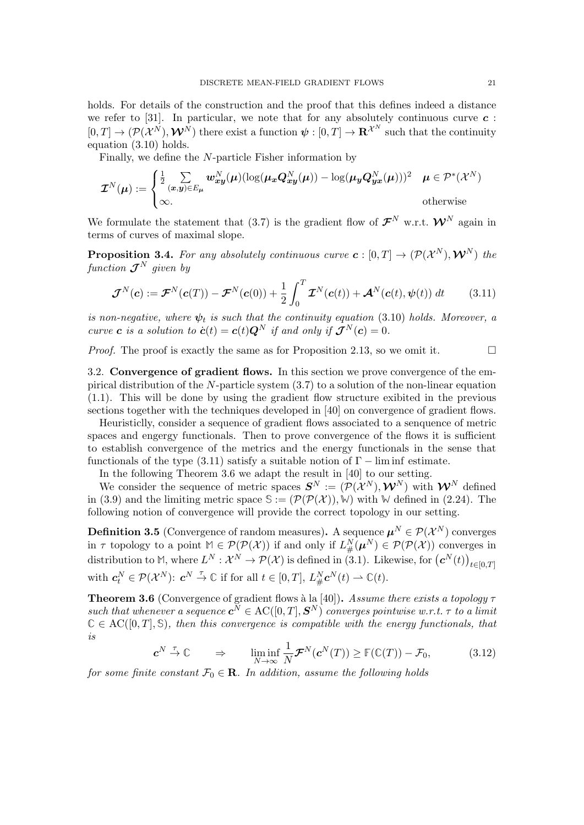holds. For details of the construction and the proof that this defines indeed a distance we refer to [\[31\]](#page-36-0). In particular, we note that for any absolutely continuous curve  $c$ :  $[0,T] \to (\mathcal{P}(\mathcal{X}^N), \mathcal{W}^N)$  there exist a function  $\psi : [0,T] \to \mathbf{R}^{\mathcal{X}^N}$  such that the continuity equation [\(3.10\)](#page-19-0) holds.

Finally, we define the N-particle Fisher information by

$$
\mathcal{I}^N(\boldsymbol{\mu}) := \begin{cases} \frac{1}{2} \sum_{(\boldsymbol{x}, \boldsymbol{y}) \in E_{\boldsymbol{\mu}}} \boldsymbol{w}_{\boldsymbol{x}\boldsymbol{y}}^N(\boldsymbol{\mu}) (\log(\boldsymbol{\mu}_{\boldsymbol{x}} \boldsymbol{Q}_{\boldsymbol{x}\boldsymbol{y}}^N(\boldsymbol{\mu})) - \log(\boldsymbol{\mu}_{\boldsymbol{y}} \boldsymbol{Q}_{\boldsymbol{y}\boldsymbol{x}}^N(\boldsymbol{\mu})))^2 & \boldsymbol{\mu} \in \mathcal{P}^*(\mathcal{X}^N) \\ \infty. & \text{otherwise} \end{cases}
$$

We formulate the statement that [\(3.7\)](#page-19-1) is the gradient flow of  $\mathcal{F}^N$  w.r.t.  $\mathcal{W}^N$  again in terms of curves of maximal slope.

**Proposition 3.4.** For any absolutely continuous curve  $c: [0,T] \to (\mathcal{P}(\mathcal{X}^N), \mathcal{W}^N)$  the function  $\mathcal{J}^N$  given by

<span id="page-20-0"></span>
$$
\boldsymbol{\mathcal{J}}^N(\boldsymbol{c}) := \boldsymbol{\mathcal{F}}^N(\boldsymbol{c}(T)) - \boldsymbol{\mathcal{F}}^N(\boldsymbol{c}(0)) + \frac{1}{2} \int_0^T \boldsymbol{\mathcal{I}}^N(\boldsymbol{c}(t)) + \boldsymbol{\mathcal{A}}^N(\boldsymbol{c}(t), \boldsymbol{\psi}(t)) dt \qquad (3.11)
$$

is non-negative, where  $\psi_t$  is such that the continuity equation [\(3.10\)](#page-19-0) holds. Moreover, a curve **c** is a solution to  $\dot{\mathbf{c}}(t) = \mathbf{c}(t)\mathbf{Q}^N$  if and only if  $\mathcal{J}^N(\mathbf{c}) = 0$ .

*Proof.* The proof is exactly the same as for Proposition [2.13,](#page-10-1) so we omit it.  $\square$ 

3.2. Convergence of gradient flows. In this section we prove convergence of the empirical distribution of the N-particle system [\(3.7\)](#page-19-1) to a solution of the non-linear equation [\(1.1\)](#page-0-0). This will be done by using the gradient flow structure exibited in the previous sections together with the techniques developed in [\[40\]](#page-36-8) on convergence of gradient flows.

Heuristiclly, consider a sequence of gradient flows associated to a senquence of metric spaces and engergy functionals. Then to prove convergence of the flows it is sufficient to establish convergence of the metrics and the energy functionals in the sense that functionals of the type  $(3.11)$  satisfy a suitable notion of  $\Gamma$  – lim inf estimate.

In the following Theorem [3.6](#page-20-1) we adapt the result in [\[40\]](#page-36-8) to our setting.

We consider the sequence of metric spaces  $S^N := (\mathcal{P}(\mathcal{X}^N), \mathcal{W}^N)$  with  $\mathcal{W}^N$  defined in [\(3.9\)](#page-19-2) and the limiting metric space  $\mathcal{S} := (\mathcal{P}(\mathcal{P}(\mathcal{X})), \mathcal{W})$  with  $\mathcal{W}$  defined in [\(2.24\)](#page-13-2). The following notion of convergence will provide the correct topology in our setting.

<span id="page-20-3"></span>**Definition 3.5** (Convergence of random measures). A sequence  $\mu^N \in \mathcal{P}(\mathcal{X}^N)$  converges in  $\tau$  topology to a point  $M \in \mathcal{P}(\mathcal{P}(\mathcal{X}))$  if and only if  $L^N_{\#}(\boldsymbol{\mu}^N) \in \mathcal{P}(\mathcal{P}(\mathcal{X}))$  converges in distribution to M, where  $L^N: \mathcal{X}^N \to \mathcal{P}(\mathcal{X})$  is defined in [\(3.1\)](#page-17-4). Likewise, for  $(\mathbf{c}^N(t))_{t \in [0,T]}$ with  $c_t^N \in \mathcal{P}(\mathcal{X}^N)$ :  $c^N \stackrel{\tau}{\to} \mathbb{C}$  if for all  $t \in [0, T]$ ,  $L_{\#}^N c^N(t) \to \mathbb{C}(t)$ .

<span id="page-20-1"></span>**Theorem 3.6** (Convergence of gradient flows à la [\[40\]](#page-36-8)). Assume there exists a topology  $\tau$ such that whenever a sequence  $c^N \in AC([0,T], S^N)$  converges pointwise w.r.t.  $\tau$  to a limit  $C \in AC([0,T], \mathbb{S})$ , then this convergence is compatible with the energy functionals, that is

<span id="page-20-2"></span>
$$
\mathbf{c}^N \stackrel{\tau}{\to} \mathbb{C} \qquad \Rightarrow \qquad \liminf_{N \to \infty} \frac{1}{N} \mathcal{F}^N(\mathbf{c}^N(T)) \ge \mathbb{F}(\mathbb{C}(T)) - \mathcal{F}_0, \tag{3.12}
$$

for some finite constant  $\mathcal{F}_0 \in \mathbf{R}$ . In addition, assume the following holds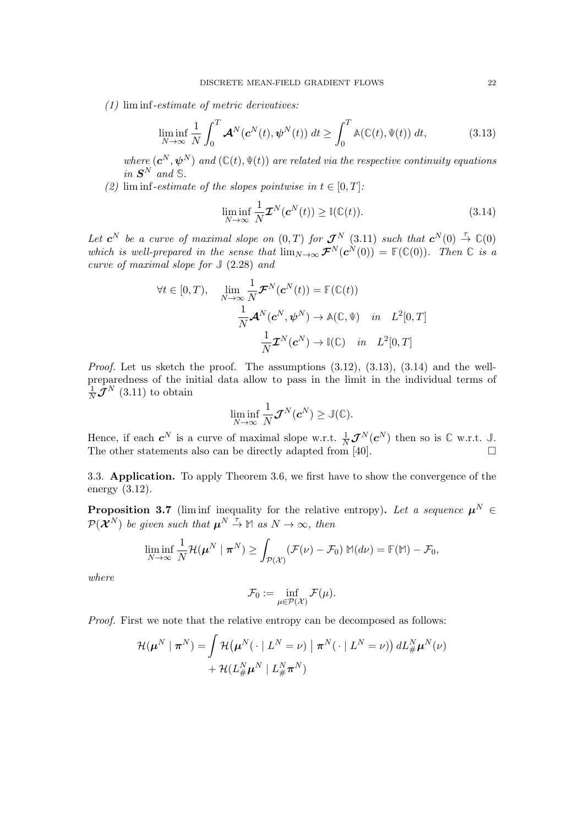(1) lim inf-estimate of metric derivatives:

<span id="page-21-0"></span>
$$
\liminf_{N \to \infty} \frac{1}{N} \int_0^T \mathcal{A}^N(\mathbf{c}^N(t), \boldsymbol{\psi}^N(t)) dt \ge \int_0^T \mathbb{A}(\mathbb{C}(t), \Psi(t)) dt,
$$
\n(3.13)

where  $(c^N, \psi^N)$  and  $(\mathbb{C}(t), \Psi(t))$  are related via the respective continuity equations in  $S^N$  and  $\mathbb{S}$ .

(2) lim inf-estimate of the slopes pointwise in  $t \in [0, T]$ :

<span id="page-21-1"></span>
$$
\liminf_{N \to \infty} \frac{1}{N} \mathcal{I}^N(c^N(t)) \ge \mathbb{I}(\mathbb{C}(t)).
$$
\n(3.14)

Let  $c^N$  be a curve of maximal slope on  $(0,T)$  for  $\mathcal{J}^N$  [\(3.11\)](#page-20-0) such that  $c^N(0) \stackrel{\tau}{\rightarrow} \mathbb{C}(0)$ which is well-prepared in the sense that  $\lim_{N\to\infty} \mathcal{F}^N(c^N(0)) = \mathbb{F}(\mathbb{C}(0))$ . Then  $\mathbb C$  is a curve of maximal slope for **J** [\(2.28\)](#page-16-0) and

$$
\forall t \in [0, T), \quad \lim_{N \to \infty} \frac{1}{N} \mathcal{F}^N(\mathbf{c}^N(t)) = \mathbb{F}(\mathbb{C}(t))
$$

$$
\frac{1}{N} \mathcal{A}^N(\mathbf{c}^N, \psi^N) \to \mathbb{A}(\mathbb{C}, \Psi) \quad in \quad L^2[0, T]
$$

$$
\frac{1}{N} \mathcal{I}^N(\mathbf{c}^N) \to \mathbb{I}(\mathbb{C}) \quad in \quad L^2[0, T]
$$

*Proof.* Let us sketch the proof. The assumptions  $(3.12)$ ,  $(3.13)$ ,  $(3.14)$  and the wellpreparedness of the initial data allow to pass in the limit in the individual terms of  $\frac{1}{N} \mathcal{J}^N$  [\(3.11\)](#page-20-0) to obtain

$$
\liminf_{N\to\infty}\frac{1}{N}\boldsymbol{\mathcal{J}}^N(\boldsymbol{c}^N)\geq \mathbb{J}(\mathbb{C}).
$$

Hence, if each  $c^N$  is a curve of maximal slope w.r.t.  $\frac{1}{N} \mathcal{J}^N(c^N)$  then so is  $\mathbb C$  w.r.t.  $\mathbb J$ . The other statements also can be directly adapted from [\[40\]](#page-36-8).  $\Box$ 

3.3. Application. To apply Theorem [3.6,](#page-20-1) we first have to show the convergence of the energy [\(3.12\)](#page-20-2).

<span id="page-21-2"></span>**Proposition 3.7** (liminf inequality for the relative entropy). Let a sequence  $\mu^N \in$  $\mathcal{P}(\tilde{\mathcal{X}}^N)$  be given such that  $\mu^N \stackrel{\tau}{\to} \mathbb{M}$  as  $N \to \infty$ , then

$$
\liminf_{N\to\infty}\frac{1}{N}\mathcal{H}(\boldsymbol{\mu}^N\mid \boldsymbol{\pi}^N)\geq \int_{\mathcal{P}(\mathcal{X})}(\mathcal{F}(\nu)-\mathcal{F}_0)\; \mathbb{M}(d\nu)=\mathbb{F}(\mathbb{M})-\mathcal{F}_0,
$$

where

$$
\mathcal{F}_0 := \inf_{\mu \in \mathcal{P}(\mathcal{X})} \mathcal{F}(\mu).
$$

Proof. First we note that the relative entropy can be decomposed as follows:

$$
\mathcal{H}(\boldsymbol{\mu}^N \mid \boldsymbol{\pi}^N) = \int \mathcal{H}(\boldsymbol{\mu}^N( \cdot \mid L^N = \nu) \mid \boldsymbol{\pi}^N( \cdot \mid L^N = \nu)) dL_{\#}^N \boldsymbol{\mu}^N(\nu) + \mathcal{H}(L_{\#}^N \boldsymbol{\mu}^N \mid L_{\#}^N \boldsymbol{\pi}^N)
$$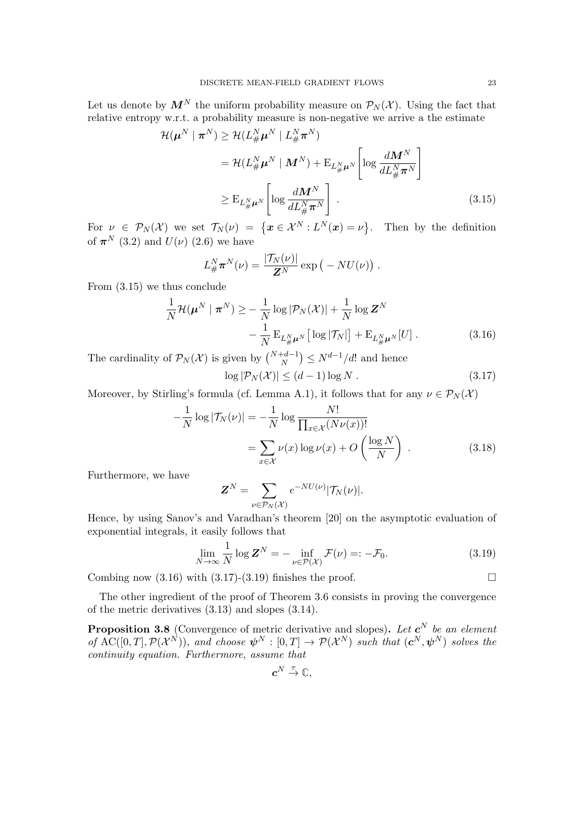Let us denote by  $\mathbf{M}^N$  the uniform probability measure on  $\mathcal{P}_N(\mathcal{X})$ . Using the fact that relative entropy w.r.t. a probability measure is non-negative we arrive a the estimate

$$
\mathcal{H}(\boldsymbol{\mu}^{N} \mid \boldsymbol{\pi}^{N}) \geq \mathcal{H}(L_{\#}^{N} \boldsymbol{\mu}^{N} \mid L_{\#}^{N} \boldsymbol{\pi}^{N})
$$
\n
$$
= \mathcal{H}(L_{\#}^{N} \boldsymbol{\mu}^{N} \mid \boldsymbol{M}^{N}) + \mathbf{E}_{L_{\#}^{N} \boldsymbol{\mu}^{N}} \left[ \log \frac{d \boldsymbol{M}^{N}}{d L_{\#}^{N} \boldsymbol{\pi}^{N}} \right]
$$
\n
$$
\geq \mathbf{E}_{L_{\#}^{N} \boldsymbol{\mu}^{N}} \left[ \log \frac{d \boldsymbol{M}^{N}}{d L_{\#}^{N} \boldsymbol{\pi}^{N}} \right].
$$
\n(3.15)

For  $\nu \in \mathcal{P}_N(\mathcal{X})$  we set  $\mathcal{T}_N(\nu) = \{ \boldsymbol{x} \in \mathcal{X}^N : L^N(\boldsymbol{x}) = \nu \}.$  Then by the definition of  $\pi^{N}$  [\(3.2\)](#page-17-2) and  $U(\nu)$  [\(2.6\)](#page-6-1) we have

<span id="page-22-0"></span>
$$
L_{\#}^N \pi^N(\nu) = \frac{|\mathcal{T}_N(\nu)|}{\mathbf{Z}^N} \exp\big(-NU(\nu)\big) .
$$

From [\(3.15\)](#page-22-0) we thus conclude

$$
\frac{1}{N} \mathcal{H}(\boldsymbol{\mu}^{N} \mid \boldsymbol{\pi}^{N}) \geq -\frac{1}{N} \log |\mathcal{P}_{N}(\mathcal{X})| + \frac{1}{N} \log \mathbf{Z}^{N} \n- \frac{1}{N} \mathbf{E}_{L_{\boldsymbol{\mu}}^{N} \boldsymbol{\mu}^{N}} \left[ \log |\mathcal{T}_{N}| \right] + \mathbf{E}_{L_{\boldsymbol{\mu}}^{N} \boldsymbol{\mu}^{N}} [U] .
$$
\n(3.16)

The cardinality of  $\mathcal{P}_N(\mathcal{X})$  is given by  $\binom{N+d-1}{N} \leq N^{d-1}/d!$  and hence

<span id="page-22-2"></span><span id="page-22-1"></span>
$$
\log |\mathcal{P}_N(\mathcal{X})| \le (d-1)\log N. \tag{3.17}
$$

Moreover, by Stirling's formula (cf. Lemma [A.1\)](#page-33-1), it follows that for any  $\nu \in \mathcal{P}_N(\mathcal{X})$ 

$$
-\frac{1}{N}\log|\mathcal{T}_N(\nu)| = -\frac{1}{N}\log\frac{N!}{\prod_{x\in\mathcal{X}}(N\nu(x))!}
$$

$$
=\sum_{x\in\mathcal{X}}\nu(x)\log\nu(x) + O\left(\frac{\log N}{N}\right) . \tag{3.18}
$$

Furthermore, we have

$$
\mathbf{Z}^N = \sum_{\nu \in \mathcal{P}_N(\mathcal{X})} e^{-NU(\nu)} |\mathcal{T}_N(\nu)|.
$$

Hence, by using Sanov's and Varadhan's theorem [\[20\]](#page-35-19) on the asymptotic evaluation of exponential integrals, it easily follows that

$$
\lim_{N \to \infty} \frac{1}{N} \log \mathbf{Z}^N = - \inf_{\nu \in \mathcal{P}(\mathcal{X})} \mathcal{F}(\nu) =: -\mathcal{F}_0.
$$
\n(3.19)

Combing now  $(3.16)$  with  $(3.17)-(3.19)$  $(3.17)-(3.19)$  finishes the proof.

The other ingredient of the proof of Theorem [3.6](#page-20-1) consists in proving the convergence of the metric derivatives [\(3.13\)](#page-21-0) and slopes [\(3.14\)](#page-21-1).

<span id="page-22-4"></span>**Proposition 3.8** (Convergence of metric derivative and slopes). Let  $c^N$  be an element of AC([0, T],  $\mathcal{P}(\mathcal{X}^N)$ ), and choose  $\psi^N : [0,T] \to \mathcal{P}(\mathcal{X}^N)$  such that  $(\mathbf{c}^N, \psi^N)$  solves the continuity equation. Furthermore, assume that

<span id="page-22-3"></span>
$$
\boldsymbol{c}^N \stackrel{\tau}{\to} \mathbb{C},
$$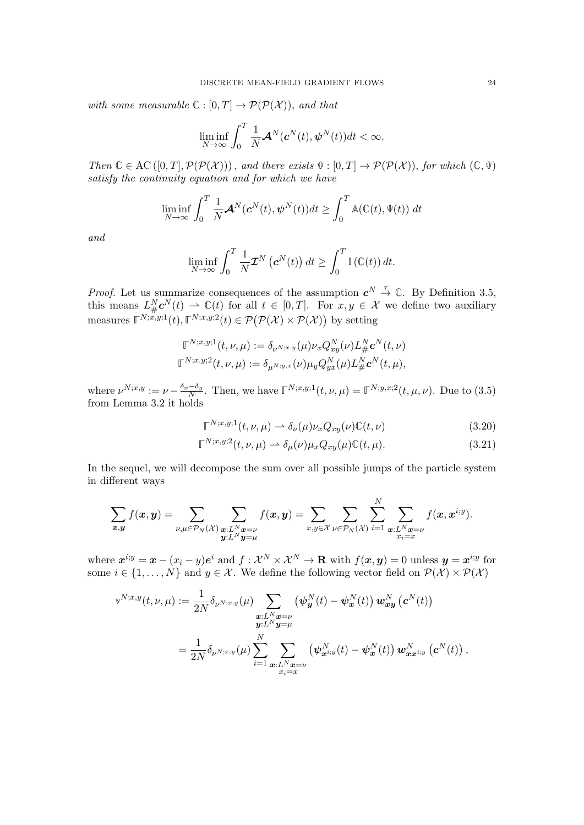with some measurable  $\mathbb{C} : [0, T] \to \mathcal{P}(\mathcal{P}(\mathcal{X}))$ , and that

$$
\liminf_{N\to\infty}\int_0^T \frac{1}{N}{\mathbf{\mathcal{A}}}^N(\boldsymbol{c}^N(t),\boldsymbol{\psi}^N(t))dt<\infty.
$$

Then  $\mathbb{C} \in \mathrm{AC}([0,T], \mathcal{P}(\mathcal{P}(\mathcal{X})))$ , and there exists  $\Psi : [0,T] \to \mathcal{P}(\mathcal{P}(\mathcal{X})))$ , for which  $(\mathbb{C}, \Psi)$ satisfy the continuity equation and for which we have

$$
\liminf_{N \to \infty} \int_0^T \frac{1}{N} \mathcal{A}^N(\mathbf{c}^N(t), \mathbf{\psi}^N(t)) dt \ge \int_0^T \mathbb{A}(\mathbb{C}(t), \Psi(t)) dt
$$

and

$$
\liminf_{N \to \infty} \int_0^T \frac{1}{N} \mathcal{I}^N(\mathbf{c}^N(t)) dt \ge \int_0^T \mathbb{I}(\mathbb{C}(t)) dt.
$$

*Proof.* Let us summarize consequences of the assumption  $c^N \stackrel{\tau}{\rightarrow} \mathbb{C}$ . By Definition [3.5,](#page-20-3) this means  $L^N_{\#}c^N(t) \rightharpoonup \mathbb{C}(t)$  for all  $t \in [0,T]$ . For  $x, y \in \mathcal{X}$  we define two auxiliary measures  $\mathbb{F}^{N;x,y;1}(t), \mathbb{F}^{N;x,y;2}(t) \in \mathcal{P}(\mathcal{P}(\mathcal{X}) \times \mathcal{P}(\mathcal{X}))$  by setting

$$
\mathbb{T}^{N;x,y;1}(t,\nu,\mu) := \delta_{\nu^{N;x,y}}(\mu)\nu_x Q_{xy}^N(\nu) L_{\#}^N \mathbf{c}^N(t,\nu) \n\mathbb{T}^{N;x,y;2}(t,\nu,\mu) := \delta_{\mu^{N;y,x}}(\nu)\mu_y Q_{yx}^N(\mu) L_{\#}^N \mathbf{c}^N(t,\mu),
$$

where  $\nu^{N;x,y} := \nu - \frac{\delta_x - \delta_y}{N}$  $\frac{(-\delta_y)}{N}$ . Then, we have  $\mathbb{F}^{N;x,y;1}(t,\nu,\mu) = \mathbb{F}^{N;y,x;2}(t,\mu,\nu)$ . Due to [\(3.5\)](#page-18-1) from Lemma [3.2](#page-18-2) it holds

<span id="page-23-1"></span><span id="page-23-0"></span>
$$
\mathbb{\Gamma}^{N;x,y;1}(t,\nu,\mu) \rightharpoonup \delta_{\nu}(\mu)\nu_x Q_{xy}(\nu)\mathbb{C}(t,\nu) \tag{3.20}
$$

$$
\mathbb{T}^{N;x,y;2}(t,\nu,\mu) \rightharpoonup \delta_{\mu}(\nu)\mu_x Q_{xy}(\mu)\mathbb{C}(t,\mu). \tag{3.21}
$$

In the sequel, we will decompose the sum over all possible jumps of the particle system in different ways

$$
\sum_{\mathbf{x},\mathbf{y}} f(\mathbf{x},\mathbf{y}) = \sum_{\substack{\nu,\mu \in \mathcal{P}_N(\mathcal{X})}} \sum_{\substack{\mathbf{x}:L^N \mathbf{x} = \nu \\ \mathbf{y}:L^N \mathbf{y} = \mu}} f(\mathbf{x},\mathbf{y}) = \sum_{\substack{x,y \in \mathcal{X} \\ \nu \in \mathcal{P}_N(\mathcal{X})}} \sum_{i=1}^N \sum_{\substack{\mathbf{x}:L^N \mathbf{x} = \nu \\ x_i = x}} f(\mathbf{x},\mathbf{x}^{i,y}).
$$

where  $\mathbf{x}^{i; y} = \mathbf{x} - (x_i - y)e^i$  and  $f: \mathcal{X}^N \times \mathcal{X}^N \to \mathbf{R}$  with  $f(\mathbf{x}, \mathbf{y}) = 0$  unless  $\mathbf{y} = \mathbf{x}^{i; y}$  for some  $i \in \{1, ..., N\}$  and  $y \in \mathcal{X}$ . We define the following vector field on  $\mathcal{P}(\mathcal{X}) \times \mathcal{P}(\mathcal{X})$ 

$$
\mathbf{v}^{N;x,y}(t,\nu,\mu) := \frac{1}{2N} \delta_{\nu^{N;x,y}}(\mu) \sum_{\substack{\boldsymbol{x}:L^N\boldsymbol{x}=\nu \\ \boldsymbol{y}:L^N\boldsymbol{y}=\mu}} \left( \boldsymbol{\psi}_{\boldsymbol{y}}^N(t) - \boldsymbol{\psi}_{\boldsymbol{x}}^N(t) \right) \boldsymbol{w}_{\boldsymbol{x}\boldsymbol{y}}^N \left( \boldsymbol{c}^N(t) \right) \\ = \frac{1}{2N} \delta_{\nu^{N;x,y}}(\mu) \sum_{i=1}^N \sum_{\substack{\boldsymbol{x}:L^N\boldsymbol{x}=\nu \\ x_i=\boldsymbol{x}}} \left( \boldsymbol{\psi}_{\boldsymbol{x}^{i;y}}^N(t) - \boldsymbol{\psi}_{\boldsymbol{x}}^N(t) \right) \boldsymbol{w}_{\boldsymbol{x}\boldsymbol{x}^{i;y}}^N \left( \boldsymbol{c}^N(t) \right),
$$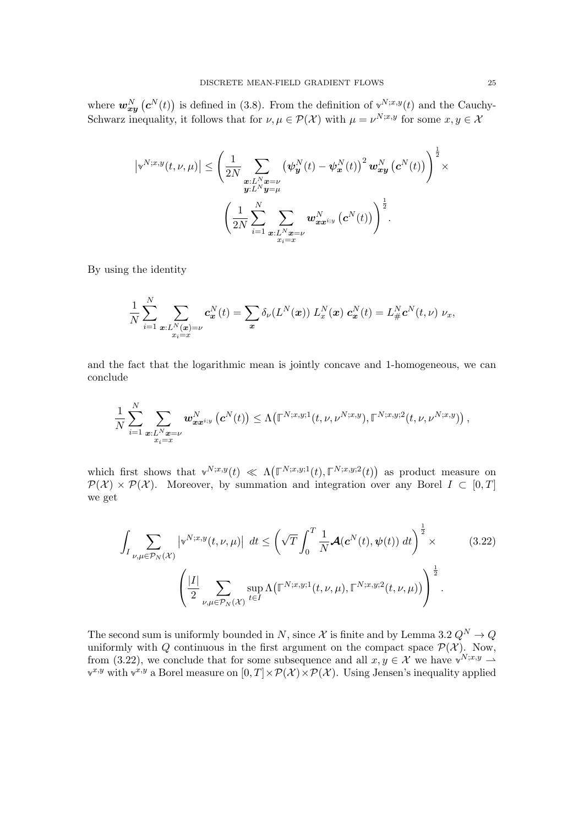where  $w_{xy}^N(c^N(t))$  is defined in [\(3.8\)](#page-19-3). From the definition of  $v^{N;x,y}(t)$  and the Cauchy-Schwarz inequality, it follows that for  $\nu, \mu \in \mathcal{P}(\mathcal{X})$  with  $\mu = \nu^{N; x, y}$  for some  $x, y \in \mathcal{X}$ 

$$
\left|\mathbf{v}^{N;x,y}(t,\nu,\mu)\right| \leq \left(\frac{1}{2N} \sum_{\substack{\boldsymbol{x}:L^N\boldsymbol{x}=\nu\\ \boldsymbol{y}:L^N\boldsymbol{y}=\mu}} \left(\boldsymbol{\psi}_{\boldsymbol{y}}^N(t)-\boldsymbol{\psi}_{\boldsymbol{x}}^N(t)\right)^2 \boldsymbol{w}_{\boldsymbol{x}\boldsymbol{y}}^N\left(\boldsymbol{c}^N(t)\right)\right)^{\frac{1}{2}} \times \\ \left(\frac{1}{2N} \sum_{i=1}^N \sum_{\substack{\boldsymbol{x}:L^N\boldsymbol{x}=\nu\\ x_i=\boldsymbol{x}}} \boldsymbol{w}_{\boldsymbol{x}\boldsymbol{x}^{i;y}}^N\left(\boldsymbol{c}^N(t)\right)\right)^{\frac{1}{2}}.
$$

By using the identity

$$
\frac{1}{N}\sum_{i=1}^N\sum_{\substack{\boldsymbol{x}:L^N(\boldsymbol{x})=\nu\\x_i=x}}\boldsymbol{c}_{\boldsymbol{x}}^N(t)=\sum_{\boldsymbol{x}}\delta_{\nu}(L^N(\boldsymbol{x}))\ L^N_{\boldsymbol{x}}(\boldsymbol{x})\ \boldsymbol{c}_{\boldsymbol{x}}^N(t)=L^N_{\#}\boldsymbol{c}^N(t,\nu)\ \nu_{\boldsymbol{x}},
$$

and the fact that the logarithmic mean is jointly concave and 1-homogeneous, we can conclude

$$
\frac{1}{N}\sum_{i=1}^N\sum_{\substack{\boldsymbol x: L^N\boldsymbol x=\nu\\ x_i=x}}\boldsymbol w_{\boldsymbol x\boldsymbol x^{i;y}}^N\left(\boldsymbol c^N(t)\right)\leq \Lambda\big(\mathbb \Gamma^{N;x,y;1}(t,\nu,\nu^{N;x,y}),\mathbb \Gamma^{N;x,y;2}(t,\nu,\nu^{N;x,y})\big)\,,
$$

which first shows that  $\mathbf{v}^{N;x,y}(t) \ll \Lambda(\mathbb{F}^{N;x,y;1}(t),\mathbb{F}^{N;x,y;2}(t))$  as product measure on  $\mathcal{P}(\mathcal{X}) \times \mathcal{P}(\mathcal{X})$ . Moreover, by summation and integration over any Borel  $I \subset [0, T]$ we get

<span id="page-24-0"></span>
$$
\int_{I} \sum_{\nu,\mu \in \mathcal{P}_N(\mathcal{X})} \left| \mathbf{v}^{N;x,y}(t,\nu,\mu) \right| \, dt \leq \left( \sqrt{T} \int_0^T \frac{1}{N} \mathcal{A}(\mathbf{c}^N(t),\psi(t)) \, dt \right)^{\frac{1}{2}} \times \qquad (3.22)
$$
\n
$$
\left( \frac{|I|}{2} \sum_{\nu,\mu \in \mathcal{P}_N(\mathcal{X})} \sup_{t \in I} \Lambda \big( \mathbb{F}^{N;x,y;1}(t,\nu,\mu),\mathbb{F}^{N;x,y;2}(t,\nu,\mu) \big) \right)^{\frac{1}{2}}.
$$

The second sum is uniformly bounded in N, since  $\mathcal X$  is finite and by Lemma [3.2](#page-18-2)  $Q^N \to Q$ uniformly with Q continuous in the first argument on the compact space  $\mathcal{P}(\mathcal{X})$ . Now, from [\(3.22\)](#page-24-0), we conclude that for some subsequence and all  $x, y \in \mathcal{X}$  we have  $\mathbf{v}^{N;x,y} \to$  $\mathbf{v}^{x,y}$  with  $\mathbf{v}^{x,y}$  a Borel measure on  $[0,T] \times \mathcal{P}(\mathcal{X}) \times \mathcal{P}(\mathcal{X})$ . Using Jensen's inequality applied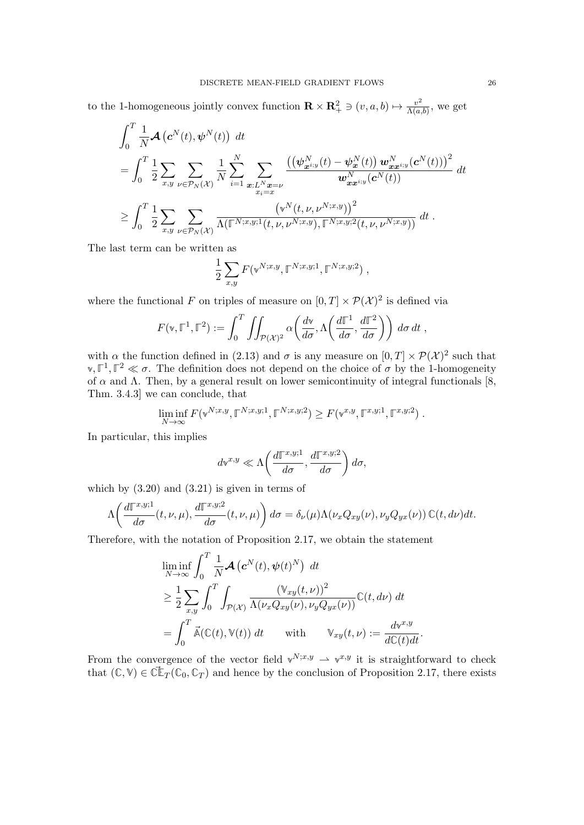to the 1-homogeneous jointly convex function  $\mathbf{R} \times \mathbf{R}_+^2 \ni (v, a, b) \mapsto \frac{v^2}{\Lambda(a)}$  $\frac{v^2}{\Lambda(a,b)}$ , we get

$$
\int_{0}^{T} \frac{1}{N} \mathcal{A} (c^{N}(t), \psi^{N}(t)) dt \n= \int_{0}^{T} \frac{1}{2} \sum_{x,y} \sum_{\nu \in \mathcal{P}_{N}(\mathcal{X})} \frac{1}{N} \sum_{i=1}^{N} \sum_{\substack{x:L^{N}x = \nu \\ x_{i}=x}} \frac{\left( (\psi_{x^{i,y}}^{N}(t) - \psi_{x}^{N}(t)) w_{xx^{i,y}}^{N}(c^{N}(t)) \right)^{2}}{w_{xx^{i,y}}^{N}(c^{N}(t))} dt \n\ge \int_{0}^{T} \frac{1}{2} \sum_{x,y} \sum_{\nu \in \mathcal{P}_{N}(\mathcal{X})} \frac{\left( v^{N}(t, \nu, \nu^{N;x,y}) \right)^{2}}{\Lambda(\mathbb{F}^{N;x,y;1}(t, \nu, \nu^{N;x,y}), \mathbb{F}^{N;x,y;2}(t, \nu, \nu^{N;x,y}))} dt.
$$

The last term can be written as

$$
\frac{1}{2} \sum_{x,y} F(\mathbf{v}^{N;x,y}, \mathbb{F}^{N;x,y;1}, \mathbb{F}^{N;x,y;2}),
$$

where the functional F on triples of measure on  $[0, T] \times \mathcal{P}(\mathcal{X})^2$  is defined via

$$
F(\mathbf{v}, \mathbb{F}^1, \mathbb{F}^2) := \int_0^T \iint_{\mathcal{P}(\mathcal{X})^2} \alpha\left(\frac{d\mathbf{v}}{d\sigma}, \Lambda\left(\frac{d\mathbb{F}^1}{d\sigma}, \frac{d\mathbb{F}^2}{d\sigma}\right)\right) d\sigma dt,
$$

with  $\alpha$  the function defined in [\(2.13\)](#page-7-1) and  $\sigma$  is any measure on  $[0, T] \times \mathcal{P}(\mathcal{X})^2$  such that  $\mathbf{v}, \mathbb{F}^1, \mathbb{F}^2 \ll \sigma$ . The definition does not depend on the choice of  $\sigma$  by the 1-homogeneity of  $\alpha$  and  $\Lambda$ . Then, by a general result on lower semicontinuity of integral functionals [\[8,](#page-35-20) Thm. 3.4.3] we can conclude, that

$$
\liminf_{N \to \infty} F(\mathbf{v}^{N;x,y}, \mathbb{F}^{N;x,y;1}, \mathbb{F}^{N;x,y;2}) \ge F(\mathbf{v}^{x,y}, \mathbb{F}^{x,y;1}, \mathbb{F}^{x,y;2}).
$$

In particular, this implies

$$
d\mathbf{v}^{x,y} \ll \Lambda\bigg(\frac{d\mathbb{T}^{x,y;1}}{d\sigma},\frac{d\mathbb{T}^{x,y;2}}{d\sigma}\bigg)\,d\sigma,
$$

which by  $(3.20)$  and  $(3.21)$  is given in terms of

$$
\Lambda\bigg(\frac{d\mathbb{T}^{x,y;1}}{d\sigma}(t,\nu,\mu),\frac{d\mathbb{T}^{x,y;2}}{d\sigma}(t,\nu,\mu)\bigg)\,d\sigma=\delta_{\nu}(\mu)\Lambda(\nu_xQ_{xy}(\nu),\nu_yQ_{yx}(\nu))\,\mathbb{C}(t,d\nu)dt.
$$

Therefore, with the notation of Proposition [2.17,](#page-13-5) we obtain the statement

$$
\liminf_{N \to \infty} \int_0^T \frac{1}{N} \mathcal{A} \left( \mathbf{c}^N(t), \psi(t)^N \right) dt
$$
\n
$$
\geq \frac{1}{2} \sum_{x,y} \int_0^T \int_{\mathcal{P}(\mathcal{X})} \frac{(\mathbb{V}_{xy}(t,\nu))^2}{\Lambda(\nu_x Q_{xy}(\nu), \nu_y Q_{yx}(\nu))} \mathbb{C}(t, d\nu) dt
$$
\n
$$
= \int_0^T \vec{\mathbb{A}}(\mathbb{C}(t), \mathbb{V}(t)) dt \quad \text{with} \quad \mathbb{V}_{xy}(t, \nu) := \frac{d\mathbb{V}^{x,y}}{d\mathbb{C}(t)dt}.
$$

From the convergence of the vector field  $v^{N;x,y} \rightharpoonup v^{x,y}$  it is straightforward to check that  $(C, V) \in \tilde{C} \mathbb{F}_T(\mathbb{C}_0, \mathbb{C}_T)$  and hence by the conclusion of Proposition [2.17,](#page-13-5) there exists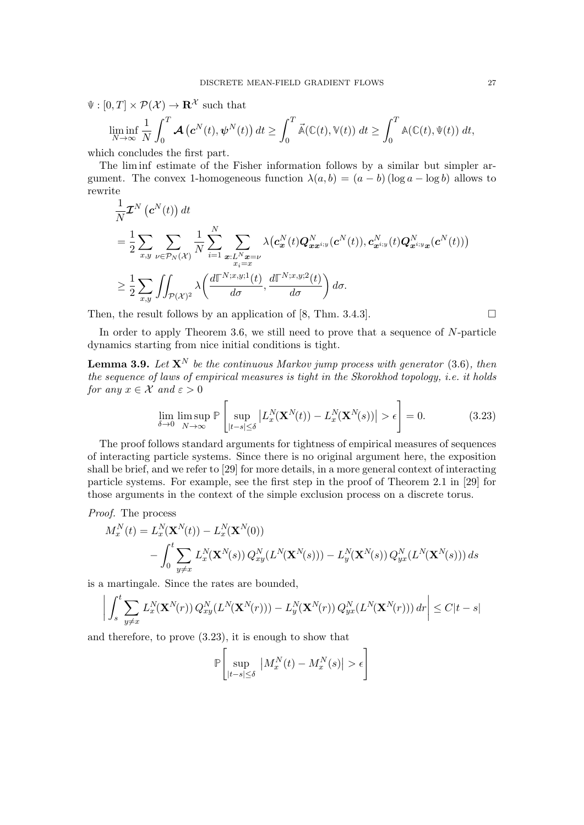$\Psi : [0, T] \times \mathcal{P}(\mathcal{X}) \rightarrow \mathbf{R}^{\mathcal{X}}$  such that

$$
\liminf_{N \to \infty} \frac{1}{N} \int_0^T \mathcal{A} \left( \mathbf{c}^N(t), \boldsymbol{\psi}^N(t) \right) dt \ge \int_0^T \vec{\mathbb{A}}(\mathbb{C}(t), \mathbb{V}(t)) dt \ge \int_0^T \mathbb{A}(\mathbb{C}(t), \Psi(t)) dt,
$$

which concludes the first part.

The lim inf estimate of the Fisher information follows by a similar but simpler argument. The convex 1-homogeneous function  $\lambda(a, b) = (a - b) (\log a - \log b)$  allows to rewrite

$$
\frac{1}{N} \mathcal{I}^{N}\left(\mathbf{c}^{N}(t)\right) dt
$$
\n
$$
= \frac{1}{2} \sum_{x,y} \sum_{\nu \in \mathcal{P}_{N}(\mathcal{X})} \frac{1}{N} \sum_{i=1}^{N} \sum_{\substack{x:L^{N}x = \nu \\ x_{i} = x}} \lambda\left(\mathbf{c}_{\mathbf{x}}^{N}(t) \mathbf{Q}_{\mathbf{x}x^{i,y}}^{N}(c^{N}(t)), \mathbf{c}_{\mathbf{x}^{i,y}}^{N}(t) \mathbf{Q}_{\mathbf{x}^{i,y}\mathbf{x}}^{N}(c^{N}(t))\right)
$$
\n
$$
\geq \frac{1}{2} \sum_{x,y} \iint_{\mathcal{P}(\mathcal{X})^{2}} \lambda\left(\frac{d\mathbb{I}^{N;x,y;1}(t)}{d\sigma}, \frac{d\mathbb{I}^{N;x,y;2}(t)}{d\sigma}\right) d\sigma.
$$

Then, the result follows by an application of [\[8,](#page-35-20) Thm. 3.4.3].  $\square$ 

In order to apply Theorem [3.6,](#page-20-1) we still need to prove that a sequence of  $N$ -particle dynamics starting from nice initial conditions is tight.

<span id="page-26-1"></span>**Lemma 3.9.** Let  $X^N$  be the continuous Markov jump process with generator [\(3.6\)](#page-19-4), then the sequence of laws of empirical measures is tight in the Skorokhod topology, i.e. it holds for any  $x \in \mathcal{X}$  and  $\varepsilon > 0$ 

<span id="page-26-0"></span>
$$
\lim_{\delta \to 0} \limsup_{N \to \infty} \mathbb{P}\left[\sup_{|t-s| \le \delta} \left| L_x^N(\mathbf{X}^N(t)) - L_x^N(\mathbf{X}^N(s)) \right| > \epsilon \right] = 0. \tag{3.23}
$$

The proof follows standard arguments for tightness of empirical measures of sequences of interacting particle systems. Since there is no original argument here, the exposition shall be brief, and we refer to [\[29\]](#page-36-18) for more details, in a more general context of interacting particle systems. For example, see the first step in the proof of Theorem 2.1 in [\[29\]](#page-36-18) for those arguments in the context of the simple exclusion process on a discrete torus.

Proof. The process

$$
M_x^N(t) = L_x^N(\mathbf{X}^N(t)) - L_x^N(\mathbf{X}^N(0))
$$
  
 
$$
- \int_0^t \sum_{y \neq x} L_x^N(\mathbf{X}^N(s)) Q_{xy}^N(L^N(\mathbf{X}^N(s))) - L_y^N(\mathbf{X}^N(s)) Q_{yx}^N(L^N(\mathbf{X}^N(s))) ds
$$

is a martingale. Since the rates are bounded,

$$
\bigg|\int_s^t \sum_{y \neq x} L_x^N(\mathbf{X}^N(r)) Q_{xy}^N(L^N(\mathbf{X}^N(r))) - L_y^N(\mathbf{X}^N(r)) Q_{yx}^N(L^N(\mathbf{X}^N(r))) dr \bigg| \leq C|t-s|
$$

and therefore, to prove [\(3.23\)](#page-26-0), it is enough to show that

$$
\mathbb{P}\left[\sup_{|t-s|\leq \delta} \left| M_x^N(t) - M_x^N(s) \right| > \epsilon \right]
$$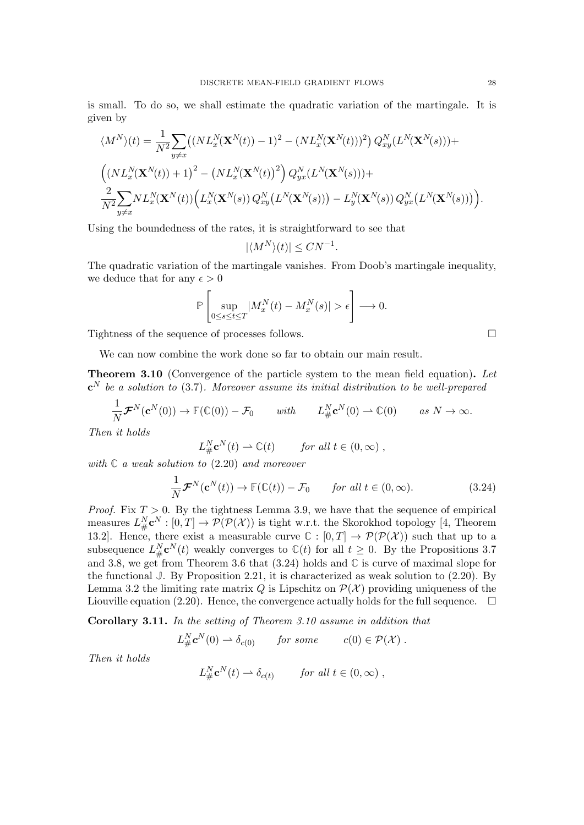is small. To do so, we shall estimate the quadratic variation of the martingale. It is given by

$$
\langle M^{N}\rangle(t) = \frac{1}{N^{2}} \sum_{y \neq x} \left( (NL_{x}^{N}(\mathbf{X}^{N}(t)) - 1)^{2} - (NL_{x}^{N}(\mathbf{X}^{N}(t)))^{2} \right) Q_{xy}^{N}(L^{N}(\mathbf{X}^{N}(s))) +
$$
  

$$
\left( (NL_{x}^{N}(\mathbf{X}^{N}(t)) + 1)^{2} - (NL_{x}^{N}(\mathbf{X}^{N}(t))^{2} \right) Q_{yx}^{N}(L^{N}(\mathbf{X}^{N}(s))) +
$$
  

$$
\frac{2}{N^{2}} \sum_{y \neq x} NL_{x}^{N}(\mathbf{X}^{N}(t)) \left( L_{x}^{N}(\mathbf{X}^{N}(s)) Q_{xy}^{N}(L^{N}(\mathbf{X}^{N}(s))) - L_{y}^{N}(\mathbf{X}^{N}(s)) Q_{yx}^{N}(L^{N}(\mathbf{X}^{N}(s))) \right).
$$

Using the boundedness of the rates, it is straightforward to see that

$$
|\langle M^N \rangle(t)| \leq C N^{-1}.
$$

The quadratic variation of the martingale vanishes. From Doob's martingale inequality, we deduce that for any  $\epsilon > 0$ 

$$
\mathbb{P}\left[\sup_{0\leq s\leq t\leq T}|M_x^N(t)-M_x^N(s)|>\epsilon\right]\longrightarrow 0.
$$

Tightness of the sequence of processes follows.

We can now combine the work done so far to obtain our main result.

<span id="page-27-0"></span>Theorem 3.10 (Convergence of the particle system to the mean field equation). Let  $\mathbf{c}^N$  be a solution to [\(3.7\)](#page-19-1). Moreover assume its initial distribution to be well-prepared

$$
\frac{1}{N} \mathcal{F}^N(\mathbf{c}^N(0)) \to \mathbb{F}(\mathbb{C}(0)) - \mathcal{F}_0 \quad \text{with} \quad L^N_{\#} \mathbf{c}^N(0) \to \mathbb{C}(0) \quad \text{as } N \to \infty.
$$

Then it holds

$$
L^N_{\#} \mathbf{c}^N(t) \rightharpoonup \mathbb{C}(t) \qquad \text{for all } t \in (0, \infty) ,
$$

with **C** a weak solution to [\(2.20\)](#page-12-1) and moreover

<span id="page-27-1"></span>
$$
\frac{1}{N} \mathcal{F}^N(\mathbf{c}^N(t)) \to \mathbb{F}(\mathbb{C}(t)) - \mathcal{F}_0 \qquad \text{for all } t \in (0, \infty). \tag{3.24}
$$

*Proof.* Fix  $T > 0$ . By the tightness Lemma [3.9,](#page-26-1) we have that the sequence of empirical measures  $L^N_{\#} \mathbf{c}^N : [0,T] \to \mathcal{P}(\mathcal{P}(\mathcal{X}))$  is tight w.r.t. the Skorokhod topology [\[4,](#page-35-21) Theorem 13.2]. Hence, there exist a measurable curve  $\mathbb{C} : [0, T] \to \mathcal{P}(\mathcal{P}(\mathcal{X}))$  such that up to a subsequence  $L^N_{\#} \mathbf{c}^N(t)$  weakly converges to  $\mathbb{C}(t)$  for all  $t \geq 0$ . By the Propositions [3.7](#page-21-2) and [3.8,](#page-22-4) we get from Theorem [3.6](#page-20-1) that  $(3.24)$  holds and  $\mathbb{C}$  is curve of maximal slope for the functional **J**. By Proposition [2.21,](#page-16-1) it is characterized as weak solution to [\(2.20\)](#page-12-1). By Lemma [3.2](#page-18-2) the limiting rate matrix Q is Lipschitz on  $\mathcal{P}(\mathcal{X})$  providing uniqueness of the Liouville equation [\(2.20\)](#page-12-1). Hence, the convergence actually holds for the full sequence.  $\Box$ 

Corollary 3.11. In the setting of Theorem [3.10](#page-27-0) assume in addition that

$$
L_{\#}^N \mathbf{c}^N(0) \rightharpoonup \delta_{c(0)} \qquad \text{for some} \qquad c(0) \in \mathcal{P}(\mathcal{X}) .
$$

Then it holds

$$
L_{\#}^N \mathbf{c}^N(t) \rightharpoonup \delta_{c(t)} \qquad \text{for all } t \in (0, \infty),
$$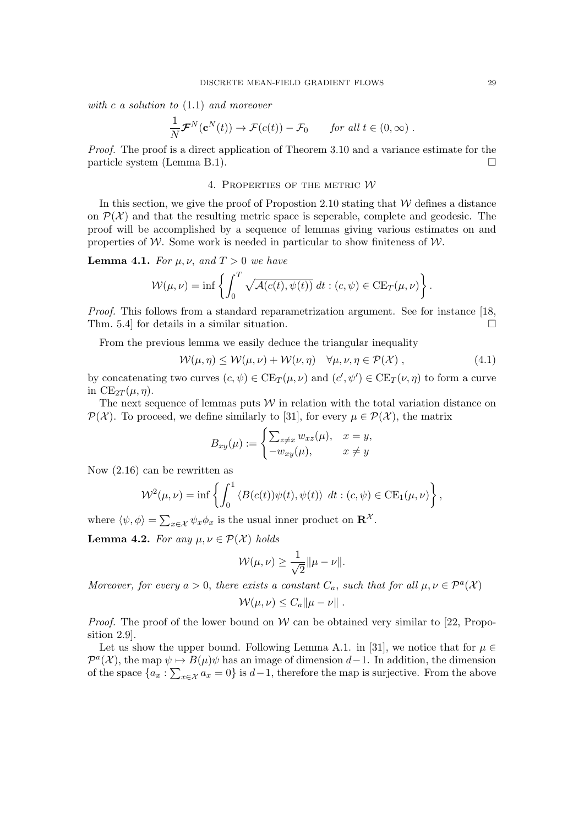with c a solution to [\(1.1\)](#page-0-0) and moreover

$$
\frac{1}{N} \mathcal{F}^N(\mathbf{c}^N(t)) \to \mathcal{F}(c(t)) - \mathcal{F}_0 \quad \text{for all } t \in (0, \infty) .
$$

Proof. The proof is a direct application of Theorem [3.10](#page-27-0) and a variance estimate for the particle system (Lemma [B.1\)](#page-34-1).

### 4. PROPERTIES OF THE METRIC  $W$

<span id="page-28-0"></span>In this section, we give the proof of Propostion [2.10](#page-9-2) stating that  $W$  defines a distance on  $\mathcal{P}(\mathcal{X})$  and that the resulting metric space is seperable, complete and geodesic. The proof will be accomplished by a sequence of lemmas giving various estimates on and properties of W. Some work is needed in particular to show finiteness of  $\mathcal{W}$ .

<span id="page-28-3"></span>**Lemma 4.1.** For  $\mu$ ,  $\nu$ , and  $T > 0$  we have

$$
\mathcal{W}(\mu,\nu) = \inf \left\{ \int_0^T \sqrt{\mathcal{A}(c(t), \psi(t))} dt : (c, \psi) \in \mathrm{CE}_T(\mu, \nu) \right\}.
$$

Proof. This follows from a standard reparametrization argument. See for instance [\[18,](#page-35-18) Thm. 5.4 for details in a similar situation.  $\square$ 

From the previous lemma we easily deduce the triangular inequality

$$
\mathcal{W}(\mu,\eta) \le \mathcal{W}(\mu,\nu) + \mathcal{W}(\nu,\eta) \quad \forall \mu,\nu,\eta \in \mathcal{P}(\mathcal{X}) , \qquad (4.1)
$$

by concatenating two curves  $(c, \psi) \in \text{CE}_T(\mu, \nu)$  and  $(c', \psi') \in \text{CE}_T(\nu, \eta)$  to form a curve in  $CE_{2T}(\mu, \eta)$ .

The next sequence of lemmas puts  $W$  in relation with the total variation distance on  $\mathcal{P}(\mathcal{X})$ . To proceed, we define similarly to [\[31\]](#page-36-0), for every  $\mu \in \mathcal{P}(\mathcal{X})$ , the matrix

<span id="page-28-2"></span>
$$
B_{xy}(\mu) := \begin{cases} \sum_{z \neq x} w_{xz}(\mu), & x = y, \\ -w_{xy}(\mu), & x \neq y \end{cases}
$$

Now [\(2.16\)](#page-8-5) can be rewritten as

$$
\mathcal{W}^{2}(\mu,\nu) = \inf \left\{ \int_{0}^{1} \langle B(c(t))\psi(t), \psi(t) \rangle \, dt : (c,\psi) \in \mathrm{CE}_{1}(\mu,\nu) \right\},\,
$$

where  $\langle \psi, \phi \rangle = \sum_{x \in \mathcal{X}} \psi_x \phi_x$  is the usual inner product on  $\mathbb{R}^{\mathcal{X}}$ .

<span id="page-28-1"></span>Lemma 4.2. For any  $\mu, \nu \in \mathcal{P}(\mathcal{X})$  holds

$$
\mathcal{W}(\mu,\nu) \geq \frac{1}{\sqrt{2}} ||\mu - \nu||.
$$

Moreover, for every  $a > 0$ , there exists a constant  $C_a$ , such that for all  $\mu, \nu \in \mathcal{P}^a(\mathcal{X})$ 

$$
\mathcal{W}(\mu,\nu)\leq C_a\|\mu-\nu\|.
$$

*Proof.* The proof of the lower bound on  $W$  can be obtained very similar to [\[22,](#page-35-15) Proposition 2.9].

Let us show the upper bound. Following Lemma A.1. in [\[31\]](#page-36-0), we notice that for  $\mu \in$  $\mathcal{P}^{a}(\mathcal{X})$ , the map  $\psi \mapsto B(\mu)\psi$  has an image of dimension d–1. In addition, the dimension of the space  $\{a_x : \sum_{x \in \mathcal{X}} a_x = 0\}$  is  $d-1$ , therefore the map is surjective. From the above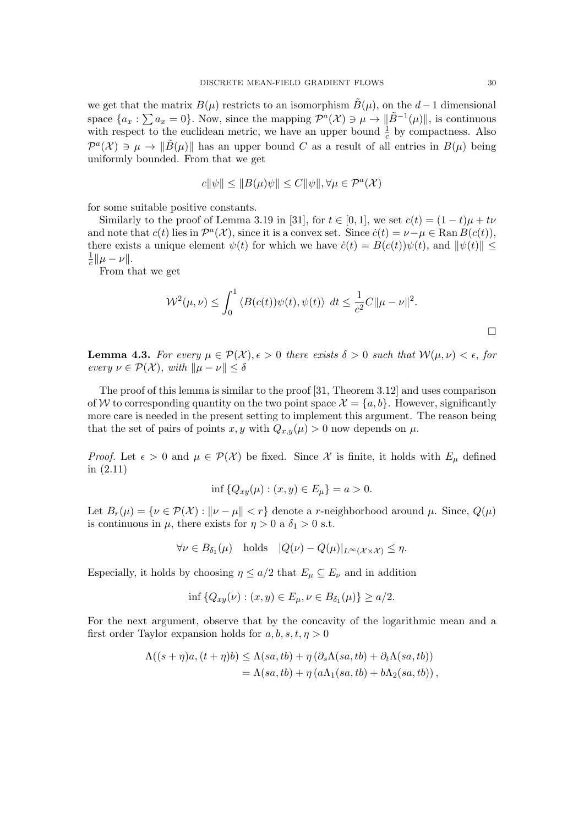we get that the matrix  $B(\mu)$  restricts to an isomorphism  $\tilde{B}(\mu)$ , on the  $d-1$  dimensional space  $\{a_x : \sum a_x = 0\}$ . Now, since the mapping  $\mathcal{P}^a(\mathcal{X}) \ni \mu \to \| \tilde{B}^{-1}(\mu) \|$ , is continuous with respect to the euclidean metric, we have an upper bound  $\frac{1}{c}$  by compactness. Also  $\mathcal{P}^{a}(\mathcal{X}) \ni \mu \to \|\tilde{B}(\mu)\|$  has an upper bound C as a result of all entries in  $B(\mu)$  being uniformly bounded. From that we get

$$
c||\psi|| \le ||B(\mu)\psi|| \le C||\psi||, \forall \mu \in \mathcal{P}^a(\mathcal{X})
$$

for some suitable positive constants.

Similarly to the proof of Lemma 3.19 in [\[31\]](#page-36-0), for  $t \in [0, 1]$ , we set  $c(t) = (1-t)\mu + t\nu$ and note that  $c(t)$  lies in  $\mathcal{P}^a(\mathcal{X})$ , since it is a convex set. Since  $\dot{c}(t) = \nu - \mu \in \text{Ran } B(c(t)),$ there exists a unique element  $\psi(t)$  for which we have  $\dot{c}(t) = B(c(t))\psi(t)$ , and  $\|\psi(t)\| \le$ 1  $\frac{1}{c} || \mu - \nu ||.$ 

From that we get

$$
\mathcal{W}^{2}(\mu,\nu) \leq \int_{0}^{1} \langle B(c(t))\psi(t), \psi(t) \rangle dt \leq \frac{1}{c^{2}}C \|\mu - \nu\|^{2}.
$$

<span id="page-29-0"></span>**Lemma 4.3.** For every  $\mu \in \mathcal{P}(\mathcal{X}), \epsilon > 0$  there exists  $\delta > 0$  such that  $\mathcal{W}(\mu, \nu) < \epsilon$ , for every  $\nu \in \mathcal{P}(\mathcal{X}), \text{ with } ||\mu - \nu|| \leq \delta$ 

The proof of this lemma is similar to the proof [\[31,](#page-36-0) Theorem 3.12] and uses comparison of W to corresponding quantity on the two point space  $\mathcal{X} = \{a, b\}$ . However, significantly more care is needed in the present setting to implement this argument. The reason being that the set of pairs of points x, y with  $Q_{x,y}(\mu) > 0$  now depends on  $\mu$ .

*Proof.* Let  $\epsilon > 0$  and  $\mu \in \mathcal{P}(\mathcal{X})$  be fixed. Since X is finite, it holds with  $E_{\mu}$  defined in [\(2.11\)](#page-6-5)

$$
\inf \{ Q_{xy}(\mu) : (x, y) \in E_{\mu} \} = a > 0.
$$

Let  $B_r(\mu) = \{ \nu \in \mathcal{P}(\mathcal{X}) : ||\nu - \mu|| < r \}$  denote a r-neighborhood around  $\mu$ . Since,  $Q(\mu)$ is continuous in  $\mu$ , there exists for  $\eta > 0$  a  $\delta_1 > 0$  s.t.

$$
\forall \nu \in B_{\delta_1}(\mu) \quad \text{holds} \quad |Q(\nu) - Q(\mu)|_{L^{\infty}(\mathcal{X} \times \mathcal{X})} \le \eta.
$$

Especially, it holds by choosing  $\eta \leq a/2$  that  $E_{\mu} \subseteq E_{\nu}$  and in addition

$$
\inf \{ Q_{xy}(\nu) : (x, y) \in E_{\mu}, \nu \in B_{\delta_1}(\mu) \} \ge a/2.
$$

For the next argument, observe that by the concavity of the logarithmic mean and a first order Taylor expansion holds for  $a, b, s, t, \eta > 0$ 

$$
\Lambda((s+\eta)a, (t+\eta)b) \leq \Lambda(sa, tb) + \eta (\partial_s \Lambda(sa, tb) + \partial_t \Lambda(sa, tb))
$$
  
=  $\Lambda(sa, tb) + \eta (a\Lambda_1(sa, tb) + b\Lambda_2(sa, tb)),$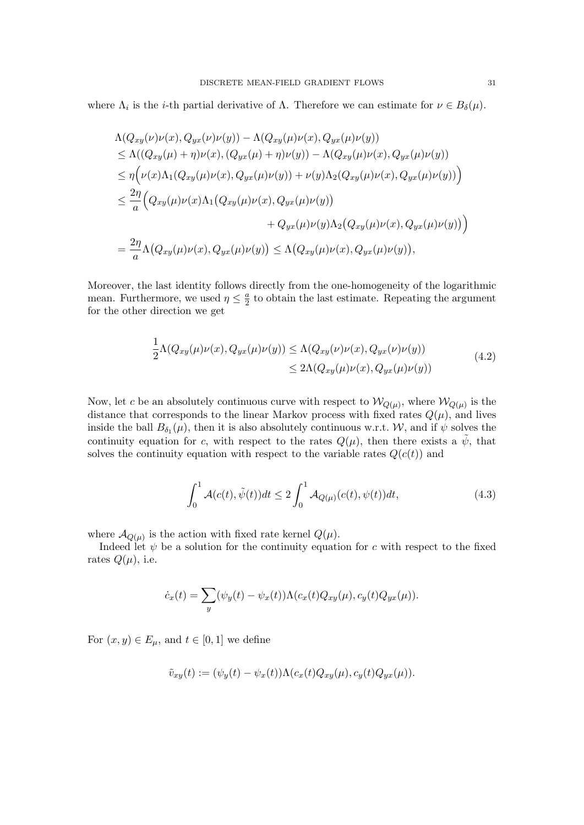where  $\Lambda_i$  is the *i*-th partial derivative of  $\Lambda$ . Therefore we can estimate for  $\nu \in B_\delta(\mu)$ .

$$
\Lambda(Q_{xy}(\nu)\nu(x), Q_{yx}(\nu)\nu(y)) - \Lambda(Q_{xy}(\mu)\nu(x), Q_{yx}(\mu)\nu(y))
$$
\n
$$
\leq \Lambda((Q_{xy}(\mu) + \eta)\nu(x), (Q_{yx}(\mu) + \eta)\nu(y)) - \Lambda(Q_{xy}(\mu)\nu(x), Q_{yx}(\mu)\nu(y))
$$
\n
$$
\leq \eta\Big(\nu(x)\Lambda_1(Q_{xy}(\mu)\nu(x), Q_{yx}(\mu)\nu(y)) + \nu(y)\Lambda_2(Q_{xy}(\mu)\nu(x), Q_{yx}(\mu)\nu(y))\Big)
$$
\n
$$
\leq \frac{2\eta}{a}\Big(Q_{xy}(\mu)\nu(x)\Lambda_1(Q_{xy}(\mu)\nu(x), Q_{yx}(\mu)\nu(y))
$$
\n
$$
+ Q_{yx}(\mu)\nu(y)\Lambda_2(Q_{xy}(\mu)\nu(x), Q_{yx}(\mu)\nu(y))\Big)
$$
\n
$$
= \frac{2\eta}{a}\Lambda(Q_{xy}(\mu)\nu(x), Q_{yx}(\mu)\nu(y)) \leq \Lambda(Q_{xy}(\mu)\nu(x), Q_{yx}(\mu)\nu(y)),
$$

Moreover, the last identity follows directly from the one-homogeneity of the logarithmic mean. Furthermore, we used  $\eta \leq \frac{a}{2}$  $\frac{a}{2}$  to obtain the last estimate. Repeating the argument for the other direction we get

$$
\frac{1}{2}\Lambda(Q_{xy}(\mu)\nu(x), Q_{yx}(\mu)\nu(y)) \leq \Lambda(Q_{xy}(\nu)\nu(x), Q_{yx}(\nu)\nu(y))
$$
\n
$$
\leq 2\Lambda(Q_{xy}(\mu)\nu(x), Q_{yx}(\mu)\nu(y))
$$
\n(4.2)

<span id="page-30-0"></span>Now, let c be an absolutely continuous curve with respect to  $\mathcal{W}_{Q(\mu)}$ , where  $\mathcal{W}_{Q(\mu)}$  is the distance that corresponds to the linear Markov process with fixed rates  $Q(\mu)$ , and lives inside the ball  $B_{\delta_1}(\mu)$ , then it is also absolutely continuous w.r.t. W, and if  $\psi$  solves the continuity equation for c, with respect to the rates  $Q(\mu)$ , then there exists a  $\psi$ , that solves the continuity equation with respect to the variable rates  $Q(c(t))$  and

<span id="page-30-1"></span>
$$
\int_0^1 \mathcal{A}(c(t), \tilde{\psi}(t))dt \le 2 \int_0^1 \mathcal{A}_{Q(\mu)}(c(t), \psi(t))dt,
$$
\n(4.3)

where  $\mathcal{A}_{Q(\mu)}$  is the action with fixed rate kernel  $Q(\mu)$ .

Indeed let  $\psi$  be a solution for the continuity equation for c with respect to the fixed rates  $Q(\mu)$ , i.e.

$$
\dot{c}_x(t) = \sum_y (\psi_y(t) - \psi_x(t)) \Lambda(c_x(t)Q_{xy}(\mu), c_y(t)Q_{yx}(\mu)).
$$

For  $(x, y) \in E_{\mu}$ , and  $t \in [0, 1]$  we define

$$
\tilde{v}_{xy}(t) := (\psi_y(t) - \psi_x(t)) \Lambda(c_x(t) Q_{xy}(\mu), c_y(t) Q_{yx}(\mu)).
$$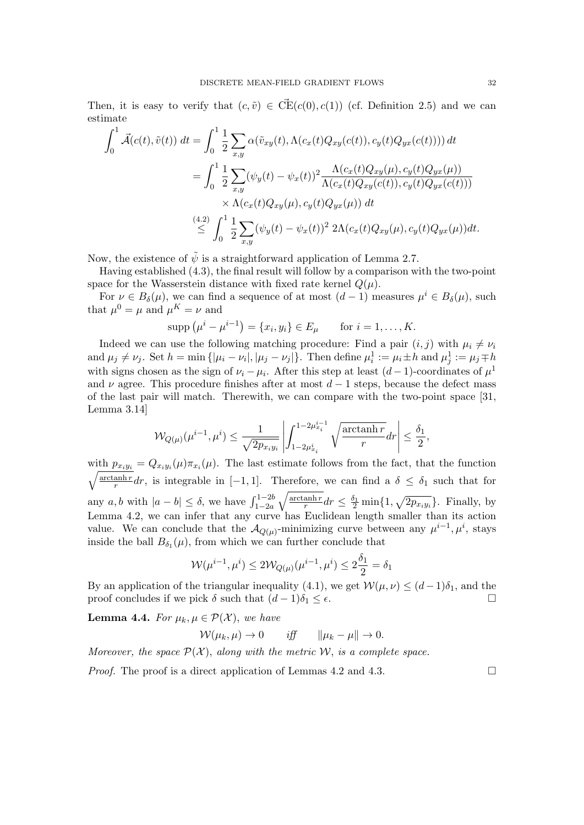Then, it is easy to verify that  $(c, \tilde{v}) \in \overline{CE}(c(0), c(1))$  (cf. Definition [2.5\)](#page-7-3) and we can estimate

$$
\int_{0}^{1} \vec{\mathcal{A}}(c(t), \tilde{v}(t)) dt = \int_{0}^{1} \frac{1}{2} \sum_{x,y} \alpha(\tilde{v}_{xy}(t), \Lambda(c_x(t)Q_{xy}(c(t)), c_y(t)Q_{yx}(c(t)))) dt \n= \int_{0}^{1} \frac{1}{2} \sum_{x,y} (\psi_y(t) - \psi_x(t))^2 \frac{\Lambda(c_x(t)Q_{xy}(\mu), c_y(t)Q_{yx}(\mu))}{\Lambda(c_x(t)Q_{xy}(c(t)), c_y(t)Q_{yx}(c(t)))} \n\times \Lambda(c_x(t)Q_{xy}(\mu), c_y(t)Q_{yx}(\mu)) dt \n\leq \int_{0}^{4} \frac{1}{2} \sum_{x,y} (\psi_y(t) - \psi_x(t))^2 2\Lambda(c_x(t)Q_{xy}(\mu), c_y(t)Q_{yx}(\mu)) dt.
$$

Now, the existence of  $\tilde{\psi}$  is a straightforward application of Lemma [2.7.](#page-8-2)

Having established [\(4.3\)](#page-30-1), the final result will follow by a comparison with the two-point space for the Wasserstein distance with fixed rate kernel  $Q(\mu)$ .

For  $\nu \in B_\delta(\mu)$ , we can find a sequence of at most  $(d-1)$  measures  $\mu^i \in B_\delta(\mu)$ , such that  $\mu^0 = \mu$  and  $\mu^K = \nu$  and

$$
supp (\mu^{i} - \mu^{i-1}) = \{x_i, y_i\} \in E_{\mu} \quad \text{for } i = 1, ..., K.
$$

Indeed we can use the following matching procedure: Find a pair  $(i, j)$  with  $\mu_i \neq \nu_i$ and  $\mu_j \neq \nu_j$ . Set  $h = \min\{|\mu_i - \nu_i|, |\mu_j - \nu_j|\}$ . Then define  $\mu_i^1 := \mu_i \pm h$  and  $\mu_j^1 := \mu_j \mp h$ with signs chosen as the sign of  $\nu_i - \mu_i$ . After this step at least  $(d-1)$ -coordinates of  $\mu^1$ and  $\nu$  agree. This procedure finishes after at most  $d-1$  steps, because the defect mass of the last pair will match. Therewith, we can compare with the two-point space [\[31,](#page-36-0) Lemma 3.14]

$$
\mathcal{W}_{Q(\mu)}(\mu^{i-1},\mu^i) \leq \frac{1}{\sqrt{2p_{x_iy_i}}}\left|\int_{1-2\mu^i_{x_i}}^{1-2\mu^{i-1}_{x_i}} \sqrt{\frac{\arctanh r}{r}}dr\right| \leq \frac{\delta_1}{2},
$$

with  $p_{x_i y_i} = Q_{x_i y_i}(\mu) \pi_{x_i}(\mu)$ . The last estimate follows from the fact, that the function  $\int \arctanh r$  $\frac{\text{anh }r}{r}dr$ , is integrable in [-1, 1]. Therefore, we can find a  $\delta \leq \delta_1$  such that for any  $a, b$  with  $|a - b| \leq \delta$ , we have  $\int_{1-2a}^{1-2b}$  $\sqrt{\arctanh r}$  $\frac{\text{anh}r}{r}dr \leq \frac{\delta_1}{2}\min\{1, \sqrt{2p_{x_iy_i}}\}.$  Finally, by Lemma [4.2,](#page-28-1) we can infer that any curve has Euclidean length smaller than its action value. We can conclude that the  $\mathcal{A}_{Q(\mu)}$ -minimizing curve between any  $\mu^{i-1}, \mu^i$ , stays inside the ball  $B_{\delta_1}(\mu)$ , from which we can further conclude that

$$
\mathcal{W}(\mu^{i-1}, \mu^i) \le 2\mathcal{W}_{Q(\mu)}(\mu^{i-1}, \mu^i) \le 2\frac{\delta_1}{2} = \delta_1
$$

By an application of the triangular inequality [\(4.1\)](#page-28-2), we get  $\mathcal{W}(\mu, \nu) \leq (d-1)\delta_1$ , and the proof concludes if we pick  $\delta$  such that  $(d-1)\delta_1 \leq \epsilon$ .

<span id="page-31-0"></span>**Lemma 4.4.** For  $\mu_k, \mu \in \mathcal{P}(\mathcal{X})$ , we have

$$
W(\mu_k, \mu) \to 0 \quad \text{iff} \quad \|\mu_k - \mu\| \to 0.
$$

Moreover, the space  $\mathcal{P}(\mathcal{X})$ , along with the metric W, is a complete space.

*Proof.* The proof is a direct application of Lemmas [4.2](#page-28-1) and [4.3.](#page-29-0)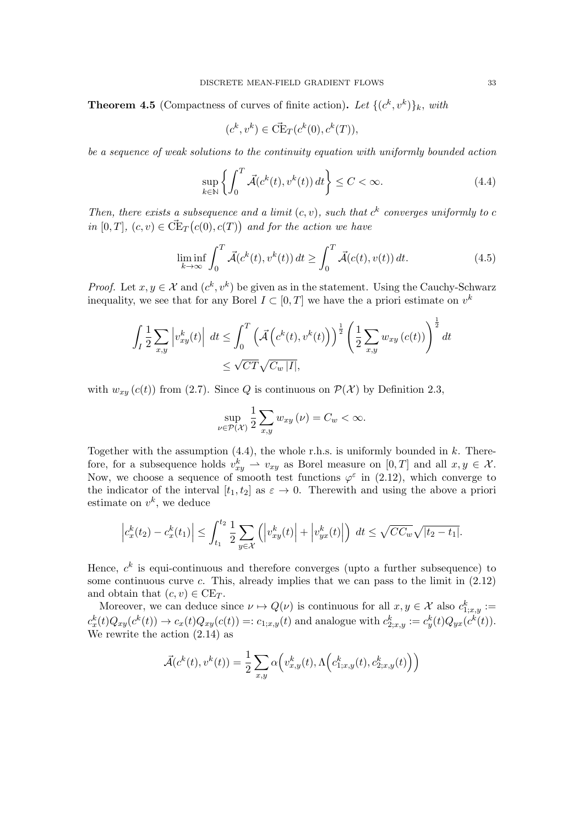<span id="page-32-2"></span>**Theorem 4.5** (Compactness of curves of finite action). Let  $\{(c^k, v^k)\}_k$ , with

$$
(c^k, v^k) \in \vec{\mathrm{CE}}_T(c^k(0), c^k(T)),
$$

be a sequence of weak solutions to the continuity equation with uniformly bounded action

<span id="page-32-0"></span>
$$
\sup_{k \in \mathbb{N}} \left\{ \int_0^T \vec{\mathcal{A}}(c^k(t), v^k(t)) \, dt \right\} \le C < \infty. \tag{4.4}
$$

Then, there exists a subsequence and a limit  $(c, v)$ , such that  $c<sup>k</sup>$  converges uniformly to c in  $[0, T]$ ,  $(c, v) \in \vec{\mathrm{CE}}_T(c(0), c(T))$  and for the action we have

<span id="page-32-1"></span>
$$
\liminf_{k \to \infty} \int_0^T \vec{\mathcal{A}}(c^k(t), v^k(t)) dt \ge \int_0^T \vec{\mathcal{A}}(c(t), v(t)) dt.
$$
\n(4.5)

*Proof.* Let  $x, y \in \mathcal{X}$  and  $(c^k, v^k)$  be given as in the statement. Using the Cauchy-Schwarz inequality, we see that for any Borel  $I \subset [0, T]$  we have the a priori estimate on  $v^k$ 

$$
\int_{I} \frac{1}{2} \sum_{x,y} \left| v_{xy}^{k}(t) \right| dt \le \int_{0}^{T} \left( \overrightarrow{\mathcal{A}} \left( c^{k}(t), v^{k}(t) \right) \right)^{\frac{1}{2}} \left( \frac{1}{2} \sum_{x,y} w_{xy} \left( c(t) \right) \right)^{\frac{1}{2}} dt
$$
  

$$
\le \sqrt{CT} \sqrt{C_{w} |I|},
$$

with  $w_{xy}(c(t))$  from [\(2.7\)](#page-6-4). Since Q is continuous on  $\mathcal{P}(\mathcal{X})$  by Definition [2.3,](#page-5-0)

$$
\sup_{\nu \in \mathcal{P}(\mathcal{X})} \frac{1}{2} \sum_{x,y} w_{xy} \left( \nu \right) = C_w < \infty.
$$

Together with the assumption  $(4.4)$ , the whole r.h.s. is uniformly bounded in k. Therefore, for a subsequence holds  $v_{xy}^k \rightharpoonup v_{xy}$  as Borel measure on  $[0, T]$  and all  $x, y \in \mathcal{X}$ . Now, we choose a sequence of smooth test functions  $\varphi^{\varepsilon}$  in [\(2.12\)](#page-7-2), which converge to the indicator of the interval  $[t_1, t_2]$  as  $\varepsilon \to 0$ . Therewith and using the above a priori estimate on  $v^k$ , we deduce

$$
\left|c_x^k(t_2) - c_x^k(t_1)\right| \le \int_{t_1}^{t_2} \frac{1}{2} \sum_{y \in \mathcal{X}} \left( \left|v_{xy}^k(t)\right| + \left|v_{yx}^k(t)\right| \right) \, dt \le \sqrt{CC_w} \sqrt{|t_2 - t_1|}.
$$

Hence,  $c^k$  is equi-continuous and therefore converges (upto a further subsequence) to some continuous curve  $c$ . This, already implies that we can pass to the limit in  $(2.12)$ and obtain that  $(c, v) \in \mathrm{CE}_T$ .

Moreover, we can deduce since  $\nu \mapsto Q(\nu)$  is continuous for all  $x, y \in \mathcal{X}$  also  $c_{1,x,y}^k :=$  $c_x^k(t)Q_{xy}(c^k(t)) \to c_x(t)Q_{xy}(c(t)) =: c_{1;x,y}(t)$  and analogue with  $c_{2;x,y}^k := c_y^k(t)Q_{yx}(c^k(t)).$ We rewrite the action [\(2.14\)](#page-7-4) as

$$
\vec{\mathcal{A}}(c^k(t), v^k(t)) = \frac{1}{2} \sum_{x,y} \alpha\Big(v_{x,y}^k(t), \Lambda\Big(c^k_{1;x,y}(t), c^k_{2;x,y}(t)\Big)\Big)
$$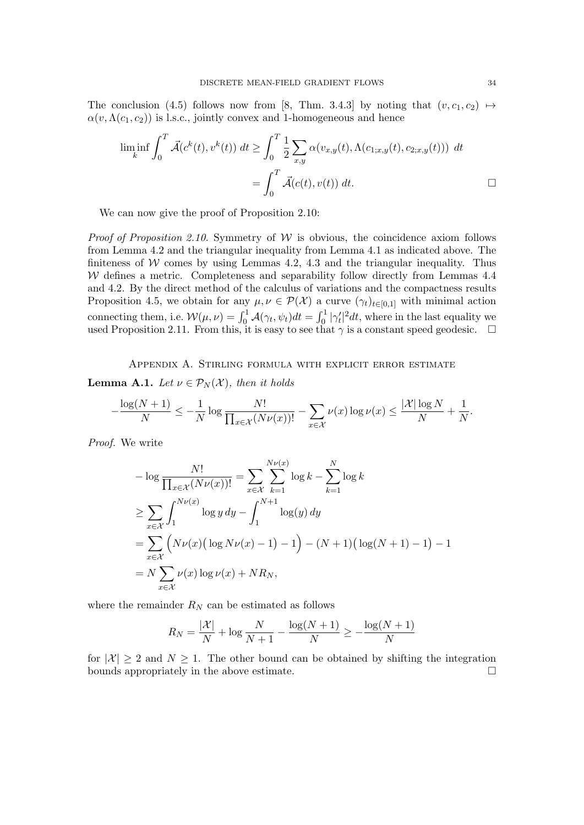The conclusion [\(4.5\)](#page-32-1) follows now from [\[8,](#page-35-20) Thm. 3.4.3] by noting that  $(v, c_1, c_2) \mapsto$  $\alpha(v,\Lambda(c_1,c_2))$  is l.s.c., jointly convex and 1-homogeneous and hence

$$
\liminf_{k} \int_0^T \vec{\mathcal{A}}(c^k(t), v^k(t)) dt \ge \int_0^T \frac{1}{2} \sum_{x,y} \alpha(v_{x,y}(t), \Lambda(c_{1;x,y}(t), c_{2;x,y}(t))) dt
$$

$$
= \int_0^T \vec{\mathcal{A}}(c(t), v(t)) dt.
$$

We can now give the proof of Proposition [2.10:](#page-9-2)

*Proof of Proposition [2.10.](#page-9-2)* Symmetry of  $W$  is obvious, the coincidence axiom follows from Lemma [4.2](#page-28-1) and the triangular inequality from Lemma [4.1](#page-28-3) as indicated above. The finiteness of  $W$  comes by using Lemmas [4.2,](#page-28-1) [4.3](#page-29-0) and the triangular inequality. Thus  $W$  defines a metric. Completeness and separability follow directly from Lemmas [4.4](#page-31-0) and [4.2.](#page-28-1) By the direct method of the calculus of variations and the compactness results Proposition [4.5,](#page-32-2) we obtain for any  $\mu, \nu \in \mathcal{P}(\mathcal{X})$  a curve  $(\gamma_t)_{t \in [0,1]}$  with minimal action connecting them, i.e.  $W(\mu, \nu) = \int_0^1 \mathcal{A}(\gamma_t, \psi_t) dt = \int_0^1 |\gamma_t'|^2 dt$ , where in the last equality we used Proposition [2.11.](#page-9-3) From this, it is easy to see that  $\gamma$  is a constant speed geodesic.  $\Box$ 

Appendix A. Stirling formula with explicit error estimate

<span id="page-33-1"></span><span id="page-33-0"></span>**Lemma A.1.** Let  $\nu \in \mathcal{P}_N(\mathcal{X})$ , then it holds

$$
-\frac{\log(N+1)}{N} \le -\frac{1}{N} \log \frac{N!}{\prod_{x \in \mathcal{X}} (N\nu(x))!} - \sum_{x \in \mathcal{X}} \nu(x) \log \nu(x) \le \frac{|\mathcal{X}| \log N}{N} + \frac{1}{N}.
$$

Proof. We write

$$
- \log \frac{N!}{\prod_{x \in \mathcal{X}} (N\nu(x))!} = \sum_{x \in \mathcal{X}} \sum_{k=1}^{N\nu(x)} \log k - \sum_{k=1}^{N} \log k
$$
  
\n
$$
\geq \sum_{x \in \mathcal{X}} \int_{1}^{N\nu(x)} \log y \, dy - \int_{1}^{N+1} \log(y) \, dy
$$
  
\n
$$
= \sum_{x \in \mathcal{X}} \left( N\nu(x) \left( \log N\nu(x) - 1 \right) - 1 \right) - (N+1) \left( \log(N+1) - 1 \right) - 1
$$
  
\n
$$
= N \sum_{x \in \mathcal{X}} \nu(x) \log \nu(x) + NR_N,
$$

where the remainder  $R_N$  can be estimated as follows

$$
R_N = \frac{|X|}{N} + \log \frac{N}{N+1} - \frac{\log(N+1)}{N} \ge -\frac{\log(N+1)}{N}
$$

for  $|\mathcal{X}| \geq 2$  and  $N \geq 1$ . The other bound can be obtained by shifting the integration bounds appropriately in the above estimate.  $\Box$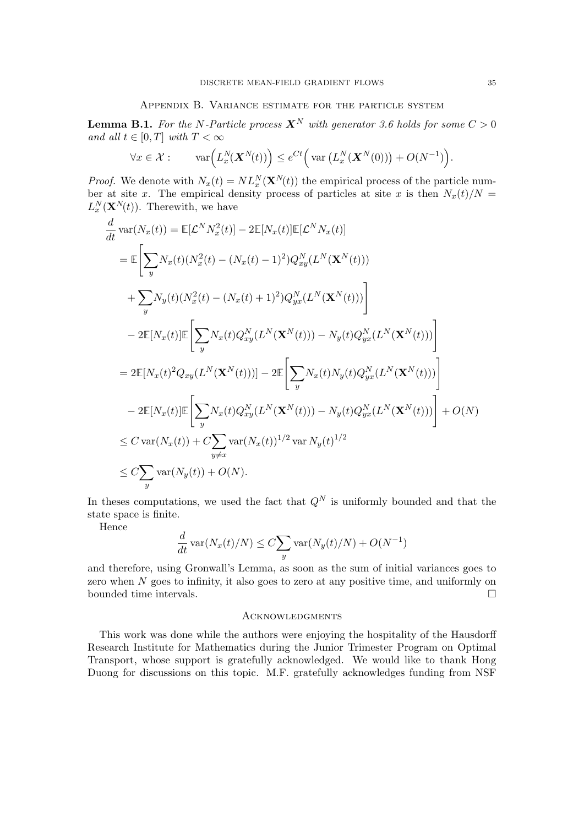## Appendix B. Variance estimate for the particle system

<span id="page-34-1"></span><span id="page-34-0"></span>**Lemma B.1.** For the N-Particle process  $X^N$  with generator [3.6](#page-19-4) holds for some  $C > 0$ and all  $t \in [0, T]$  with  $T < \infty$ 

$$
\forall x \in \mathcal{X} : \qquad \text{var}\Big(L_x^N(\mathbf{X}^N(t))\Big) \leq e^{Ct}\Big(\text{var}\left(L_x^N(\mathbf{X}^N(0))\right) + O(N^{-1})\Big).
$$

*Proof.* We denote with  $N_x(t) = NL_x^N(\mathbf{X}^N(t))$  the empirical process of the particle number at site x. The empirical density process of particles at site x is then  $N_x(t)/N =$  $L_x^N(\mathbf{X}^{N}(t))$ . Therewith, we have

$$
\frac{d}{dt} \operatorname{var}(N_x(t)) = \mathbb{E}[\mathcal{L}^N N_x^2(t)] - 2\mathbb{E}[N_x(t)]\mathbb{E}[\mathcal{L}^N N_x(t)]
$$
\n
$$
= \mathbb{E}\bigg[\sum_y N_x(t)(N_x^2(t) - (N_x(t) - 1)^2)Q_{xy}^N(L^N(\mathbf{X}^N(t)))
$$
\n
$$
+ \sum_y N_y(t)(N_x^2(t) - (N_x(t) + 1)^2)Q_{yx}^N(L^N(\mathbf{X}^N(t)))\bigg]
$$
\n
$$
- 2\mathbb{E}[N_x(t)]\mathbb{E}\bigg[\sum_y N_x(t)Q_{xy}^N(L^N(\mathbf{X}^N(t))) - N_y(t)Q_{yx}^N(L^N(\mathbf{X}^N(t)))\bigg]
$$
\n
$$
= 2\mathbb{E}[N_x(t)^2Q_{xy}(L^N(\mathbf{X}^N(t)))] - 2\mathbb{E}\bigg[\sum_y N_x(t)N_y(t)Q_{yx}^N(L^N(\mathbf{X}^N(t)))\bigg]
$$
\n
$$
- 2\mathbb{E}[N_x(t)]\mathbb{E}\bigg[\sum_y N_x(t)Q_{xy}^N(L^N(\mathbf{X}^N(t))) - N_y(t)Q_{yx}^N(L^N(\mathbf{X}^N(t)))\bigg] + O(N)
$$
\n
$$
\leq C \operatorname{var}(N_x(t)) + C \sum_{y \neq x} \operatorname{var}(N_x(t))^{1/2} \operatorname{var} N_y(t)^{1/2}
$$
\n
$$
\leq C \sum_y \operatorname{var}(N_y(t)) + O(N).
$$

In theses computations, we used the fact that  $Q<sup>N</sup>$  is uniformly bounded and that the state space is finite.

Hence

$$
\frac{d}{dt} \operatorname{var}(N_x(t)/N) \le C \sum_y \operatorname{var}(N_y(t)/N) + O(N^{-1})
$$

and therefore, using Gronwall's Lemma, as soon as the sum of initial variances goes to zero when  $N$  goes to infinity, it also goes to zero at any positive time, and uniformly on bounded time intervals.  $\Box$ 

#### **ACKNOWLEDGMENTS**

This work was done while the authors were enjoying the hospitality of the Hausdorff Research Institute for Mathematics during the Junior Trimester Program on Optimal Transport, whose support is gratefully acknowledged. We would like to thank Hong Duong for discussions on this topic. M.F. gratefully acknowledges funding from NSF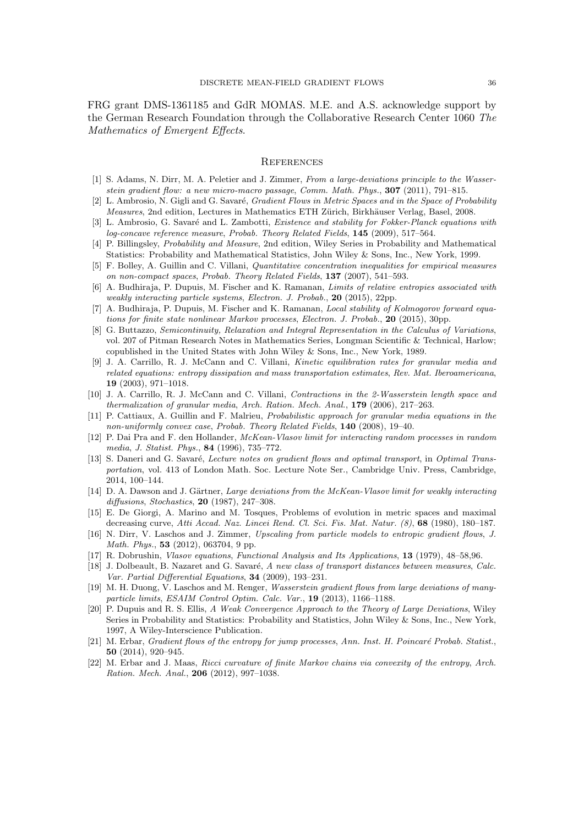FRG grant DMS-1361185 and GdR MOMAS. M.E. and A.S. acknowledge support by the German Research Foundation through the Collaborative Research Center 1060 The Mathematics of Emergent Effects.

#### **REFERENCES**

- <span id="page-35-4"></span>[1] S. Adams, N. Dirr, M. A. Peletier and J. Zimmer, From a large-deviations principle to the Wasserstein gradient flow: a new micro-macro passage, Comm. Math. Phys., 307 (2011), 791–815.
- <span id="page-35-3"></span>[2] L. Ambrosio, N. Gigli and G. Savaré, *Gradient Flows in Metric Spaces and in the Space of Probability* Measures, 2nd edition, Lectures in Mathematics ETH Zürich, Birkhäuser Verlag, Basel, 2008.
- <span id="page-35-7"></span>[3] L. Ambrosio, G. Savaré and L. Zambotti, *Existence and stability for Fokker-Planck equations with* log-concave reference measure, Probab. Theory Related Fields, 145 (2009), 517–564.
- <span id="page-35-21"></span>[4] P. Billingsley, Probability and Measure, 2nd edition, Wiley Series in Probability and Mathematical Statistics: Probability and Mathematical Statistics, John Wiley & Sons, Inc., New York, 1999.
- <span id="page-35-16"></span>[5] F. Bolley, A. Guillin and C. Villani, Quantitative concentration inequalities for empirical measures on non-compact spaces, Probab. Theory Related Fields, 137 (2007), 541–593.
- <span id="page-35-17"></span>[6] A. Budhiraja, P. Dupuis, M. Fischer and K. Ramanan, Limits of relative entropies associated with weakly interacting particle systems, Electron. J. Probab., 20 (2015), 22pp.
- <span id="page-35-0"></span>[7] A. Budhiraja, P. Dupuis, M. Fischer and K. Ramanan, *Local stability of Kolmogorov forward equa*tions for finite state nonlinear Markov processes, Electron. J. Probab., 20 (2015), 30pp.
- <span id="page-35-20"></span>[8] G. Buttazzo, Semicontinuity, Relaxation and Integral Representation in the Calculus of Variations, vol. 207 of Pitman Research Notes in Mathematics Series, Longman Scientific & Technical, Harlow; copublished in the United States with John Wiley & Sons, Inc., New York, 1989.
- <span id="page-35-12"></span>[9] J. A. Carrillo, R. J. McCann and C. Villani, Kinetic equilibration rates for granular media and related equations: entropy dissipation and mass transportation estimates, Rev. Mat. Iberoamericana, 19 (2003), 971–1018.
- <span id="page-35-13"></span>[10] J. A. Carrillo, R. J. McCann and C. Villani, Contractions in the 2-Wasserstein length space and thermalization of granular media, Arch. Ration. Mech. Anal., 179 (2006), 217–263.
- <span id="page-35-14"></span>[11] P. Cattiaux, A. Guillin and F. Malrieu, *Probabilistic approach for granular media equations in the* non-uniformly convex case, Probab. Theory Related Fields, 140 (2008), 19–40.
- <span id="page-35-11"></span>[12] P. Dai Pra and F. den Hollander, McKean-Vlasov limit for interacting random processes in random media, J. Statist. Phys., 84 (1996), 735–772.
- <span id="page-35-8"></span>[13] S. Daneri and G. Savaré, Lecture notes on gradient flows and optimal transport, in Optimal Transportation, vol. 413 of London Math. Soc. Lecture Note Ser., Cambridge Univ. Press, Cambridge, 2014, 100–144.
- <span id="page-35-10"></span>[14] D. A. Dawson and J. Gärtner, Large deviations from the McKean-Vlasov limit for weakly interacting diffusions, Stochastics, 20 (1987), 247–308.
- <span id="page-35-2"></span>[15] E. De Giorgi, A. Marino and M. Tosques, Problems of evolution in metric spaces and maximal decreasing curve, Atti Accad. Naz. Lincei Rend. Cl. Sci. Fis. Mat. Natur. (8), 68 (1980), 180-187.
- <span id="page-35-5"></span>[16] N. Dirr, V. Laschos and J. Zimmer, Upscaling from particle models to entropic gradient flows, J. Math. Phys., 53 (2012), 063704, 9 pp.
- <span id="page-35-9"></span>[17] R. Dobrushin, Vlasov equations, Functional Analysis and Its Applications, 13 (1979), 48–58,96.
- <span id="page-35-18"></span>[18] J. Dolbeault, B. Nazaret and G. Savaré, A new class of transport distances between measures, Calc. Var. Partial Differential Equations, 34 (2009), 193–231.
- <span id="page-35-6"></span>[19] M. H. Duong, V. Laschos and M. Renger, Wasserstein gradient flows from large deviations of manyparticle limits, ESAIM Control Optim. Calc. Var., 19 (2013), 1166–1188.
- <span id="page-35-19"></span>[20] P. Dupuis and R. S. Ellis, A Weak Convergence Approach to the Theory of Large Deviations, Wiley Series in Probability and Statistics: Probability and Statistics, John Wiley & Sons, Inc., New York, 1997, A Wiley-Interscience Publication.
- <span id="page-35-1"></span>[21] M. Erbar, Gradient flows of the entropy for jump processes, Ann. Inst. H. Poincaré Probab. Statist., 50 (2014), 920–945.
- <span id="page-35-15"></span>[22] M. Erbar and J. Maas, Ricci curvature of finite Markov chains via convexity of the entropy, Arch. Ration. Mech. Anal., 206 (2012), 997–1038.